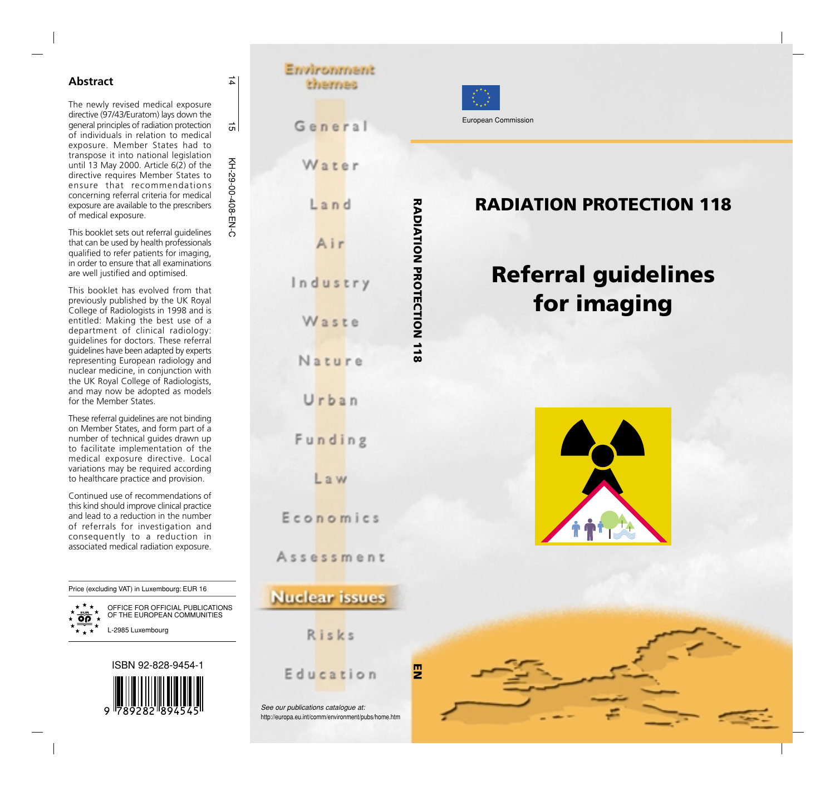#### **Abstract**

The newly revised medical exposure directive (97/43/Euratom) lays down the general principles of radiation protection of individuals in relation to medical exposure. Member States had to transpose it into national legislation until 13 May 2000. Article 6(2) of the directive requires Member States to ensure that recommendations concerning referral criteria for medical exposure are available to the prescribers of medical exposure.

This booklet sets out referral guidelines that can be used by health professionals qualified to refer patients for imaging, in order to ensure that all examinations are well justified and optimised.

This booklet has evolved from that previously published by the UK Royal College of Radiologists in 1998 and is entitled: Making the best use of a department of clinical radiology: guidelines for doctors. These referral guidelines have been adapted by experts representing European radiology and nuclear medicine, in conjunction with the UK Royal College of Radiologists, and may now be adopted as models for the Member States.

These referral guidelines are not binding on Member States, and form part of a number of technical guides drawn up to facilitate implementation of the medical exposure directive. Local variations may be required according to healthcare practice and provision.

Continued use of recommendations of this kind should improve clinical practice and lead to a reduction in the number of referrals for investigation and consequently to a reduction in associated medical radiation exposure.

Price (excluding VAT) in Luxembourg: EUR 16

OFFICE FOR OFFICIAL PUBLICATIONS OF THE EUROPEAN COMMUNITIES L-2985 Luxembourg



### Environment thernes

General

Water

 $L$ and

Air

Waste

Nature

Urban

Funding

Law

Economics

Assessment

**Nuclear** issues

Risks

Education



**RADIATION PROTECTION 118**

RADIATION PROTECTION 118

### **RADIATION PROTECTION 118**

European Commission

# **Referral guidelines for imaging**





See our publications catalogue at: http://europa.eu.int/comm/environment/pubs/home.htm

 $\overrightarrow{4}$ 

<u>ন</u>

주

 $\overline{55}$ 

KH-29-00-408-EN-C

-00-408-EN-C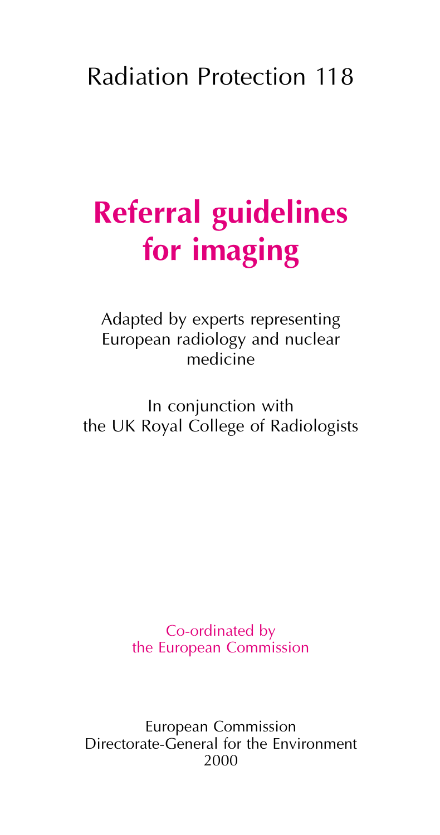### Radiation Protection 118

# **Referral guidelines for imaging**

Adapted by experts representing European radiology and nuclear medicine

In conjunction with the UK Royal College of Radiologists

> Co-ordinated by the European Commission

European Commission Directorate-General for the Environment 2000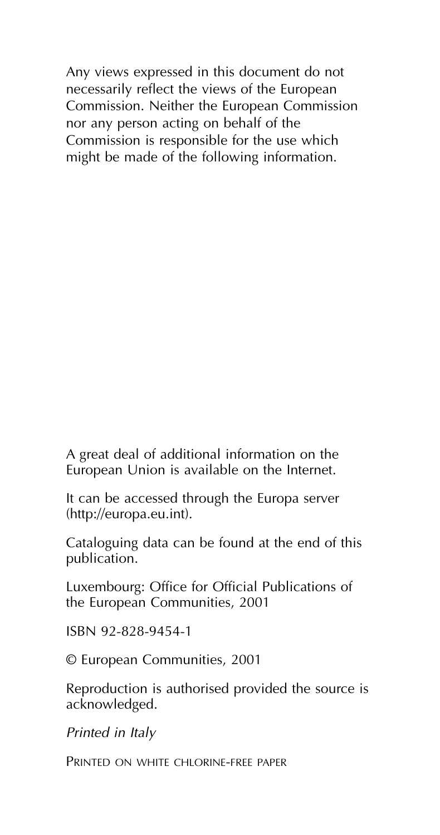Any views expressed in this document do not necessarily reflect the views of the European Commission. Neither the European Commission nor any person acting on behalf of the Commission is responsible for the use which might be made of the following information.

A great deal of additional information on the European Union is available on the Internet.

It can be accessed through the Europa server (http://europa.eu.int).

Cataloguing data can be found at the end of this publication.

Luxembourg: Office for Official Publications of the European Communities, 2001

ISBN 92-828-9454-1

© European Communities, 2001

Reproduction is authorised provided the source is acknowledged.

*Printed in Italy*

PRINTED ON WHITE CHLORINE-FREE PAPER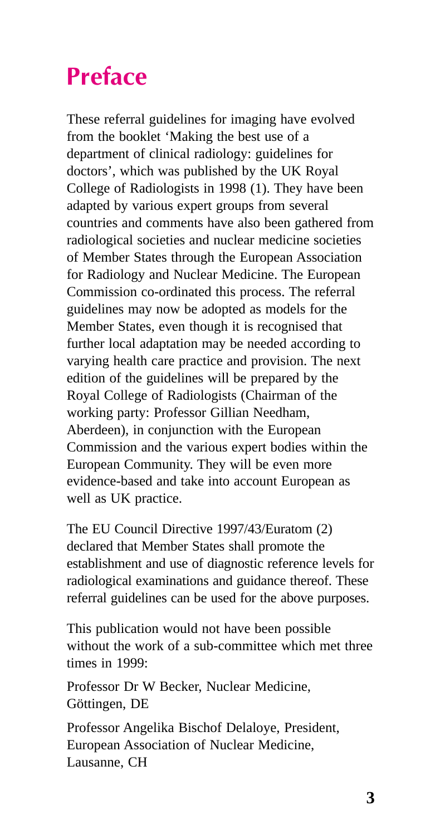## **Preface**

These referral guidelines for imaging have evolved from the booklet 'Making the best use of a department of clinical radiology: guidelines for doctors', which was published by the UK Royal College of Radiologists in 1998 (1). They have been adapted by various expert groups from several countries and comments have also been gathered from radiological societies and nuclear medicine societies of Member States through the European Association for Radiology and Nuclear Medicine. The European Commission co-ordinated this process. The referral guidelines may now be adopted as models for the Member States, even though it is recognised that further local adaptation may be needed according to varying health care practice and provision. The next edition of the guidelines will be prepared by the Royal College of Radiologists (Chairman of the working party: Professor Gillian Needham, Aberdeen), in conjunction with the European Commission and the various expert bodies within the European Community. They will be even more evidence-based and take into account European as well as UK practice.

The EU Council Directive 1997/43/Euratom (2) declared that Member States shall promote the establishment and use of diagnostic reference levels for radiological examinations and guidance thereof. These referral guidelines can be used for the above purposes.

This publication would not have been possible without the work of a sub-committee which met three times in 1999:

Professor Dr W Becker, Nuclear Medicine, Göttingen, DE

Professor Angelika Bischof Delaloye, President, European Association of Nuclear Medicine, Lausanne, CH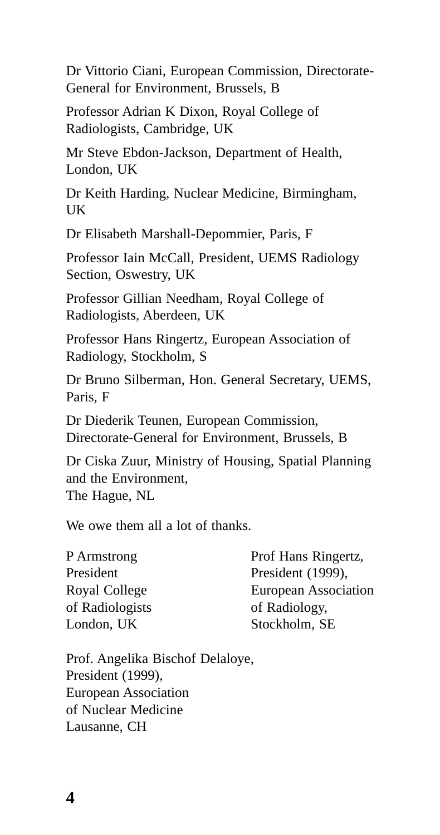Dr Vittorio Ciani, European Commission, Directorate-General for Environment, Brussels, B

Professor Adrian K Dixon, Royal College of Radiologists, Cambridge, UK

Mr Steve Ebdon-Jackson, Department of Health, London, UK

Dr Keith Harding, Nuclear Medicine, Birmingham, UK

Dr Elisabeth Marshall-Depommier, Paris, F

Professor Iain McCall, President, UEMS Radiology Section, Oswestry, UK

Professor Gillian Needham, Royal College of Radiologists, Aberdeen, UK

Professor Hans Ringertz, European Association of Radiology, Stockholm, S

Dr Bruno Silberman, Hon. General Secretary, UEMS, Paris, F

Dr Diederik Teunen, European Commission, Directorate-General for Environment, Brussels, B

Dr Ciska Zuur, Ministry of Housing, Spatial Planning and the Environment, The Hague, NL

We owe them all a lot of thanks.

| P Armstrong     | Prof Hans Ringertz,  |
|-----------------|----------------------|
| President       | President (1999),    |
| Royal College   | European Association |
| of Radiologists | of Radiology.        |
| London, UK      | Stockholm, SE        |

Prof. Angelika Bischof Delaloye, President (1999), European Association of Nuclear Medicine Lausanne, CH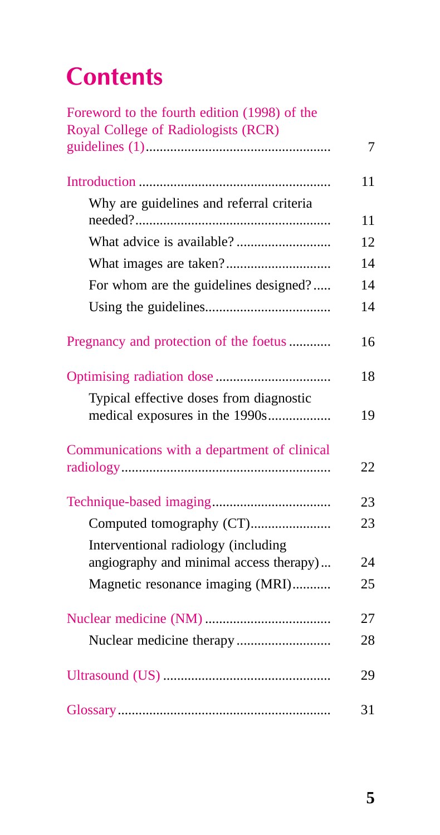## **Contents**

| Foreword to the fourth edition (1998) of the |    |
|----------------------------------------------|----|
| Royal College of Radiologists (RCR)          |    |
|                                              | 7  |
|                                              | 11 |
| Why are guidelines and referral criteria     | 11 |
|                                              | 12 |
|                                              | 14 |
| For whom are the guidelines designed?        | 14 |
|                                              |    |
|                                              | 14 |
| Pregnancy and protection of the foetus       | 16 |
|                                              | 18 |
| Typical effective doses from diagnostic      |    |
| medical exposures in the 1990s               | 19 |
| Communications with a department of clinical |    |
|                                              | 22 |
|                                              | 23 |
| Computed tomography (CT)                     | 23 |
| Interventional radiology (including          |    |
| angiography and minimal access therapy)      | 24 |
| Magnetic resonance imaging (MRI)             | 25 |
|                                              | 27 |
|                                              | 28 |
|                                              | 29 |
|                                              | 31 |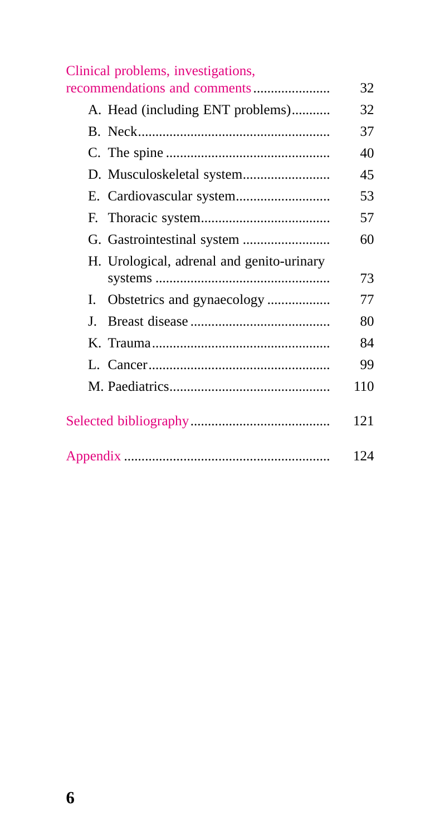|    | Clinical problems, investigations,        |     |
|----|-------------------------------------------|-----|
|    | recommendations and comments              | 32  |
|    | A. Head (including ENT problems)          | 32  |
|    |                                           | 37  |
|    |                                           | 40  |
|    | D. Musculoskeletal system                 | 45  |
|    |                                           | 53  |
|    |                                           | 57  |
|    |                                           | 60  |
|    | H. Urological, adrenal and genito-urinary | 73  |
| L. |                                           | 77  |
| L  |                                           | 80  |
|    |                                           | 84  |
|    |                                           | 99  |
|    |                                           | 110 |
|    |                                           | 121 |
|    |                                           | 124 |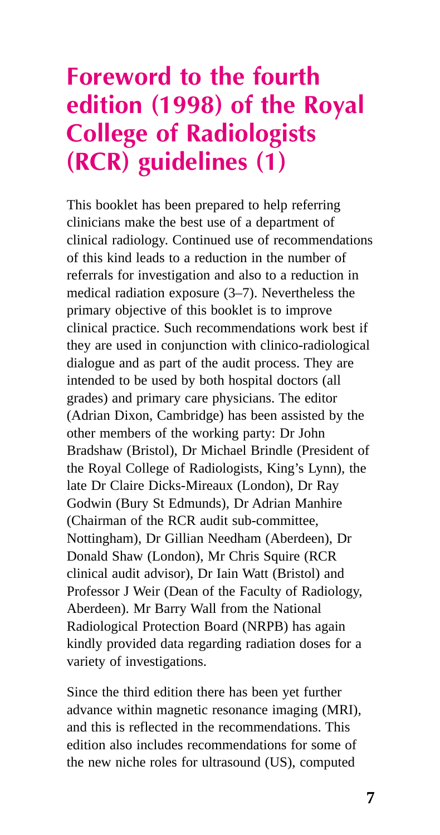### **Foreword to the fourth edition (1998) of the Royal College of Radiologists (RCR) guidelines (1)**

This booklet has been prepared to help referring clinicians make the best use of a department of clinical radiology. Continued use of recommendations of this kind leads to a reduction in the number of referrals for investigation and also to a reduction in medical radiation exposure (3–7). Nevertheless the primary objective of this booklet is to improve clinical practice. Such recommendations work best if they are used in conjunction with clinico-radiological dialogue and as part of the audit process. They are intended to be used by both hospital doctors (all grades) and primary care physicians. The editor (Adrian Dixon, Cambridge) has been assisted by the other members of the working party: Dr John Bradshaw (Bristol), Dr Michael Brindle (President of the Royal College of Radiologists, King's Lynn), the late Dr Claire Dicks-Mireaux (London), Dr Ray Godwin (Bury St Edmunds), Dr Adrian Manhire (Chairman of the RCR audit sub-committee, Nottingham), Dr Gillian Needham (Aberdeen), Dr Donald Shaw (London), Mr Chris Squire (RCR clinical audit advisor), Dr Iain Watt (Bristol) and Professor J Weir (Dean of the Faculty of Radiology, Aberdeen). Mr Barry Wall from the National Radiological Protection Board (NRPB) has again kindly provided data regarding radiation doses for a variety of investigations.

Since the third edition there has been yet further advance within magnetic resonance imaging (MRI), and this is reflected in the recommendations. This edition also includes recommendations for some of the new niche roles for ultrasound (US), computed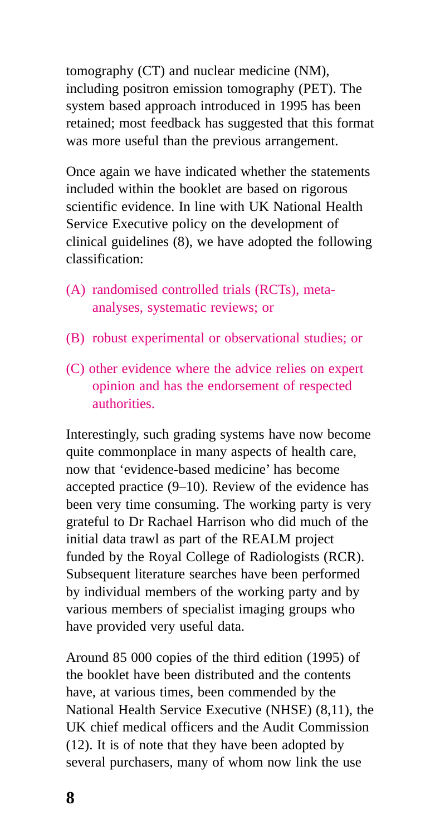tomography (CT) and nuclear medicine (NM), including positron emission tomography (PET). The system based approach introduced in 1995 has been retained; most feedback has suggested that this format was more useful than the previous arrangement.

Once again we have indicated whether the statements included within the booklet are based on rigorous scientific evidence. In line with UK National Health Service Executive policy on the development of clinical guidelines (8), we have adopted the following classification:

- (A) randomised controlled trials (RCTs), metaanalyses, systematic reviews; or
- (B) robust experimental or observational studies; or
- (C) other evidence where the advice relies on expert opinion and has the endorsement of respected authorities.

Interestingly, such grading systems have now become quite commonplace in many aspects of health care, now that 'evidence-based medicine' has become accepted practice (9–10). Review of the evidence has been very time consuming. The working party is very grateful to Dr Rachael Harrison who did much of the initial data trawl as part of the REALM project funded by the Royal College of Radiologists (RCR). Subsequent literature searches have been performed by individual members of the working party and by various members of specialist imaging groups who have provided very useful data.

Around 85 000 copies of the third edition (1995) of the booklet have been distributed and the contents have, at various times, been commended by the National Health Service Executive (NHSE) (8,11), the UK chief medical officers and the Audit Commission (12). It is of note that they have been adopted by several purchasers, many of whom now link the use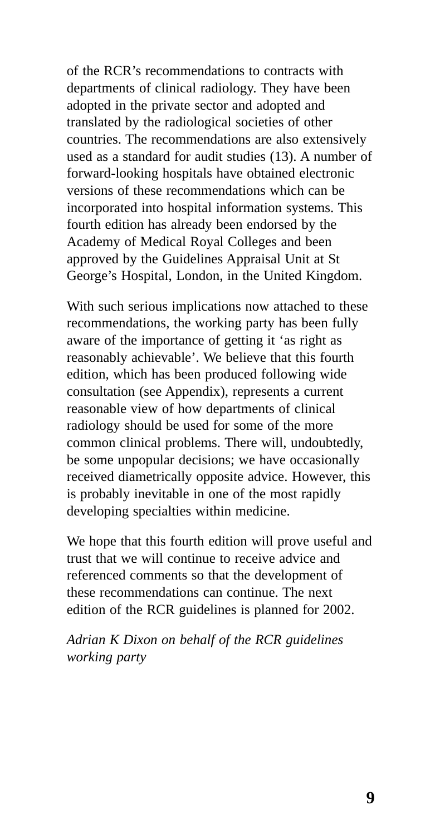of the RCR's recommendations to contracts with departments of clinical radiology. They have been adopted in the private sector and adopted and translated by the radiological societies of other countries. The recommendations are also extensively used as a standard for audit studies (13). A number of forward-looking hospitals have obtained electronic versions of these recommendations which can be incorporated into hospital information systems. This fourth edition has already been endorsed by the Academy of Medical Royal Colleges and been approved by the Guidelines Appraisal Unit at St George's Hospital, London, in the United Kingdom.

With such serious implications now attached to these recommendations, the working party has been fully aware of the importance of getting it 'as right as reasonably achievable'. We believe that this fourth edition, which has been produced following wide consultation (see Appendix), represents a current reasonable view of how departments of clinical radiology should be used for some of the more common clinical problems. There will, undoubtedly, be some unpopular decisions; we have occasionally received diametrically opposite advice. However, this is probably inevitable in one of the most rapidly developing specialties within medicine.

We hope that this fourth edition will prove useful and trust that we will continue to receive advice and referenced comments so that the development of these recommendations can continue. The next edition of the RCR guidelines is planned for 2002.

*Adrian K Dixon on behalf of the RCR guidelines working party*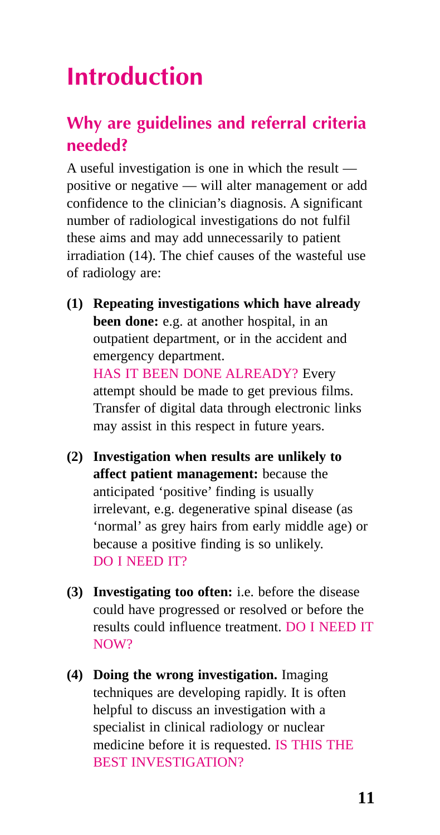## **Introduction**

### **Why are guidelines and referral criteria needed?**

A useful investigation is one in which the result positive or negative — will alter management or add confidence to the clinician's diagnosis. A significant number of radiological investigations do not fulfil these aims and may add unnecessarily to patient irradiation (14). The chief causes of the wasteful use of radiology are:

- **(1) Repeating investigations which have already been done:** e.g. at another hospital, in an outpatient department, or in the accident and emergency department. HAS IT BEEN DONE ALREADY? Every attempt should be made to get previous films. Transfer of digital data through electronic links may assist in this respect in future years.
- **(2) Investigation when results are unlikely to affect patient management:** because the anticipated 'positive' finding is usually irrelevant, e.g. degenerative spinal disease (as 'normal' as grey hairs from early middle age) or because a positive finding is so unlikely. DO I NEED IT?
- **(3) Investigating too often:** i.e. before the disease could have progressed or resolved or before the results could influence treatment. DO I NEED IT NOW?
- **(4) Doing the wrong investigation.** Imaging techniques are developing rapidly. It is often helpful to discuss an investigation with a specialist in clinical radiology or nuclear medicine before it is requested. IS THIS THE BEST INVESTIGATION?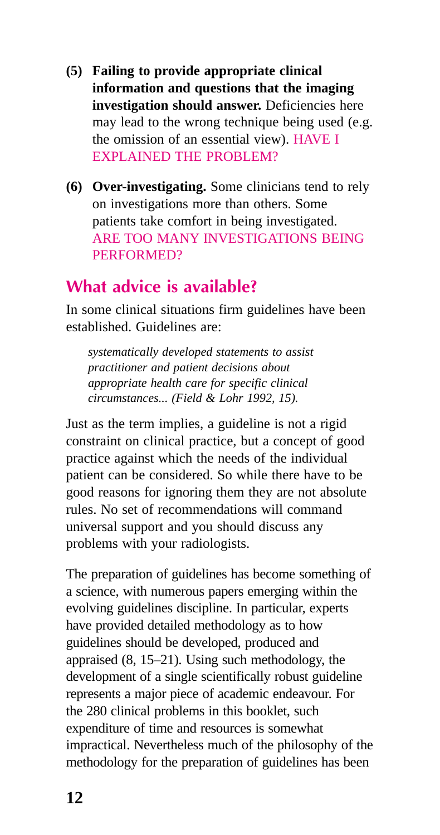- **(5) Failing to provide appropriate clinical information and questions that the imaging investigation should answer.** Deficiencies here may lead to the wrong technique being used (e.g. the omission of an essential view). HAVE I EXPLAINED THE PROBLEM?
- **(6) Over-investigating.** Some clinicians tend to rely on investigations more than others. Some patients take comfort in being investigated. ARE TOO MANY INVESTIGATIONS BEING PERFORMED?

### **What advice is available?**

In some clinical situations firm guidelines have been established. Guidelines are:

*systematically developed statements to assist practitioner and patient decisions about appropriate health care for specific clinical circumstances... (Field & Lohr 1992, 15).*

Just as the term implies, a guideline is not a rigid constraint on clinical practice, but a concept of good practice against which the needs of the individual patient can be considered. So while there have to be good reasons for ignoring them they are not absolute rules. No set of recommendations will command universal support and you should discuss any problems with your radiologists.

The preparation of guidelines has become something of a science, with numerous papers emerging within the evolving guidelines discipline. In particular, experts have provided detailed methodology as to how guidelines should be developed, produced and appraised (8, 15–21). Using such methodology, the development of a single scientifically robust guideline represents a major piece of academic endeavour. For the 280 clinical problems in this booklet, such expenditure of time and resources is somewhat impractical. Nevertheless much of the philosophy of the methodology for the preparation of guidelines has been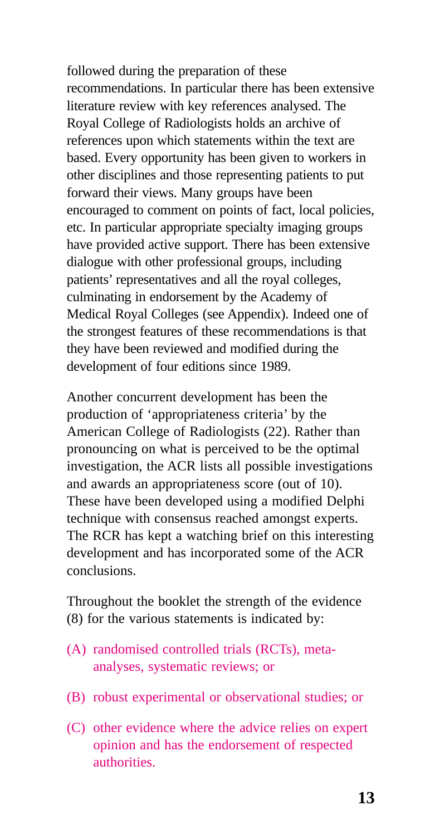followed during the preparation of these recommendations. In particular there has been extensive literature review with key references analysed. The Royal College of Radiologists holds an archive of references upon which statements within the text are based. Every opportunity has been given to workers in other disciplines and those representing patients to put forward their views. Many groups have been encouraged to comment on points of fact, local policies, etc. In particular appropriate specialty imaging groups have provided active support. There has been extensive dialogue with other professional groups, including patients' representatives and all the royal colleges, culminating in endorsement by the Academy of Medical Royal Colleges (see Appendix). Indeed one of the strongest features of these recommendations is that they have been reviewed and modified during the development of four editions since 1989.

Another concurrent development has been the production of 'appropriateness criteria' by the American College of Radiologists (22). Rather than pronouncing on what is perceived to be the optimal investigation, the ACR lists all possible investigations and awards an appropriateness score (out of 10). These have been developed using a modified Delphi technique with consensus reached amongst experts. The RCR has kept a watching brief on this interesting development and has incorporated some of the ACR conclusions.

Throughout the booklet the strength of the evidence (8) for the various statements is indicated by:

- (A) randomised controlled trials (RCTs), metaanalyses, systematic reviews; or
- (B) robust experimental or observational studies; or
- (C) other evidence where the advice relies on expert opinion and has the endorsement of respected authorities.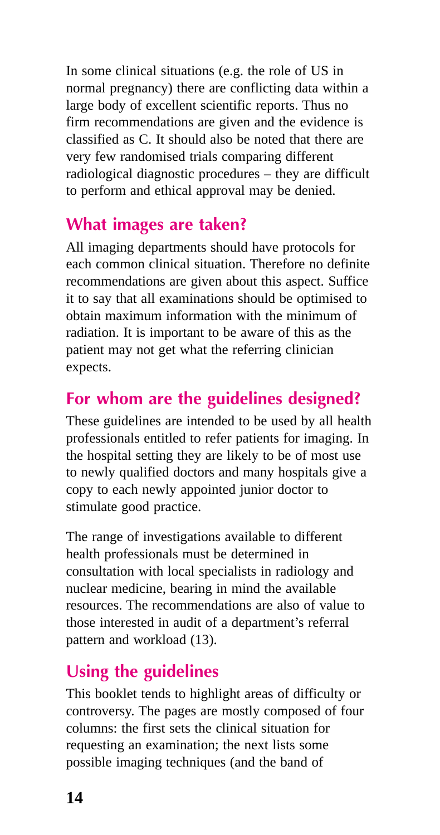In some clinical situations (e.g. the role of US in normal pregnancy) there are conflicting data within a large body of excellent scientific reports. Thus no firm recommendations are given and the evidence is classified as C. It should also be noted that there are very few randomised trials comparing different radiological diagnostic procedures – they are difficult to perform and ethical approval may be denied.

### **What images are taken?**

All imaging departments should have protocols for each common clinical situation. Therefore no definite recommendations are given about this aspect. Suffice it to say that all examinations should be optimised to obtain maximum information with the minimum of radiation. It is important to be aware of this as the patient may not get what the referring clinician expects.

### **For whom are the guidelines designed?**

These guidelines are intended to be used by all health professionals entitled to refer patients for imaging. In the hospital setting they are likely to be of most use to newly qualified doctors and many hospitals give a copy to each newly appointed junior doctor to stimulate good practice.

The range of investigations available to different health professionals must be determined in consultation with local specialists in radiology and nuclear medicine, bearing in mind the available resources. The recommendations are also of value to those interested in audit of a department's referral pattern and workload (13).

### **Using the guidelines**

This booklet tends to highlight areas of difficulty or controversy. The pages are mostly composed of four columns: the first sets the clinical situation for requesting an examination; the next lists some possible imaging techniques (and the band of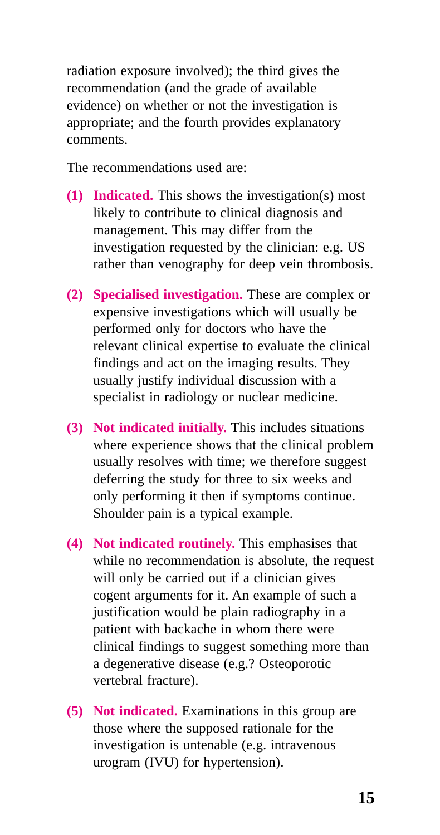radiation exposure involved); the third gives the recommendation (and the grade of available evidence) on whether or not the investigation is appropriate; and the fourth provides explanatory comments.

The recommendations used are:

- **(1) Indicated.** This shows the investigation(s) most likely to contribute to clinical diagnosis and management. This may differ from the investigation requested by the clinician: e.g. US rather than venography for deep vein thrombosis.
- **(2) Specialised investigation.** These are complex or expensive investigations which will usually be performed only for doctors who have the relevant clinical expertise to evaluate the clinical findings and act on the imaging results. They usually justify individual discussion with a specialist in radiology or nuclear medicine.
- **(3) Not indicated initially.** This includes situations where experience shows that the clinical problem usually resolves with time; we therefore suggest deferring the study for three to six weeks and only performing it then if symptoms continue. Shoulder pain is a typical example.
- **(4) Not indicated routinely.** This emphasises that while no recommendation is absolute, the request will only be carried out if a clinician gives cogent arguments for it. An example of such a justification would be plain radiography in a patient with backache in whom there were clinical findings to suggest something more than a degenerative disease (e.g.? Osteoporotic vertebral fracture).
- **(5) Not indicated.** Examinations in this group are those where the supposed rationale for the investigation is untenable (e.g. intravenous urogram (IVU) for hypertension).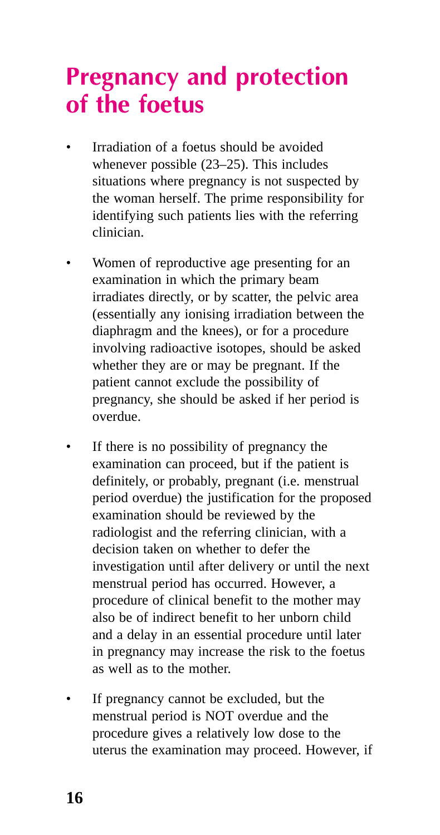### **Pregnancy and protection of the foetus**

- Irradiation of a foetus should be avoided whenever possible (23–25). This includes situations where pregnancy is not suspected by the woman herself. The prime responsibility for identifying such patients lies with the referring clinician.
- Women of reproductive age presenting for an examination in which the primary beam irradiates directly, or by scatter, the pelvic area (essentially any ionising irradiation between the diaphragm and the knees), or for a procedure involving radioactive isotopes, should be asked whether they are or may be pregnant. If the patient cannot exclude the possibility of pregnancy, she should be asked if her period is overdue.
- If there is no possibility of pregnancy the examination can proceed, but if the patient is definitely, or probably, pregnant (i.e. menstrual period overdue) the justification for the proposed examination should be reviewed by the radiologist and the referring clinician, with a decision taken on whether to defer the investigation until after delivery or until the next menstrual period has occurred. However, a procedure of clinical benefit to the mother may also be of indirect benefit to her unborn child and a delay in an essential procedure until later in pregnancy may increase the risk to the foetus as well as to the mother.
- If pregnancy cannot be excluded, but the menstrual period is NOT overdue and the procedure gives a relatively low dose to the uterus the examination may proceed. However, if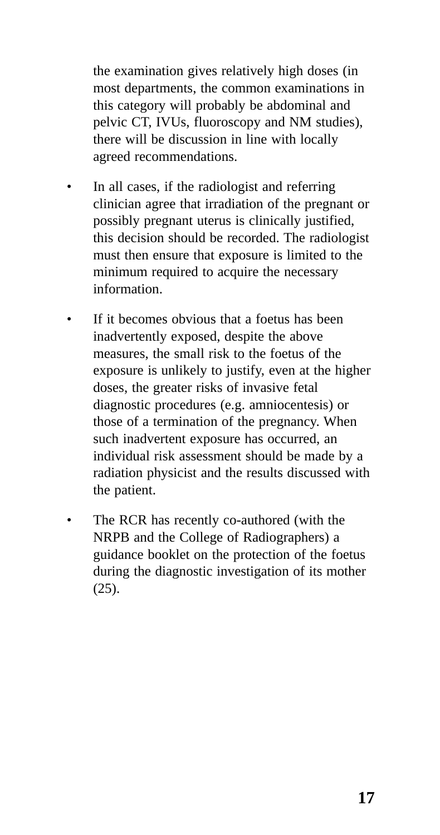the examination gives relatively high doses (in most departments, the common examinations in this category will probably be abdominal and pelvic CT, IVUs, fluoroscopy and NM studies), there will be discussion in line with locally agreed recommendations.

- In all cases, if the radiologist and referring clinician agree that irradiation of the pregnant or possibly pregnant uterus is clinically justified, this decision should be recorded. The radiologist must then ensure that exposure is limited to the minimum required to acquire the necessary information.
- If it becomes obvious that a foetus has been inadvertently exposed, despite the above measures, the small risk to the foetus of the exposure is unlikely to justify, even at the higher doses, the greater risks of invasive fetal diagnostic procedures (e.g. amniocentesis) or those of a termination of the pregnancy. When such inadvertent exposure has occurred, an individual risk assessment should be made by a radiation physicist and the results discussed with the patient.
- The RCR has recently co-authored (with the NRPB and the College of Radiographers) a guidance booklet on the protection of the foetus during the diagnostic investigation of its mother (25).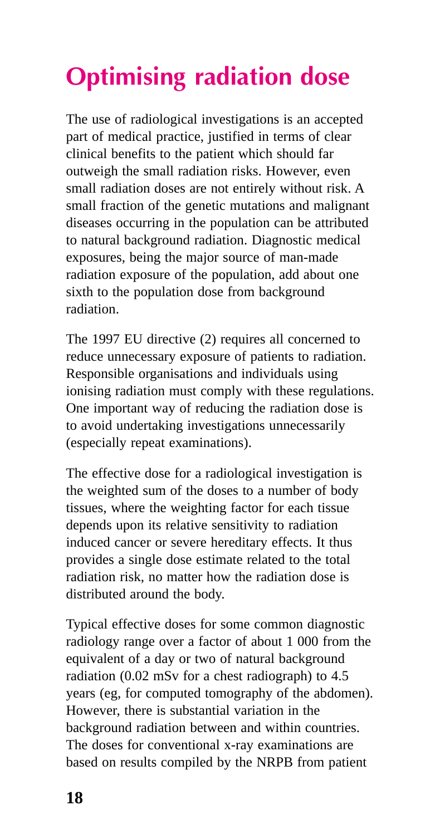# **Optimising radiation dose**

The use of radiological investigations is an accepted part of medical practice, justified in terms of clear clinical benefits to the patient which should far outweigh the small radiation risks. However, even small radiation doses are not entirely without risk. A small fraction of the genetic mutations and malignant diseases occurring in the population can be attributed to natural background radiation. Diagnostic medical exposures, being the major source of man-made radiation exposure of the population, add about one sixth to the population dose from background radiation.

The 1997 EU directive (2) requires all concerned to reduce unnecessary exposure of patients to radiation. Responsible organisations and individuals using ionising radiation must comply with these regulations. One important way of reducing the radiation dose is to avoid undertaking investigations unnecessarily (especially repeat examinations).

The effective dose for a radiological investigation is the weighted sum of the doses to a number of body tissues, where the weighting factor for each tissue depends upon its relative sensitivity to radiation induced cancer or severe hereditary effects. It thus provides a single dose estimate related to the total radiation risk, no matter how the radiation dose is distributed around the body.

Typical effective doses for some common diagnostic radiology range over a factor of about 1 000 from the equivalent of a day or two of natural background radiation (0.02 mSv for a chest radiograph) to 4.5 years (eg, for computed tomography of the abdomen). However, there is substantial variation in the background radiation between and within countries. The doses for conventional x-ray examinations are based on results compiled by the NRPB from patient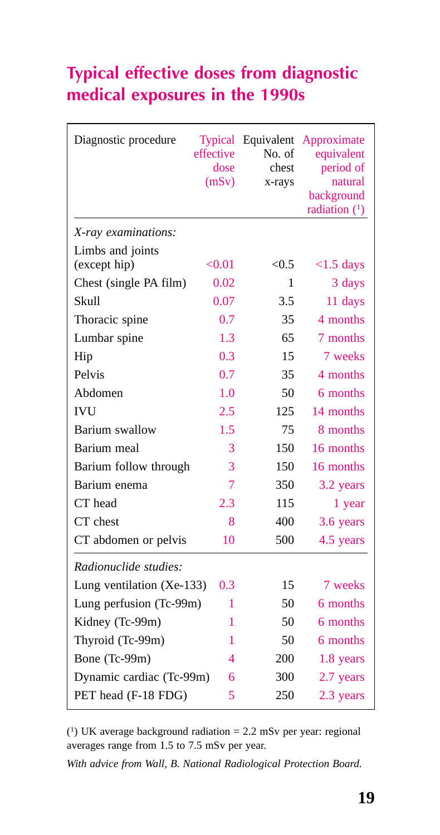### **Typical effective doses from diagnostic medical exposures in the 1990s**

| Diagnostic procedure        | <b>Typical</b><br>effective<br>dose<br>(mSv) | Equivalent<br>No. of<br>chest<br>x-rays | Approximate<br>equivalent<br>period of<br>natural<br>background<br>radiation $(1)$ |
|-----------------------------|----------------------------------------------|-----------------------------------------|------------------------------------------------------------------------------------|
| X-ray examinations:         |                                              |                                         |                                                                                    |
| Limbs and joints            |                                              |                                         |                                                                                    |
| (except hip)                | < 0.01                                       | < 0.5                                   | $<1.5$ days                                                                        |
| Chest (single PA film)      | 0.02                                         | 1                                       | 3 days                                                                             |
| <b>Skull</b>                | 0.07                                         | 3.5                                     | 11 days                                                                            |
| Thoracic spine              | 0.7                                          | 35                                      | 4 months                                                                           |
| Lumbar spine                | 1.3                                          | 65                                      | 7 months                                                                           |
| Hip                         | 0.3                                          | 15                                      | 7 weeks                                                                            |
| Pelvis                      | 0.7                                          | 35                                      | 4 months                                                                           |
| Abdomen                     | 1.0                                          | 50                                      | 6 months                                                                           |
| <b>IVU</b>                  | 2.5                                          | 125                                     | 14 months                                                                          |
| Barium swallow              | 1.5                                          | 75                                      | 8 months                                                                           |
| Barium meal                 | 3                                            | 150                                     | 16 months                                                                          |
| Barium follow through       | 3                                            | 150                                     | 16 months                                                                          |
| Barium enema                | 7                                            | 350                                     | 3.2 years                                                                          |
| CT head                     | 2.3                                          | 115                                     | 1 year                                                                             |
| CT chest                    | 8                                            | 400                                     | 3.6 years                                                                          |
| CT abdomen or pelvis        | 10                                           | 500                                     | 4.5 years                                                                          |
| Radionuclide studies:       |                                              |                                         |                                                                                    |
| Lung ventilation $(Xe-133)$ | 0.3                                          | 15                                      | 7 weeks                                                                            |
| Lung perfusion (Tc-99m)     | 1                                            | 50                                      | 6 months                                                                           |
| Kidney (Tc-99m)             | 1                                            | 50                                      | 6 months                                                                           |
| Thyroid (Tc-99m)            | 1                                            | 50                                      | 6 months                                                                           |
| Bone (Tc-99m)               | 4                                            | 200                                     | 1.8 years                                                                          |
| Dynamic cardiac (Tc-99m)    | 6                                            | 300                                     | 2.7 years                                                                          |
| PET head (F-18 FDG)         | 5                                            | 250                                     | 2.3 years                                                                          |

 $(1)$  UK average background radiation = 2.2 mSv per year: regional averages range from 1.5 to 7.5 mSv per year.

*With advice from Wall, B. National Radiological Protection Board.*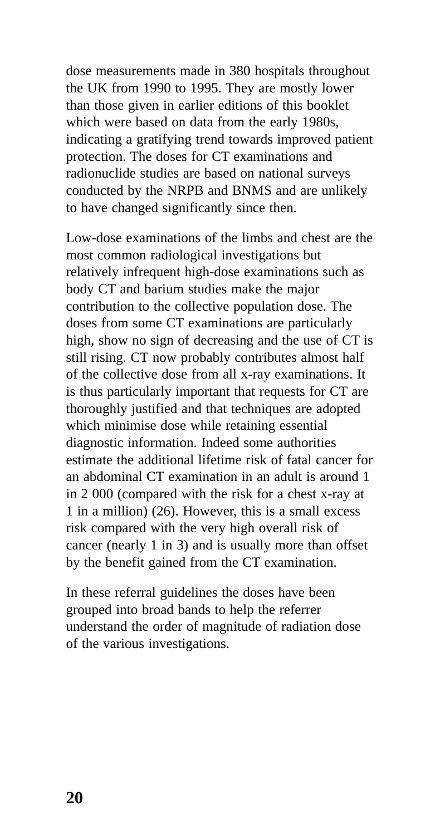dose measurements made in 380 hospitals throughout the UK from 1990 to 1995. They are mostly lower than those given in earlier editions of this booklet which were based on data from the early 1980s, indicating a gratifying trend towards improved patient protection. The doses for CT examinations and radionuclide studies are based on national surveys conducted by the NRPB and BNMS and are unlikely to have changed significantly since then.

Low-dose examinations of the limbs and chest are the most common radiological investigations but relatively infrequent high-dose examinations such as body CT and barium studies make the major contribution to the collective population dose. The doses from some CT examinations are particularly high, show no sign of decreasing and the use of CT is still rising. CT now probably contributes almost half of the collective dose from all x-ray examinations. It is thus particularly important that requests for CT are thoroughly justified and that techniques are adopted which minimise dose while retaining essential diagnostic information. Indeed some authorities estimate the additional lifetime risk of fatal cancer for an abdominal CT examination in an adult is around 1 in 2 000 (compared with the risk for a chest x-ray at 1 in a million) (26). However, this is a small excess risk compared with the very high overall risk of cancer (nearly 1 in 3) and is usually more than offset by the benefit gained from the CT examination.

In these referral guidelines the doses have been grouped into broad bands to help the referrer understand the order of magnitude of radiation dose of the various investigations.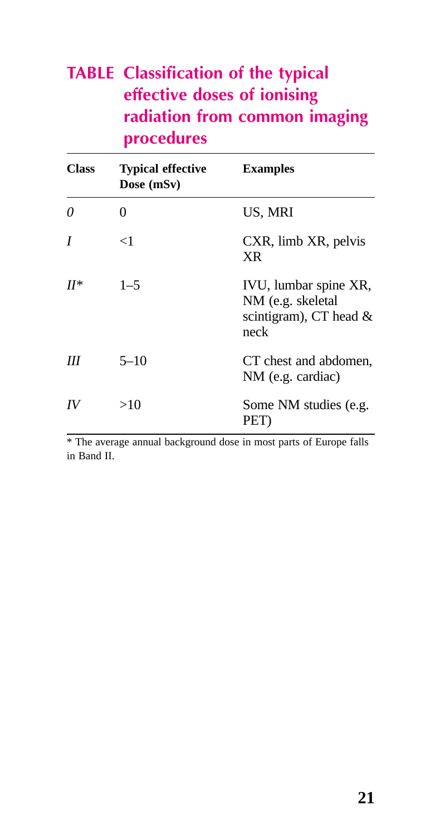### **TABLE Classification of the typical effective doses of ionising radiation from common imaging procedures**

| <b>Class</b> | <b>Typical effective</b><br>Dose (mSv) | <b>Examples</b>                                                                |
|--------------|----------------------------------------|--------------------------------------------------------------------------------|
| 0            | 0                                      | US, MRI                                                                        |
| I            | <1                                     | CXR, limb XR, pelvis<br>XR                                                     |
| $H^*$        | $1 - 5$                                | IVU, lumbar spine XR,<br>NM (e.g. skeletal<br>scintigram), CT head $&$<br>neck |
| Ш            | $5 - 10$                               | CT chest and abdomen,<br>NM (e.g. cardiac)                                     |
| IV           | >10                                    | Some NM studies (e.g.<br>PET)                                                  |

\* The average annual background dose in most parts of Europe falls in Band II.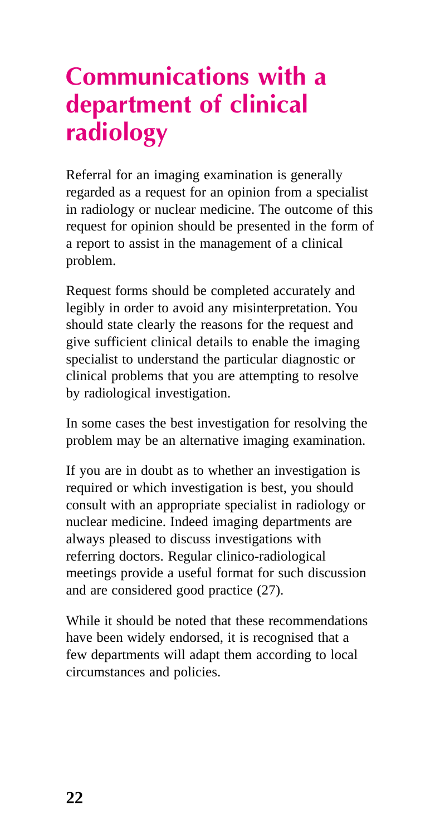## **Communications with a department of clinical radiology**

Referral for an imaging examination is generally regarded as a request for an opinion from a specialist in radiology or nuclear medicine. The outcome of this request for opinion should be presented in the form of a report to assist in the management of a clinical problem.

Request forms should be completed accurately and legibly in order to avoid any misinterpretation. You should state clearly the reasons for the request and give sufficient clinical details to enable the imaging specialist to understand the particular diagnostic or clinical problems that you are attempting to resolve by radiological investigation.

In some cases the best investigation for resolving the problem may be an alternative imaging examination.

If you are in doubt as to whether an investigation is required or which investigation is best, you should consult with an appropriate specialist in radiology or nuclear medicine. Indeed imaging departments are always pleased to discuss investigations with referring doctors. Regular clinico-radiological meetings provide a useful format for such discussion and are considered good practice (27).

While it should be noted that these recommendations have been widely endorsed, it is recognised that a few departments will adapt them according to local circumstances and policies.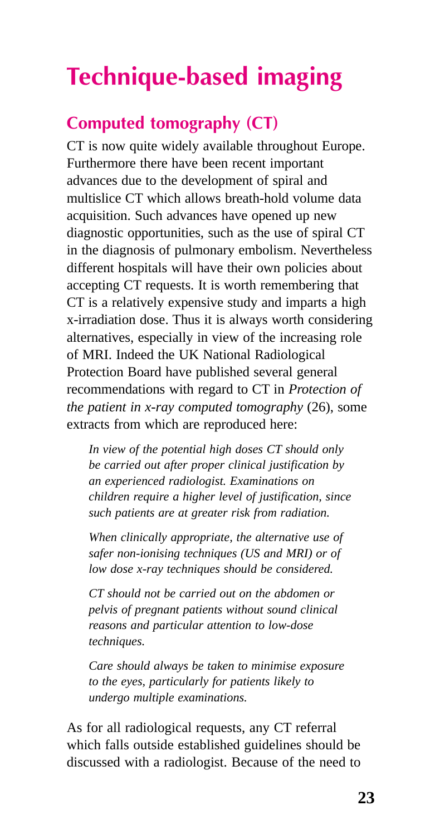## **Technique-based imaging**

### **Computed tomography (CT)**

CT is now quite widely available throughout Europe. Furthermore there have been recent important advances due to the development of spiral and multislice CT which allows breath-hold volume data acquisition. Such advances have opened up new diagnostic opportunities, such as the use of spiral CT in the diagnosis of pulmonary embolism. Nevertheless different hospitals will have their own policies about accepting CT requests. It is worth remembering that CT is a relatively expensive study and imparts a high x-irradiation dose. Thus it is always worth considering alternatives, especially in view of the increasing role of MRI. Indeed the UK National Radiological Protection Board have published several general recommendations with regard to CT in *Protection of the patient in x-ray computed tomography* (26), some extracts from which are reproduced here:

*In view of the potential high doses CT should only be carried out after proper clinical justification by an experienced radiologist. Examinations on children require a higher level of justification, since such patients are at greater risk from radiation.*

*When clinically appropriate, the alternative use of safer non-ionising techniques (US and MRI) or of low dose x-ray techniques should be considered.*

*CT should not be carried out on the abdomen or pelvis of pregnant patients without sound clinical reasons and particular attention to low-dose techniques.*

*Care should always be taken to minimise exposure to the eyes, particularly for patients likely to undergo multiple examinations.*

As for all radiological requests, any CT referral which falls outside established guidelines should be discussed with a radiologist. Because of the need to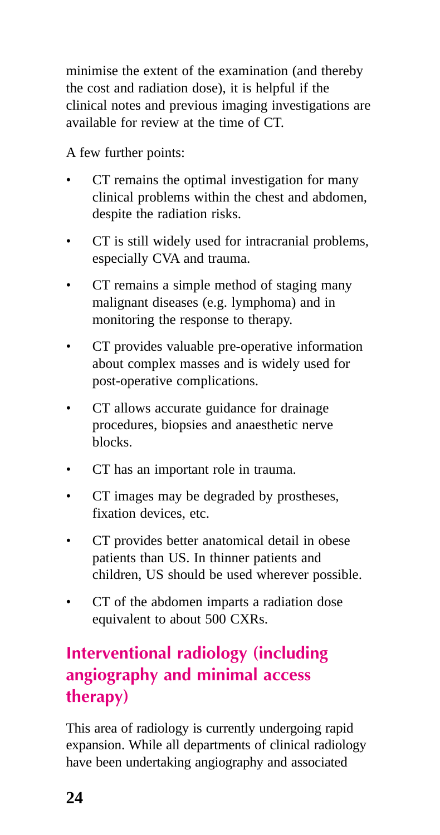minimise the extent of the examination (and thereby the cost and radiation dose), it is helpful if the clinical notes and previous imaging investigations are available for review at the time of CT.

A few further points:

- CT remains the optimal investigation for many clinical problems within the chest and abdomen, despite the radiation risks.
- CT is still widely used for intracranial problems, especially CVA and trauma.
- CT remains a simple method of staging many malignant diseases (e.g. lymphoma) and in monitoring the response to therapy.
- CT provides valuable pre-operative information about complex masses and is widely used for post-operative complications.
- CT allows accurate guidance for drainage procedures, biopsies and anaesthetic nerve blocks.
- CT has an important role in trauma.
- CT images may be degraded by prostheses, fixation devices, etc.
- CT provides better anatomical detail in obese patients than US. In thinner patients and children, US should be used wherever possible.
- CT of the abdomen imparts a radiation dose equivalent to about 500 CXRs.

### **Interventional radiology (including angiography and minimal access therapy)**

This area of radiology is currently undergoing rapid expansion. While all departments of clinical radiology have been undertaking angiography and associated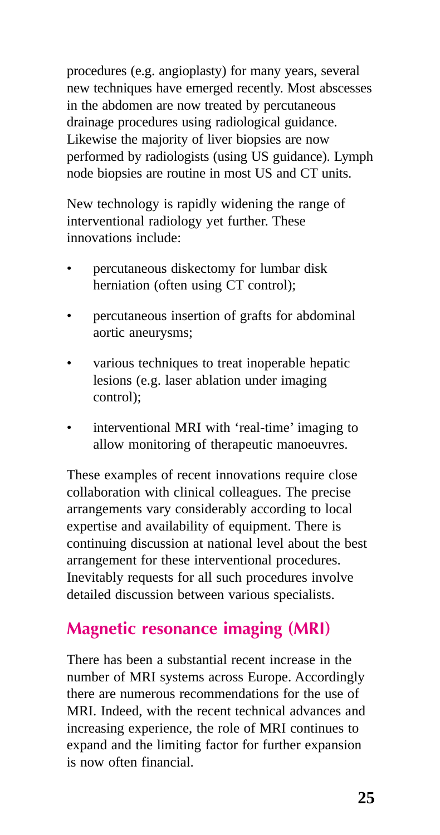procedures (e.g. angioplasty) for many years, several new techniques have emerged recently. Most abscesses in the abdomen are now treated by percutaneous drainage procedures using radiological guidance. Likewise the majority of liver biopsies are now performed by radiologists (using US guidance). Lymph node biopsies are routine in most US and CT units.

New technology is rapidly widening the range of interventional radiology yet further. These innovations include:

- percutaneous diskectomy for lumbar disk herniation (often using CT control);
- percutaneous insertion of grafts for abdominal aortic aneurysms;
- various techniques to treat inoperable hepatic lesions (e.g. laser ablation under imaging control);
- interventional MRI with 'real-time' imaging to allow monitoring of therapeutic manoeuvres.

These examples of recent innovations require close collaboration with clinical colleagues. The precise arrangements vary considerably according to local expertise and availability of equipment. There is continuing discussion at national level about the best arrangement for these interventional procedures. Inevitably requests for all such procedures involve detailed discussion between various specialists.

#### **Magnetic resonance imaging (MRI)**

There has been a substantial recent increase in the number of MRI systems across Europe. Accordingly there are numerous recommendations for the use of MRI. Indeed, with the recent technical advances and increasing experience, the role of MRI continues to expand and the limiting factor for further expansion is now often financial.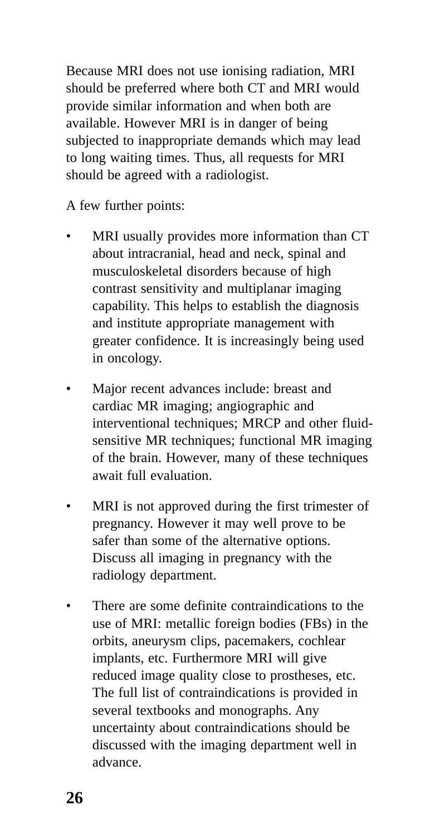Because MRI does not use ionising radiation, MRI should be preferred where both CT and MRI would provide similar information and when both are available. However MRI is in danger of being subjected to inappropriate demands which may lead to long waiting times. Thus, all requests for MRI should be agreed with a radiologist.

A few further points:

- MRI usually provides more information than CT about intracranial, head and neck, spinal and musculoskeletal disorders because of high contrast sensitivity and multiplanar imaging capability. This helps to establish the diagnosis and institute appropriate management with greater confidence. It is increasingly being used in oncology.
- Major recent advances include: breast and cardiac MR imaging; angiographic and interventional techniques; MRCP and other fluidsensitive MR techniques; functional MR imaging of the brain. However, many of these techniques await full evaluation.
- MRI is not approved during the first trimester of pregnancy. However it may well prove to be safer than some of the alternative options. Discuss all imaging in pregnancy with the radiology department.
- There are some definite contraindications to the use of MRI: metallic foreign bodies (FBs) in the orbits, aneurysm clips, pacemakers, cochlear implants, etc. Furthermore MRI will give reduced image quality close to prostheses, etc. The full list of contraindications is provided in several textbooks and monographs. Any uncertainty about contraindications should be discussed with the imaging department well in advance.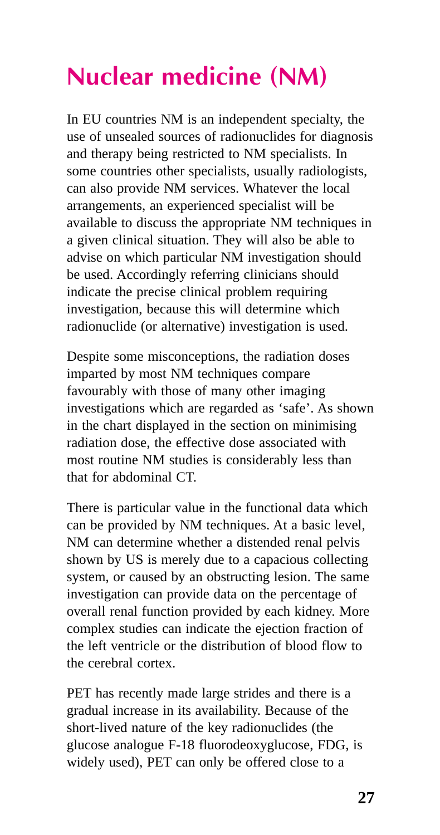## **Nuclear medicine (NM)**

In EU countries NM is an independent specialty, the use of unsealed sources of radionuclides for diagnosis and therapy being restricted to NM specialists. In some countries other specialists, usually radiologists, can also provide NM services. Whatever the local arrangements, an experienced specialist will be available to discuss the appropriate NM techniques in a given clinical situation. They will also be able to advise on which particular NM investigation should be used. Accordingly referring clinicians should indicate the precise clinical problem requiring investigation, because this will determine which radionuclide (or alternative) investigation is used.

Despite some misconceptions, the radiation doses imparted by most NM techniques compare favourably with those of many other imaging investigations which are regarded as 'safe'. As shown in the chart displayed in the section on minimising radiation dose, the effective dose associated with most routine NM studies is considerably less than that for abdominal CT.

There is particular value in the functional data which can be provided by NM techniques. At a basic level, NM can determine whether a distended renal pelvis shown by US is merely due to a capacious collecting system, or caused by an obstructing lesion. The same investigation can provide data on the percentage of overall renal function provided by each kidney. More complex studies can indicate the ejection fraction of the left ventricle or the distribution of blood flow to the cerebral cortex.

PET has recently made large strides and there is a gradual increase in its availability. Because of the short-lived nature of the key radionuclides (the glucose analogue F-18 fluorodeoxyglucose, FDG, is widely used), PET can only be offered close to a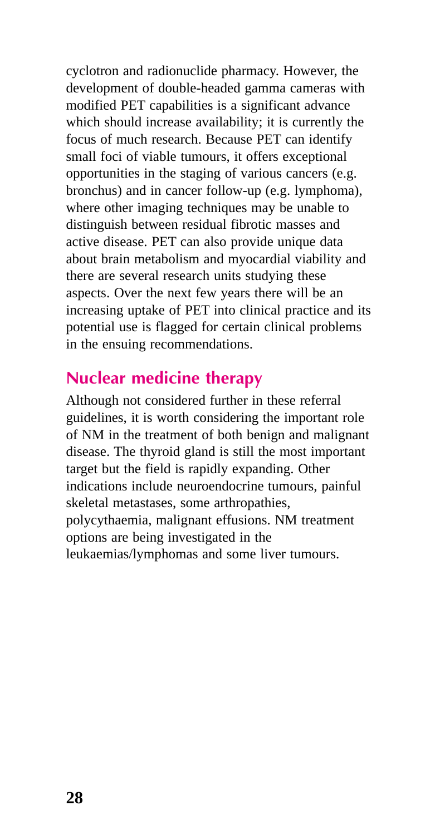cyclotron and radionuclide pharmacy. However, the development of double-headed gamma cameras with modified PET capabilities is a significant advance which should increase availability; it is currently the focus of much research. Because PET can identify small foci of viable tumours, it offers exceptional opportunities in the staging of various cancers (e.g. bronchus) and in cancer follow-up (e.g. lymphoma), where other imaging techniques may be unable to distinguish between residual fibrotic masses and active disease. PET can also provide unique data about brain metabolism and myocardial viability and there are several research units studying these aspects. Over the next few years there will be an increasing uptake of PET into clinical practice and its potential use is flagged for certain clinical problems in the ensuing recommendations.

#### **Nuclear medicine therapy**

Although not considered further in these referral guidelines, it is worth considering the important role of NM in the treatment of both benign and malignant disease. The thyroid gland is still the most important target but the field is rapidly expanding. Other indications include neuroendocrine tumours, painful skeletal metastases, some arthropathies, polycythaemia, malignant effusions. NM treatment options are being investigated in the leukaemias/lymphomas and some liver tumours.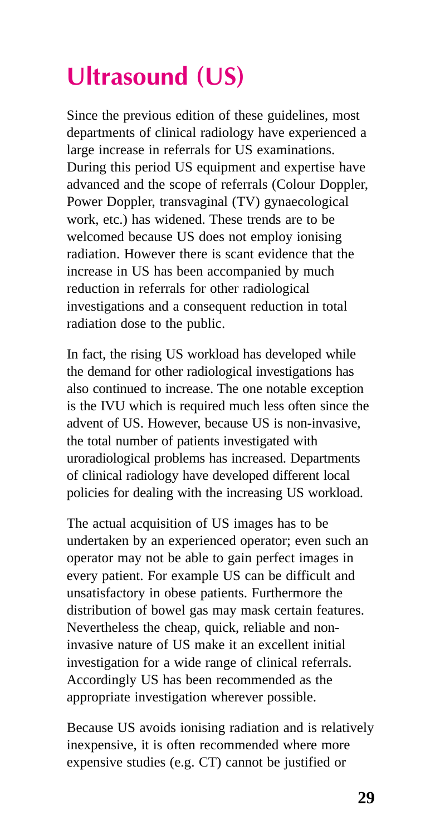## **Ultrasound (US)**

Since the previous edition of these guidelines, most departments of clinical radiology have experienced a large increase in referrals for US examinations. During this period US equipment and expertise have advanced and the scope of referrals (Colour Doppler, Power Doppler, transvaginal (TV) gynaecological work, etc.) has widened. These trends are to be welcomed because US does not employ ionising radiation. However there is scant evidence that the increase in US has been accompanied by much reduction in referrals for other radiological investigations and a consequent reduction in total radiation dose to the public.

In fact, the rising US workload has developed while the demand for other radiological investigations has also continued to increase. The one notable exception is the IVU which is required much less often since the advent of US. However, because US is non-invasive, the total number of patients investigated with uroradiological problems has increased. Departments of clinical radiology have developed different local policies for dealing with the increasing US workload.

The actual acquisition of US images has to be undertaken by an experienced operator; even such an operator may not be able to gain perfect images in every patient. For example US can be difficult and unsatisfactory in obese patients. Furthermore the distribution of bowel gas may mask certain features. Nevertheless the cheap, quick, reliable and noninvasive nature of US make it an excellent initial investigation for a wide range of clinical referrals. Accordingly US has been recommended as the appropriate investigation wherever possible.

Because US avoids ionising radiation and is relatively inexpensive, it is often recommended where more expensive studies (e.g. CT) cannot be justified or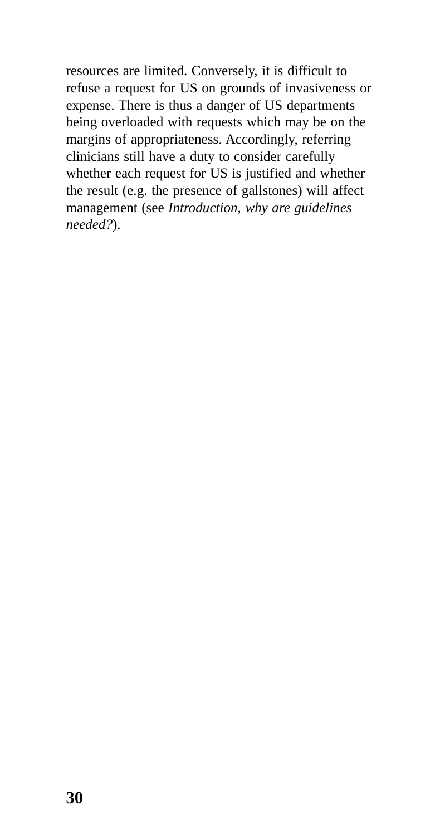resources are limited. Conversely, it is difficult to refuse a request for US on grounds of invasiveness or expense. There is thus a danger of US departments being overloaded with requests which may be on the margins of appropriateness. Accordingly, referring clinicians still have a duty to consider carefully whether each request for US is justified and whether the result (e.g. the presence of gallstones) will affect management (see *Introduction, why are guidelines needed?*).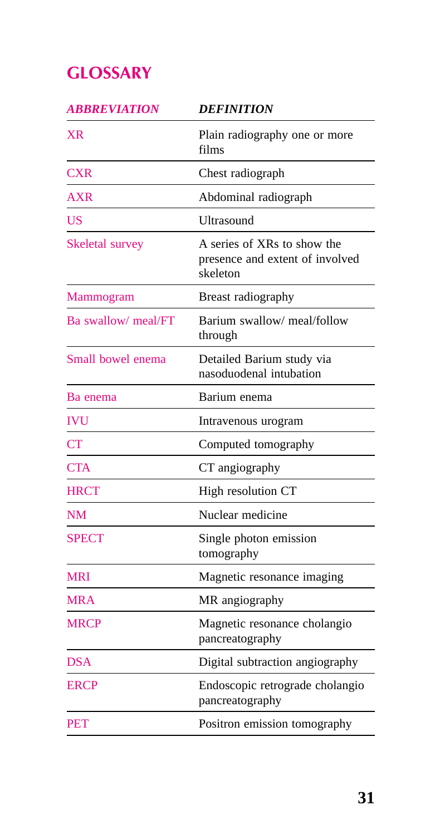### **GLOSSARY**

| <i><b>ABBREVIATION</b></i> | <b>DEFINITION</b>                                                          |
|----------------------------|----------------------------------------------------------------------------|
| XR                         | Plain radiography one or more<br>films                                     |
| <b>CXR</b>                 | Chest radiograph                                                           |
| <b>AXR</b>                 | Abdominal radiograph                                                       |
| <b>US</b>                  | Ultrasound                                                                 |
| Skeletal survey            | A series of XRs to show the<br>presence and extent of involved<br>skeleton |
| Mammogram                  | Breast radiography                                                         |
| Ba swallow/ meal/FT        | Barium swallow/ meal/follow<br>through                                     |
| Small bowel enema          | Detailed Barium study via<br>nasoduodenal intubation                       |
| Ba enema                   | Barium enema                                                               |
| <b>IVU</b>                 | Intravenous urogram                                                        |
| <b>CT</b>                  | Computed tomography                                                        |
| <b>CTA</b>                 | CT angiography                                                             |
| <b>HRCT</b>                | High resolution CT                                                         |
| <b>NM</b>                  | Nuclear medicine                                                           |
| <b>SPECT</b>               | Single photon emission<br>tomography                                       |
| <b>MRI</b>                 | Magnetic resonance imaging                                                 |
| MRA                        | MR angiography                                                             |
| <b>MRCP</b>                | Magnetic resonance cholangio<br>pancreatography                            |
| <b>DSA</b>                 | Digital subtraction angiography                                            |
| ERCP                       | Endoscopic retrograde cholangio<br>pancreatography                         |
| <b>PET</b>                 | Positron emission tomography                                               |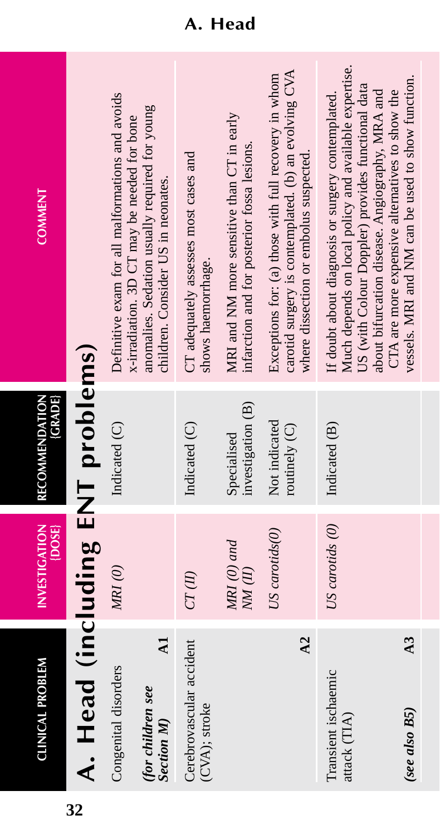| <b>COMMENT</b>                   |                                  | Definitive exam for all malformations and avoids<br>anomalies. Sedation usually required for young<br>x-irradiation. 3D CT may be needed for bone<br>children. Consider US in neonates. | CT adequately assesses most cases and<br>shows haemorrhage. | MRI and NM more sensitive than CT in early<br>infarction and for posterior fossa lesions. | carotid surgery is contemplated. (b) an evolving CVA<br>Exceptions for: (a) those with full recovery in whom<br>where dissection or embolus suspected. | Much depends on local policy and available expertise.<br>US (with Colour Doppler) provides functional data<br>about bifurcation disease. Angiography, MRA and<br>CTA are more expensive alternatives to show the<br>If doubt about diagnosis or surgery contemplated. | vessels. MRI and NM can be used to show function. |
|----------------------------------|----------------------------------|-----------------------------------------------------------------------------------------------------------------------------------------------------------------------------------------|-------------------------------------------------------------|-------------------------------------------------------------------------------------------|--------------------------------------------------------------------------------------------------------------------------------------------------------|-----------------------------------------------------------------------------------------------------------------------------------------------------------------------------------------------------------------------------------------------------------------------|---------------------------------------------------|
| (GRADE)<br><b>RECOMMENDATION</b> |                                  | Indicated (C)                                                                                                                                                                           | Indicated (C)                                               | investigation (B)<br>Specialised                                                          | Not indicated<br>routinely $(C)$                                                                                                                       | Indicated (B)                                                                                                                                                                                                                                                         |                                                   |
| <b>INVESTIGATION</b><br>{DOSE}   |                                  | MRI(0)                                                                                                                                                                                  | CT(II)                                                      | MRI (0) and<br>NM(II)                                                                     | US carotids(0)                                                                                                                                         | US carotids (0)                                                                                                                                                                                                                                                       |                                                   |
| <b>CLINICAL PROBLEM</b>          | A. Head (including ENT problems) | $\mathbf{A}$<br>Congenital disorders<br>(for children see<br><b>Section M</b> )                                                                                                         | Cerebrovascular accident<br>(CVA); stroke                   |                                                                                           | $\Delta$ 2                                                                                                                                             | Transient ischaemic<br>attack (TIA)                                                                                                                                                                                                                                   | $\overline{A}3$<br>$(see also BS))$               |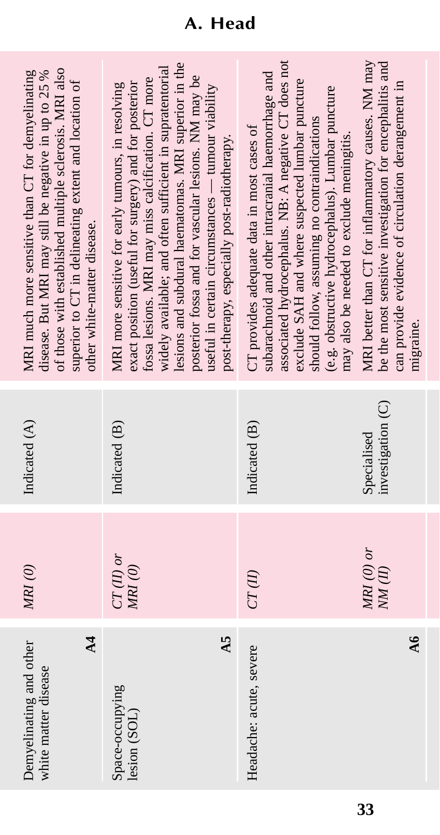| of those with established multiple sclerosis. MRI also<br>MRI much more sensitive than CT for demyelinating<br>disease. But MRI may still be negative in up to 25 %<br>superior to CT in delineating extent and location of<br>other white-matter disease. | lesions and subdural haematomas. MRI superior in the<br>widely available; and often sufficient in supratentorial<br>posterior fossa and for vascular lesions. NM may be<br>fossa lesions. MRI may miss calcification. CT more<br>exact position (useful for surgery) and for posterior<br>MRI more sensitive for early tumours, in resolving<br>useful in certain circumstances — tumour viability<br>post-therapy, especially post-radiotherapy. | associated hydrocephalus. NB: A negative CT does not<br>subarachnoid and other intracranial haemorrhage and<br>exclude SAH and where suspected lumbar puncture<br>(e.g. obstructive hydrocephalus). Lumbar puncture<br>should follow, assuming no contraindications<br>CT provides adequate data in most cases of<br>may also be needed to exclude meningitis. | MRI better than CT for inflammatory causes. NM may<br>be the most sensitive investigation for encephalitis and<br>can provide evidence of circulation derangement in<br>migraine. |
|------------------------------------------------------------------------------------------------------------------------------------------------------------------------------------------------------------------------------------------------------------|---------------------------------------------------------------------------------------------------------------------------------------------------------------------------------------------------------------------------------------------------------------------------------------------------------------------------------------------------------------------------------------------------------------------------------------------------|----------------------------------------------------------------------------------------------------------------------------------------------------------------------------------------------------------------------------------------------------------------------------------------------------------------------------------------------------------------|-----------------------------------------------------------------------------------------------------------------------------------------------------------------------------------|
| Indicated (A)                                                                                                                                                                                                                                              | Indicated (B)                                                                                                                                                                                                                                                                                                                                                                                                                                     | Indicated (B)                                                                                                                                                                                                                                                                                                                                                  | investigation (C)<br>Specialised                                                                                                                                                  |
| MRI(0)                                                                                                                                                                                                                                                     | $CT(II)$ or<br>MRI(0)                                                                                                                                                                                                                                                                                                                                                                                                                             | $CT(\mathit{II})$                                                                                                                                                                                                                                                                                                                                              | $MRI$ (0) or<br>NM(H)                                                                                                                                                             |
| $\overline{4}$<br>Demyelinating and other<br>white matter disease                                                                                                                                                                                          | $\overline{45}$<br>Space-occupying<br>lesion (SOL)                                                                                                                                                                                                                                                                                                                                                                                                | Headache: acute, severe                                                                                                                                                                                                                                                                                                                                        | $\overline{\mathbf{A}}$                                                                                                                                                           |

### **A. Head**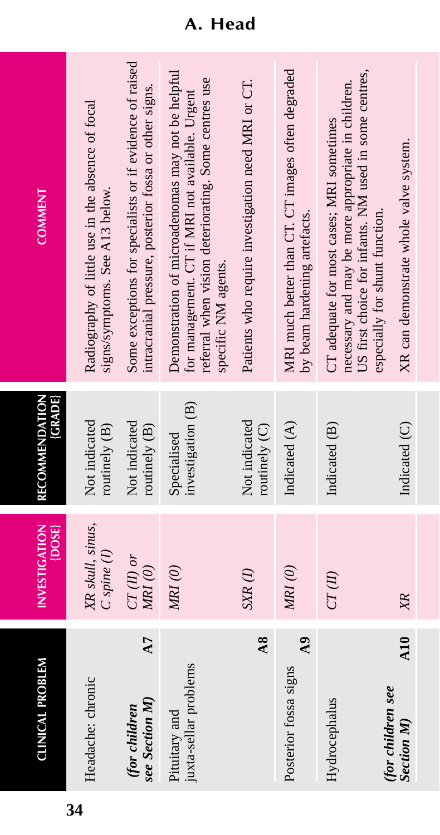| <b>COMMENT</b>                 | Radiography of little use in the absence of focal<br>signs/symptoms. See A13 below. | Some exceptions for specialists or if evidence of raised<br>intracranial pressure, posterior fossa or other signs. | Demonstration of microadenomas may not be helpful<br>referral when vision deteriorating. Some centres use<br>for management. CT if MRI not available. Urgent<br>specific NM agents. | Patients who require investigation need MRI or CT. | MRI much better than CT. CT images often degraded<br>by beam hardening artefacts. | US first choice for infants. NM used in some centres,<br>necessary and may be more appropriate in children.<br>CT adequate for most cases; MRI sometimes<br>especially for shunt function. | XR can demonstrate whole valve system. |
|--------------------------------|-------------------------------------------------------------------------------------|--------------------------------------------------------------------------------------------------------------------|-------------------------------------------------------------------------------------------------------------------------------------------------------------------------------------|----------------------------------------------------|-----------------------------------------------------------------------------------|--------------------------------------------------------------------------------------------------------------------------------------------------------------------------------------------|----------------------------------------|
| (GRADE)<br>RECOMMENDATION      | Not indicated<br>routinely (B)                                                      | Not indicated<br>routinely (B)                                                                                     | investigation (B)<br>Specialised                                                                                                                                                    | Not indicated<br>routinely (C)                     | Indicated (A)                                                                     | Indicated (B)                                                                                                                                                                              | Indicated (C)                          |
| <b>INVESTIGATION</b><br>[DOSE] | XR skull, sinus,<br>$C$ spine $(I)$                                                 | $CT$ (II) or<br>$M\!R\!I\,(0)$                                                                                     | MRI(0)                                                                                                                                                                              | $S\!X\!R\left( I\right)$                           | MRI(0)                                                                            | CT(II)                                                                                                                                                                                     |                                        |
| <b>CLINICAL PROBLEM</b>        | Headache: chronic                                                                   | A7<br>see Section M)<br>(for children                                                                              | juxta-sellar problems<br>Pituitary and                                                                                                                                              | $\overline{48}$                                    | $\mathbf{A}9$<br>Posterior fossa signs                                            | (for children see<br>Hydrocephalus                                                                                                                                                         | $A10$ XR<br><b>Section M</b> )         |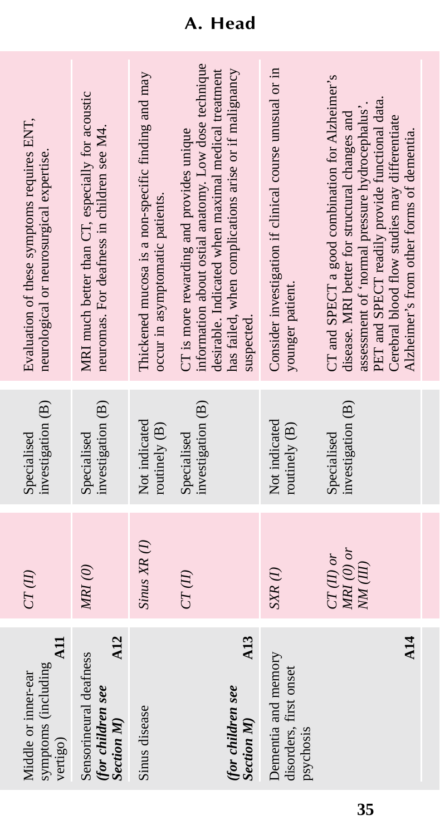| A <sub>11</sub><br>symptoms (including<br>Middle or inner-ear<br>vertigo) | CT(II)                                  | investigation (B)<br>Specialised | Evaluation of these symptoms requires ENT,<br>neurological or neurosurgical expertise.                                                                                                                                                                                                             |
|---------------------------------------------------------------------------|-----------------------------------------|----------------------------------|----------------------------------------------------------------------------------------------------------------------------------------------------------------------------------------------------------------------------------------------------------------------------------------------------|
| A12<br>Sensorineural deafness<br>(for children see<br><b>Section M</b> )  | MRI(0)                                  | investigation (B)<br>Specialised | MRI much better than CT, especially for acoustic<br>neuromas. For deafness in children see M4.                                                                                                                                                                                                     |
| Sinus disease                                                             | $Sinus XR$ $(I)$                        | Not indicated<br>routinely (B)   | Thickened mucosa is a non-specific finding and may<br>occur in asymptomatic patients.                                                                                                                                                                                                              |
| A13<br>(for children see<br><b>Section M</b>                              | $CT(\mathit{II})$                       | investigation (B)<br>Specialised | information about ostial anatomy. Low dose technique<br>desirable. Indicated when maximal medical treatment<br>has failed, when complications arise or if malignancy<br>CT is more rewarding and provides unique<br>suspected.                                                                     |
| Dementia and memory<br>disorders, first onset<br>psychosis                | $SXR$ (1)                               | Not indicated<br>routinely (B)   | Consider investigation if clinical course unusual or in<br>younger patient.                                                                                                                                                                                                                        |
| <b>A14</b>                                                                | $MRI$ (0) or<br>$CT(II)$ or<br>NM (III) | investigation (B)<br>Specialised | CT and SPECT a good combination for Alzheimer's<br>PET and SPECT readily provide functional data.<br>assessment of 'normal pressure hydrocephalus'<br>disease. MRI better for structural changes and<br>Cerebral blood flow studies may differentiate<br>Alzheimer's from other forms of dementia. |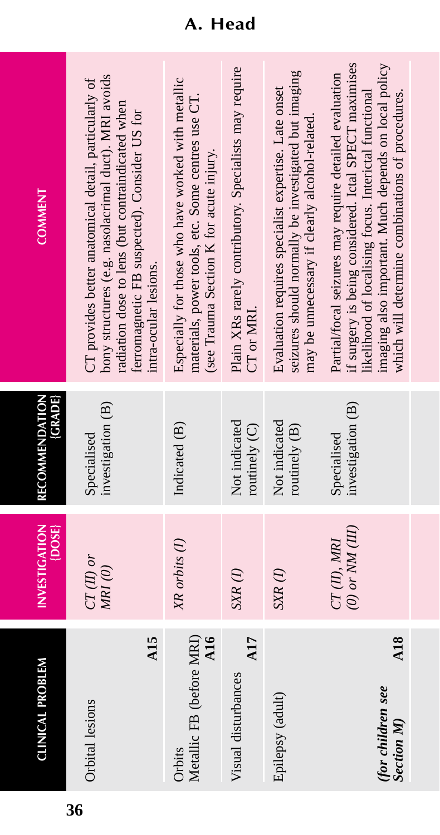| <b>CLINICAL PROBLEM</b>                               | <b>INVESTIGATION</b><br>$\{$ DOSE $\}$ | RECOMMENDATION<br>(GRADE)        | <b>COMMENT</b>                                                                                                                                                                                                                                                                       |
|-------------------------------------------------------|----------------------------------------|----------------------------------|--------------------------------------------------------------------------------------------------------------------------------------------------------------------------------------------------------------------------------------------------------------------------------------|
| A15<br>Orbital lesions                                | $CT(II)$ or<br>$MRI$ (0)               | investigation (B)<br>Specialised | bony structures (e.g. nasolacrimal duct). MRI avoids<br>CT provides better anatomical detail, particularly of<br>radiation dose to lens (but contraindicated when<br>ferromagnetic FB suspected). Consider US for<br>intra-ocular lesions.                                           |
| Metallic FB (before MRI)<br>$\overline{AB}$<br>Orbits | XR orbits (1)                          | Indicated (B)                    | Especially for those who have worked with metallic<br>materials, power tools, etc. Some centres use CT.<br>(see Trauma Section K for acute injury.                                                                                                                                   |
| A17<br>Visual disturbances                            | $SXR$ $(I)$                            | Not indicated<br>routinely $(C)$ | Plain XRs rarely contributory. Specialists may require<br>CT or MRI.                                                                                                                                                                                                                 |
| Epilepsy (adult)                                      | $SXR$ (1)                              | Not indicated<br>routinely $(B)$ | seizures should normally be investigated but imaging<br>Evaluation requires specialist expertise. Late onset<br>may be unnecessary if clearly alcohol-related                                                                                                                        |
| A18<br>(for children see<br><b>Section M</b> )        | $(0)$ or $NM$ $(III)$<br>CT(II), MRI   | investigation (B)<br>Specialised | if surgery is being considered. Ictal SPECT maximises<br>imaging also important. Much depends on local policy<br>Partial/focal seizures may require detailed evaluation<br>likelihood of localising focus. Interictal functional<br>which will determine combinations of procedures. |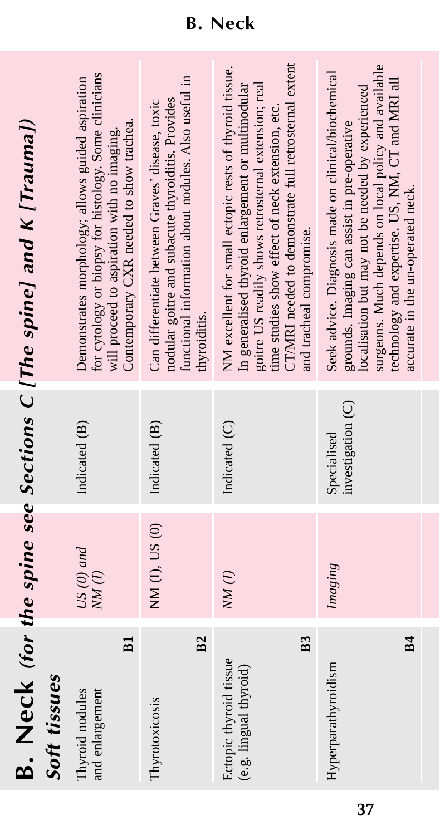| <b>B.</b> Neck (for the spine see Sections C [The spine] and K [Trauma]) |              | for cytology or biopsy for histology. Some clinicians<br>Demonstrates morphology; allows guided aspiration<br>Contemporary CXR needed to show trachea.<br>will proceed to aspiration with no imaging.<br>Indicated (B)<br>$US(0)$ and<br>NM(I)<br><b>B1</b> | functional information about nodules. Also useful in<br>nodular goitre and subacute thyroiditis. Provides<br>Can differentiate between Graves' disease, toxic<br>thyroiditis.<br>Indicated (B)<br>NM (I), US (0)<br>B <sub>2</sub> | CT/MRI needed to demonstrate full retrosternal extent<br>NM excellent for small ectopic rests of thyroid tissue.<br>goitre US readily shows retrosternal extension; real<br>In generalised thyroid enlargement or multinodular<br>time studies show effect of neck extension, etc.<br>and tracheal compromise.<br>Indicated (C)<br>NM(1)<br>B <sub>3</sub> | surgeons. Much depends on local policy and available<br>Seek advice. Diagnosis made on clinical/biochemical<br>technology and expertise. US, NM, CT and MRI all<br>localisation but may not be needed by experienced<br>grounds. Imaging can assist in pre-operative<br>investigation (C)<br>Specialised<br>Imaging |
|--------------------------------------------------------------------------|--------------|-------------------------------------------------------------------------------------------------------------------------------------------------------------------------------------------------------------------------------------------------------------|------------------------------------------------------------------------------------------------------------------------------------------------------------------------------------------------------------------------------------|------------------------------------------------------------------------------------------------------------------------------------------------------------------------------------------------------------------------------------------------------------------------------------------------------------------------------------------------------------|---------------------------------------------------------------------------------------------------------------------------------------------------------------------------------------------------------------------------------------------------------------------------------------------------------------------|
|                                                                          | Soft tissues | Thyroid nodules<br>and enlargement                                                                                                                                                                                                                          | Thyrotoxicosis                                                                                                                                                                                                                     | Ectopic thyroid tissue<br>(e.g. lingual thyroid)                                                                                                                                                                                                                                                                                                           | B <sub>4</sub><br>Hyperparathyroidism                                                                                                                                                                                                                                                                               |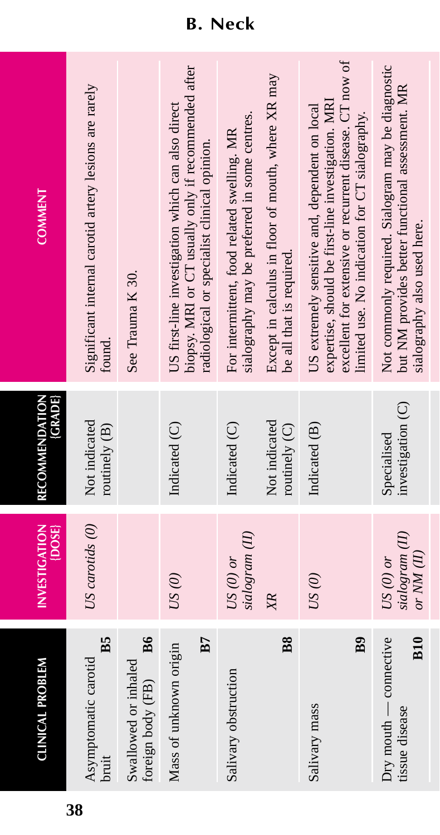| CLINICAL PROBLEM                                           | <b>INVESTIGATION</b><br>{DOSE}                  | (GRADE)<br>RECOMMENDATION        | <b>COMMENT</b>                                                                                                                                                                                                    |
|------------------------------------------------------------|-------------------------------------------------|----------------------------------|-------------------------------------------------------------------------------------------------------------------------------------------------------------------------------------------------------------------|
| B5<br>Asymptomatic carotid<br>bruit                        | US carotids (0)                                 | Not indicated<br>routinely (B)   | Significant internal carotid artery lesions are rarely<br>found.                                                                                                                                                  |
| B6<br>Swallowed or inhaled<br>foreign body (FB)            |                                                 |                                  | See Trauma K 30.                                                                                                                                                                                                  |
| <b>B7</b><br>Mass of unknown origin                        | US(0)                                           | Indicated (C)                    | biopsy. MRI or CT usually only if recommended after<br>US first-line investigation which can also direct<br>radiological or specialist clinical opinion.                                                          |
| Salivary obstruction                                       | sialogram (II)<br>$US(0)$ or                    | Indicated (C)                    | sialography may be preferred in some centres.<br>For intermittent, food related swelling. MR                                                                                                                      |
| $_{\rm BS}$                                                | XR                                              | Not indicated<br>routinely (C)   | Except in calculus in floor of mouth, where XR may<br>be all that is required.                                                                                                                                    |
| B9<br>Salivary mass                                        | US(0)                                           | Indicated (B)                    | excellent for extensive or recurrent disease. CT now of<br>expertise, should be first-line investigation. MRI<br>US extremely sensitive and, dependent on local<br>limited use. No indication for CT sialography. |
| <b>B10</b><br>$Dry$ mouth $-$ connective<br>tissue disease | sialogram (II)<br>or $NM$ $(II)$<br>US $(0)$ or | investigation (C)<br>Specialised | Not commonly required. Sialogram may be diagnostic<br>but NM provides better functional assessment. MR<br>sialography also used here.                                                                             |

### **B. Neck**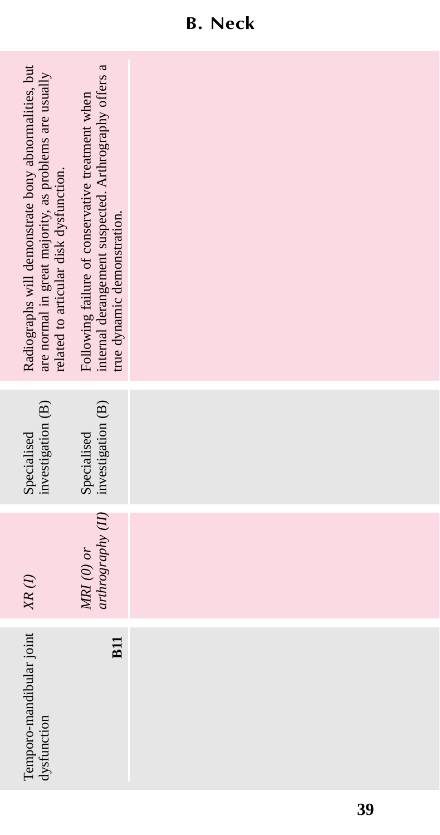| Radiographs will demonstrate bony abnormalities, but<br>are normal in great majority, as problems are usually<br>related to articular disk dysfunction. | internal derangement suspected. Arthrography offers a<br>Following failure of conservative treatment when<br>true dynamic demonstration. |  |  |
|---------------------------------------------------------------------------------------------------------------------------------------------------------|------------------------------------------------------------------------------------------------------------------------------------------|--|--|
| investigation (B)<br>Specialised                                                                                                                        | investigation (B)<br>Specialised                                                                                                         |  |  |
| $X\hspace{-1.6mm}R\left(l\right)$                                                                                                                       | arthrography (II)<br>$MRI$ (0) or                                                                                                        |  |  |
| Temporo-mandibular joint<br>dysfunction                                                                                                                 | <b>B11</b>                                                                                                                               |  |  |

### **B. Neck**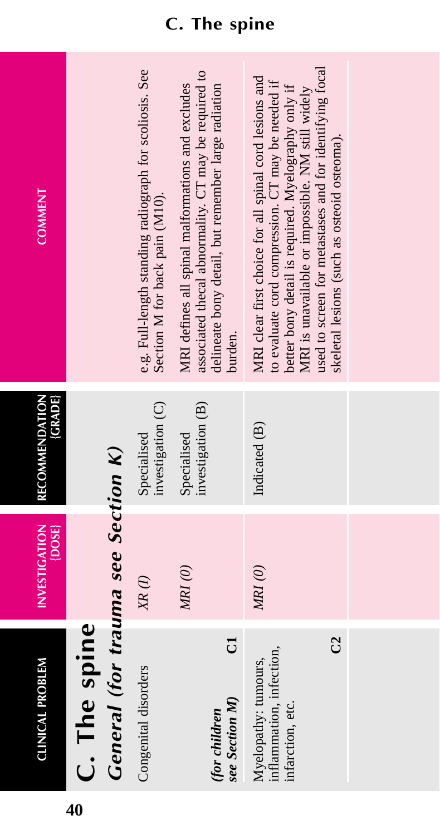| <b>CLINICAL PROBLEM</b>                                                   | <b>INVESTIGATION</b><br>{DOSE} | <b>{GRADE}</b><br>RECOMMENDATION | <b>COMMENT</b>                                                                                                                                                                                                                                                                                                                    |
|---------------------------------------------------------------------------|--------------------------------|----------------------------------|-----------------------------------------------------------------------------------------------------------------------------------------------------------------------------------------------------------------------------------------------------------------------------------------------------------------------------------|
| C. The spine                                                              |                                |                                  |                                                                                                                                                                                                                                                                                                                                   |
| General (for trauma see Section K)                                        |                                |                                  |                                                                                                                                                                                                                                                                                                                                   |
| Congenital disorders                                                      | $XR$ $(I)$                     | investigation (C)<br>Specialised | e.g. Full-length standing radiograph for scoliosis. See<br>Section M for back pain (M10).                                                                                                                                                                                                                                         |
| J<br>see Section M)<br>(for children                                      | $M\!R\!I\,(0)$                 | investigation (B)<br>Specialised | associated thecal abnormality. CT may be required to<br>MRI defines all spinal malformations and excludes<br>delineate bony detail, but remember large radiation<br>burden.                                                                                                                                                       |
| g<br>inflammation, infection,<br>Myelopathy: tumours,<br>infarction, etc. | $MRI(0)$                       | Indicated (B)                    | used to screen for metastases and for identifying focal<br>MRI clear first choice for all spinal cord lesions and<br>to evaluate cord compression. CT may be needed if<br>better bony detail is required. Myelography only if<br>MRI is unavailable or impossible. NM still widely<br>skeletal lesions (such as osteoid osteoma). |
|                                                                           |                                |                                  |                                                                                                                                                                                                                                                                                                                                   |

### **C. The spine**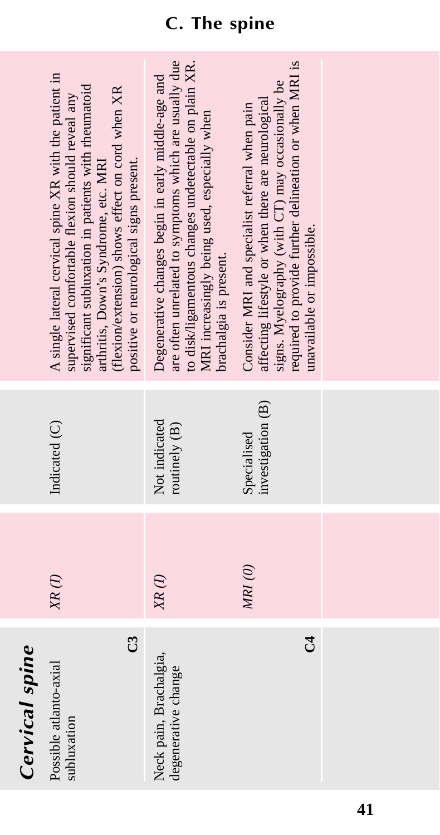|                | A single lateral cervical spine XR with the patient in<br>significant subluxation in patients with rheumatoid<br>(flexion/extension) shows effect on cord when XR<br>supervised comfortable flexion should reveal any<br>positive or neurological signs present.<br>arthritis, Down's Syndrome, etc. MRI | are often unrelated to symptoms which are usually due<br>to disk/ligamentous changes undetectable on plain XR.<br>Degenerative changes begin in early middle-age and<br>MRI increasingly being used, especially when<br>brachalgia is present. | required to provide further delineation or when MRI is<br>signs. Myelography (with CT) may occasionally be<br>affecting lifestyle or when there are neurological<br>Consider MRI and specialist referral when pain<br>unavailable or impossible. |  |
|----------------|----------------------------------------------------------------------------------------------------------------------------------------------------------------------------------------------------------------------------------------------------------------------------------------------------------|------------------------------------------------------------------------------------------------------------------------------------------------------------------------------------------------------------------------------------------------|--------------------------------------------------------------------------------------------------------------------------------------------------------------------------------------------------------------------------------------------------|--|
|                | Indicated (C)                                                                                                                                                                                                                                                                                            | Not indicated<br>routinely (B)                                                                                                                                                                                                                 | investigation (B)<br>Specialised                                                                                                                                                                                                                 |  |
|                | $XR$ (I)                                                                                                                                                                                                                                                                                                 | $XR$ (1)                                                                                                                                                                                                                                       | MRI(0)                                                                                                                                                                                                                                           |  |
| Cervical spine | $\mathbb{C}^3$<br>Possible atlanto-axial<br>subluxation                                                                                                                                                                                                                                                  | Neck pain, Brachalgia,<br>degenerative change                                                                                                                                                                                                  | ರೆ                                                                                                                                                                                                                                               |  |

### **C. The spine**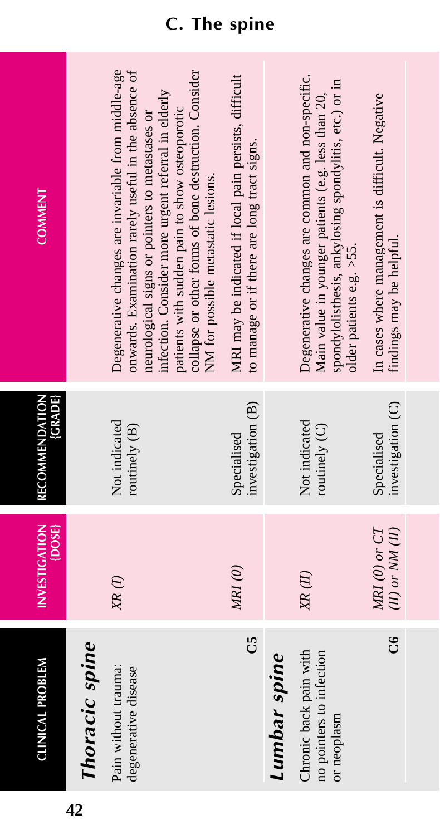| <b>COMMENT</b>                 |                | Degenerative changes are invariable from middle-age<br>onwards. Examination rarely useful in the absence of<br>collapse or other forms of bone destruction. Consider<br>infection. Consider more urgent referral in elderly<br>patients with sudden pain to show osteoporotic<br>neurological signs or pointers to metastases or<br>NM for possible metastatic lesions. | MRI may be indicated if local pain persists, difficult<br>to manage or if there are long tract signs. |              | Degenerative changes are common and non-specific.<br>spondylolisthesis, ankylosing spondylitis, etc.) or in<br>Main value in younger patients (e.g. less than 20,<br>older patients e.g. >55. | In cases where management is difficult. Negative<br>findings may be helpful. |
|--------------------------------|----------------|-------------------------------------------------------------------------------------------------------------------------------------------------------------------------------------------------------------------------------------------------------------------------------------------------------------------------------------------------------------------------|-------------------------------------------------------------------------------------------------------|--------------|-----------------------------------------------------------------------------------------------------------------------------------------------------------------------------------------------|------------------------------------------------------------------------------|
| <b>GRADE</b><br>RECOMMENDATION |                | Not indicated<br>routinely (B)                                                                                                                                                                                                                                                                                                                                          | investigation (B)<br>Specialised                                                                      |              | Not indicated<br>routinely $(C)$                                                                                                                                                              | investigation (C)<br>Specialised                                             |
| <b>INVESTIGATION</b><br>{DOSE} |                | $XR$ (1)                                                                                                                                                                                                                                                                                                                                                                | MRI(0)                                                                                                |              | XR(II)                                                                                                                                                                                        | $MRI$ (0) or $CT$<br>(II) or $NM$ (II)                                       |
| <b>CLINICAL PROBLEM</b>        | Thoracic spine | Pain without trauma:<br>degenerative disease                                                                                                                                                                                                                                                                                                                            | පි                                                                                                    | Lumbar spine | Chronic back pain with<br>no pointers to infection<br>or neoplasm                                                                                                                             | ರೆ                                                                           |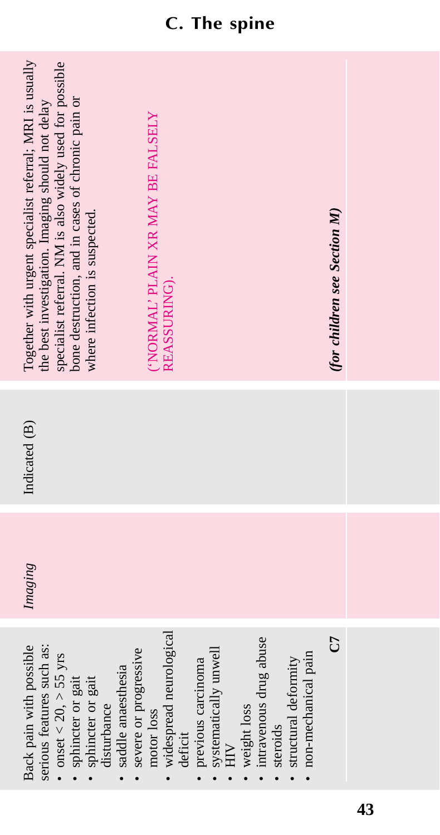| Together with urgent specialist referral; MRI is usually<br>specialist referral. NM is also widely used for possible<br>bone destruction, and in cases of chronic pain or<br>the best investigation. Imaging should not delay<br>where infection is suspected. | 'NORMAL' PLAIN XR MAY BE FALSELY<br>REASSURING).                                                                                                                                                                                | (for children see Section M) |  |
|----------------------------------------------------------------------------------------------------------------------------------------------------------------------------------------------------------------------------------------------------------------|---------------------------------------------------------------------------------------------------------------------------------------------------------------------------------------------------------------------------------|------------------------------|--|
| Indicated (B)                                                                                                                                                                                                                                                  |                                                                                                                                                                                                                                 |                              |  |
| Imaging                                                                                                                                                                                                                                                        |                                                                                                                                                                                                                                 |                              |  |
| Back pain with possible<br>serious features such as:<br>severe or progressive<br>• onset $<$ 20, $>$ 55 yrs<br>saddle anaesthesia<br>sphincter or gait<br>sphincter or gait<br>disturbance                                                                     | · widespread neurological<br>· intravenous drug abuse<br>systematically unwell<br>· non-mechanical pain<br>previous carcinoma<br>structural deformity<br>• weight loss<br>motor loss<br>steroids<br>deficit<br>HIV<br>$\bullet$ | 5<br>C                       |  |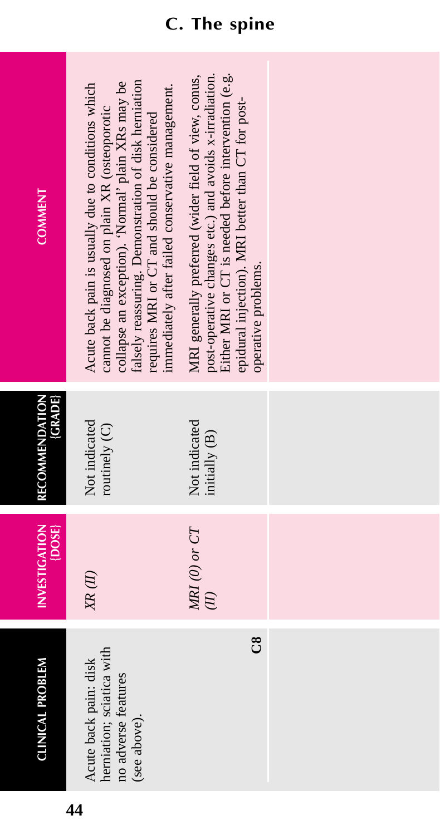| <b>COMMENT</b>                              | alsely reassuring. Demonstration of disk herniation<br>collapse an exception). 'Normal' plain XRs may be<br>immediately after failed conservative management.<br>Acute back pain is usually due to conditions which<br>cannot be diagnosed on plain XR (osteoporotic<br>requires MRI or CT and should be considered | post-operative changes etc.) and avoids x-irradiation.<br>ither MRI or CT is needed before intervention (e.g.<br>MRI generally preferred (wider field of view, conus,<br>epidural injection). MRI better than CT for post-<br>operative problems. |  |
|---------------------------------------------|---------------------------------------------------------------------------------------------------------------------------------------------------------------------------------------------------------------------------------------------------------------------------------------------------------------------|---------------------------------------------------------------------------------------------------------------------------------------------------------------------------------------------------------------------------------------------------|--|
| <b>GRADE</b><br>RECOMMENDATION              | Not indicated<br>routinely (C)                                                                                                                                                                                                                                                                                      | Not indicated<br>initially (B)                                                                                                                                                                                                                    |  |
| <b>INVESTIGATION</b><br>$\overline{[DOSE]}$ | XR(II)                                                                                                                                                                                                                                                                                                              | $MRI$ (0) or $CT$<br>$\overline{E}$                                                                                                                                                                                                               |  |
| <b>CLINICAL PROBLEM</b>                     | herniation; sciatica with<br>Acute back pain: disk<br>no adverse features<br>(see above).                                                                                                                                                                                                                           | ඊ                                                                                                                                                                                                                                                 |  |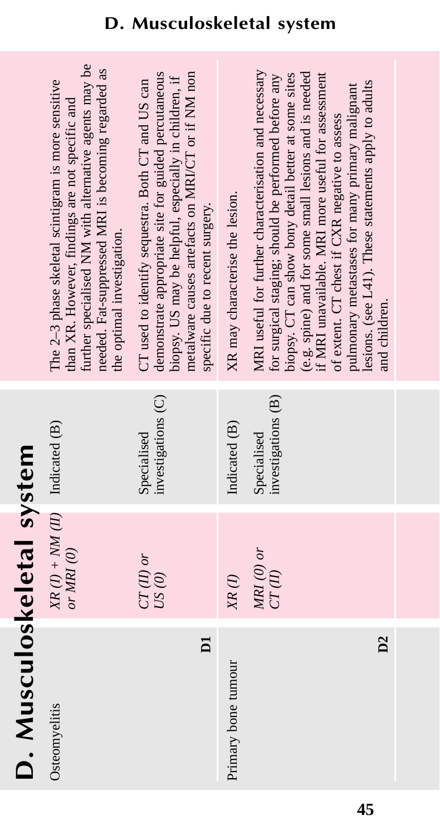|                           | further specialised NM with alternative agents may be<br>needed. Fat-suppressed MRI is becoming regarded as<br>The 2-3 phase skeletal scintigram is more sensitive<br>than XR. However, findings are not specific and<br>the optimal investigation. | metalware causes artefacts on MRI/CT or if NM non<br>demonstrate appropriate site for guided percutaneous<br>biopsy. US may be helpful, especially in children, if<br>CT used to identify sequestra. Both CT and US can<br>specific due to recent surgery. | XR may characterise the lesion. | MRI useful for further characterisation and necessary<br>(e.g. spine) and for some small lesions and is needed<br>if MRI unavailable. MRI more useful for assessment<br>for surgical staging; should be performed before any<br>biopsy. CT can show bony detail better at some sites<br>lesions. (see L41). These statements apply to adults<br>pulmonary metastases for many primary malignant<br>of extent. CT chest if CXR negative to assess<br>and children. |
|---------------------------|-----------------------------------------------------------------------------------------------------------------------------------------------------------------------------------------------------------------------------------------------------|------------------------------------------------------------------------------------------------------------------------------------------------------------------------------------------------------------------------------------------------------------|---------------------------------|-------------------------------------------------------------------------------------------------------------------------------------------------------------------------------------------------------------------------------------------------------------------------------------------------------------------------------------------------------------------------------------------------------------------------------------------------------------------|
|                           |                                                                                                                                                                                                                                                     | investigations (C)<br>Specialised                                                                                                                                                                                                                          | Indicated (B)                   | investigations (B)<br>Specialised                                                                                                                                                                                                                                                                                                                                                                                                                                 |
|                           | $XR$ (I) + NM (II) Indicated (B)<br>or MRI $(0)$                                                                                                                                                                                                    | $CT(II)$ or<br>US(0)                                                                                                                                                                                                                                       | $XR$ $(I)$                      | $MRI$ (0) or<br>CT(II)                                                                                                                                                                                                                                                                                                                                                                                                                                            |
| D. Musculoskeletal system | Osteomyelitis                                                                                                                                                                                                                                       | $\overline{\mathsf{D}}$                                                                                                                                                                                                                                    | Primary bone tumour             | $\overline{D2}$                                                                                                                                                                                                                                                                                                                                                                                                                                                   |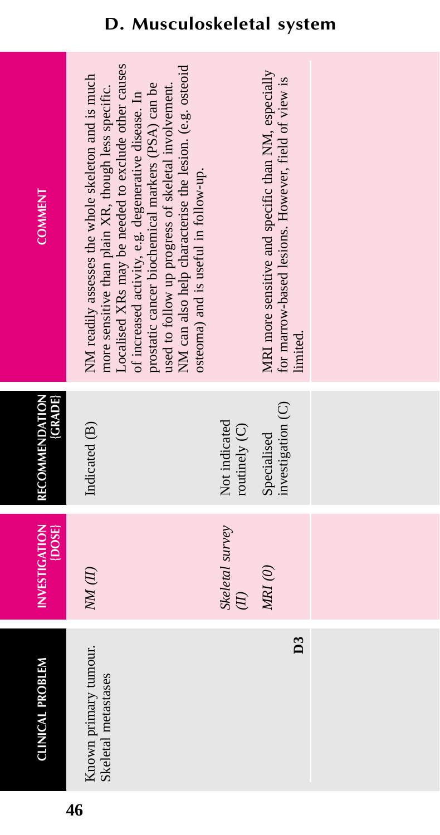| <b>CLINICAL PROBLEM</b>                      | <b>INVESTIGATION</b><br>$\{DOSE\}$ | <b>GRADE</b><br>RECOMMENDATION   | <b>COMMENT</b>                                                                                                                                                                                                                                                                                                                                                                                                                         |
|----------------------------------------------|------------------------------------|----------------------------------|----------------------------------------------------------------------------------------------------------------------------------------------------------------------------------------------------------------------------------------------------------------------------------------------------------------------------------------------------------------------------------------------------------------------------------------|
| Known primary tumour.<br>Skeletal metastases | NM(II)                             | Indicated (B)                    | ocalised XRs may be needed to exclude other causes<br>NM can also help characterise the lesion. (e.g. osteoid<br>NM readily assesses the whole skeleton and is much<br>prostatic cancer biochemical markers (PSA) can be<br>used to follow up progress of skeletal involvement.<br>more sensitive than plain XR, though less specific.<br>of increased activity, e.g. degenerative disease. In<br>osteoma) and is useful in follow-up. |
|                                              | Skeletal survey                    | Not indicated<br>routinely (C)   |                                                                                                                                                                                                                                                                                                                                                                                                                                        |
| $\overline{D3}$                              | $M\!N$ (0)                         | investigation (C)<br>Specialised | MRI more sensitive and specific than NM, especially<br>for marrow-based lesions. However, field of view is<br>limited.                                                                                                                                                                                                                                                                                                                 |
|                                              |                                    |                                  |                                                                                                                                                                                                                                                                                                                                                                                                                                        |
|                                              |                                    |                                  |                                                                                                                                                                                                                                                                                                                                                                                                                                        |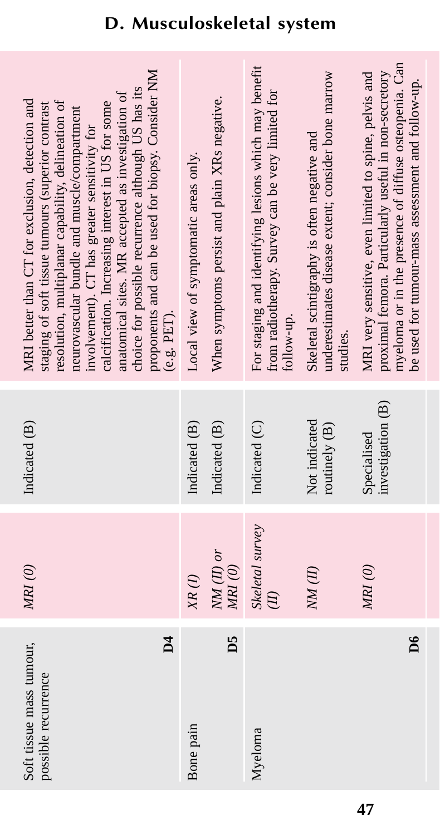| proponents and can be used for biopsy. Consider NM<br>choice for possible recurrence although US has its<br>anatomical sites. MR accepted as investigation of<br>MRI better than CT for exclusion, detection and<br>resolution, multiplanar capability, delineation of<br>calcification. Increasing interest in US for some<br>staging of soft tissue tumours (superior contrast<br>neurovascular bundle and muscle/compartment<br>involvement). CT has greater sensitivity for<br>(e.g. PET). | Local view of symptomatic areas only. | When symptoms persist and plain XRs negative. | For staging and identifying lesions which may benefit<br>from radiotherapy. Survey can be very limited for<br>follow-up. | underestimates disease extent; consider bone marrow<br>Skeletal scintigraphy is often negative and<br>studies. | myeloma or in the presence of diffuse osteopenia. Can<br>proximal femora. Particularly useful in non-secretory<br>MRI very sensitive, even limited to spine, pelvis and<br>be used for tumour-mass assessment and follow-up. |
|------------------------------------------------------------------------------------------------------------------------------------------------------------------------------------------------------------------------------------------------------------------------------------------------------------------------------------------------------------------------------------------------------------------------------------------------------------------------------------------------|---------------------------------------|-----------------------------------------------|--------------------------------------------------------------------------------------------------------------------------|----------------------------------------------------------------------------------------------------------------|------------------------------------------------------------------------------------------------------------------------------------------------------------------------------------------------------------------------------|
| Indicated (B)                                                                                                                                                                                                                                                                                                                                                                                                                                                                                  | Indicated (B)                         | Indicated (B)                                 | Indicated (C)                                                                                                            | Not indicated<br>routinely (B)                                                                                 | investigation (B)<br>Specialised                                                                                                                                                                                             |
| MRI(0)                                                                                                                                                                                                                                                                                                                                                                                                                                                                                         | $XR$ (I)                              | $NM(II)$ or<br>$M\!R\!I\,(O)$                 | Skeletal survey<br>$\overline{E}$                                                                                        | NM(II)                                                                                                         | MRI(0)                                                                                                                                                                                                                       |
| $\overline{\mathsf{d}}$<br>Soft tissue mass tumour,<br>possible recurrence                                                                                                                                                                                                                                                                                                                                                                                                                     | Bone pain                             | D5                                            | Myeloma                                                                                                                  |                                                                                                                | $\geq$                                                                                                                                                                                                                       |

**47**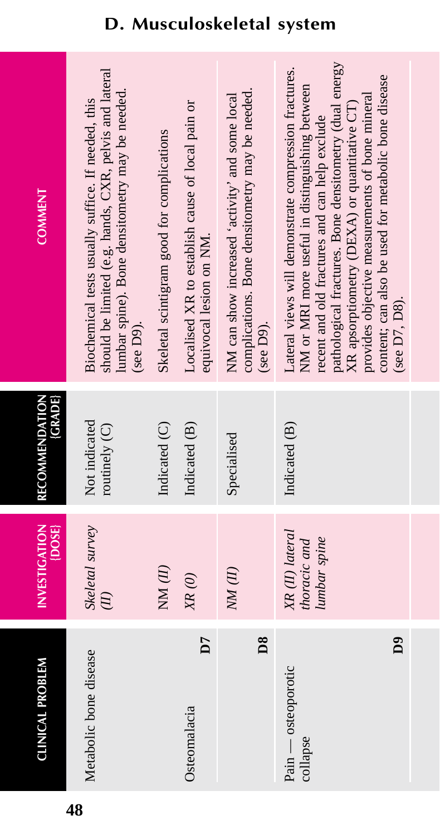| <b>CLINICAL PROBLEM</b>              | <b>INVESTIGATION</b><br>[DOSE]                  | RECOMMENDATION<br><b>GRADE</b> | <b>COMMENT</b>                                                                                                                                                                                                                                                                                                                                                                                  |
|--------------------------------------|-------------------------------------------------|--------------------------------|-------------------------------------------------------------------------------------------------------------------------------------------------------------------------------------------------------------------------------------------------------------------------------------------------------------------------------------------------------------------------------------------------|
| Metabolic bone disease               | Skeletal survey                                 | Not indicated<br>routinely (C) | should be limited (e.g. hands, CXR, pelvis and lateral<br>lumbar spine). Bone densitometry may be needed.<br>Biochemical tests usually suffice. If needed, this<br>(see D9).                                                                                                                                                                                                                    |
|                                      | NM(H)                                           | Indicated (C)                  | Skeletal scintigram good for complications                                                                                                                                                                                                                                                                                                                                                      |
| D<br>Osteomalacia                    | XR(0)                                           | Indicated (B)                  | Localised XR to establish cause of local pain or<br>equivocal lesion on NM.                                                                                                                                                                                                                                                                                                                     |
| $\mathbf{D8}$                        | $NM$ $(II)$                                     | Specialised                    | complications. Bone densitometry may be needed.<br>NM can show increased 'activity' and some local<br>(see D9).                                                                                                                                                                                                                                                                                 |
| Å<br>Pain — osteoporotic<br>collapse | XR (II) lateral<br>lumbar spine<br>thoracic and | Indicated (B)                  | pathological fractures. Bone densitometry (dual energy<br>Lateral views will demonstrate compression fractures.<br>content; can also be used for metabolic bone disease<br>NM or MRI more useful in distinguishing between<br>provides objective measurements of bone mineral<br>XR apsorptiometry (DEXA) or quantitative CT)<br>recent and old fractures and can help exclude<br>(see D7, D8). |
|                                      |                                                 |                                |                                                                                                                                                                                                                                                                                                                                                                                                 |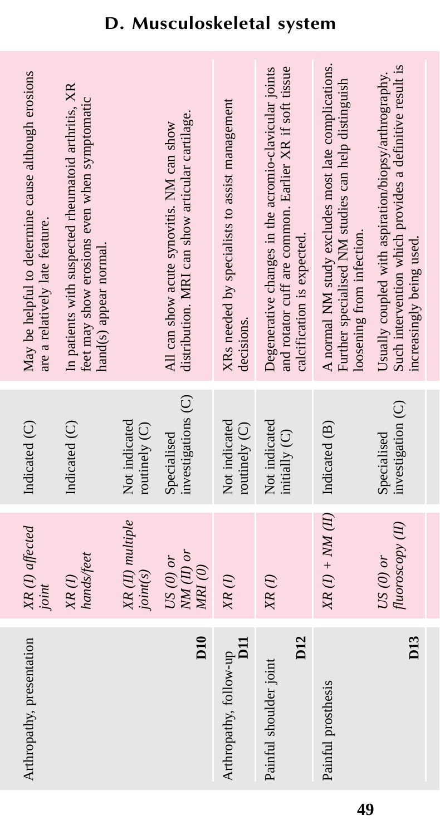| May be helpful to determine cause although erosions<br>are a relatively late feature. | In patients with suspected rheumatoid arthritis, XR<br>feet may show erosions even when symptomatic<br>hand(s) appear normal. |                                | distribution. MRI can show articular cartilage.<br>All can show acute synovitis. NM can show | XRs needed by specialists to assist management<br>decisions. | and rotator cuff are common. Earlier XR if soft tissue<br>Degenerative changes in the acromio-clavicular joints<br>calcification is expected. | A normal NM study excludes most late complications.<br>Further specialised NM studies can help distinguish<br>loosening from infection. | Such intervention which provides a definitive result is<br>Usually coupled with aspiration/biopsy/arthrography.<br>increasingly being used. |
|---------------------------------------------------------------------------------------|-------------------------------------------------------------------------------------------------------------------------------|--------------------------------|----------------------------------------------------------------------------------------------|--------------------------------------------------------------|-----------------------------------------------------------------------------------------------------------------------------------------------|-----------------------------------------------------------------------------------------------------------------------------------------|---------------------------------------------------------------------------------------------------------------------------------------------|
| Indicated (C)                                                                         | Indicated (C)                                                                                                                 | Not indicated<br>routinely (C) | investigations (C)<br>Specialised                                                            | Not indicated<br>routinely (C)                               | Not indicated<br>initially (C)                                                                                                                |                                                                                                                                         | investigation (C)<br>Specialised                                                                                                            |
| XR(I) affected<br>joint                                                               | hands/feet<br>$XR$ (1)                                                                                                        | XR (II) multiple<br>joint(s)   | $NM(II)$ or<br>$US(0)$ or<br>MRI(0)                                                          | $XR$ $(I)$                                                   | $XR$ (1)                                                                                                                                      | $XR (I) + NM (II)$ Indicated (B)                                                                                                        | fluoroscopy (II)<br>US $(0)$ or                                                                                                             |
| Arthropathy, presentation                                                             |                                                                                                                               |                                | D <sub>10</sub>                                                                              | $\overline{11}$<br>Arthropathy, follow-up                    | D <sub>12</sub><br>Painful shoulder joint                                                                                                     | Painful prosthesis                                                                                                                      | D <sub>13</sub>                                                                                                                             |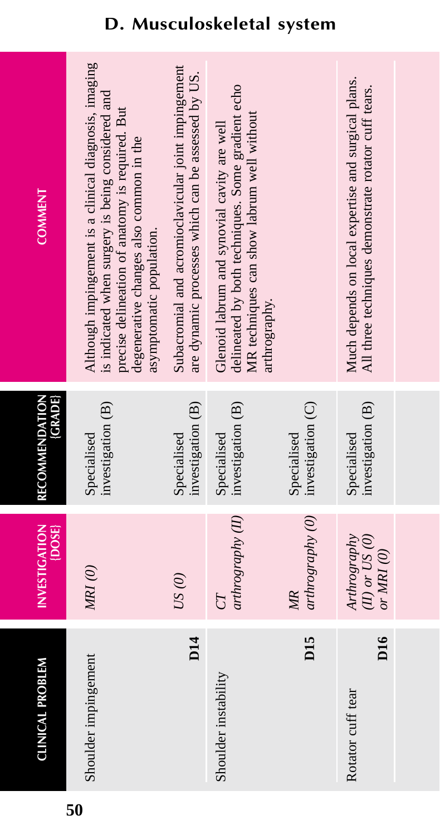| <b>COMMENT</b>                 | Although impingement is a clinical diagnosis, imaging<br>is indicated when surgery is being considered and<br>precise delineation of anatomy is required. But<br>degenerative changes also common in the<br>asymptomatic population. | Subacromial and acromioclavicular joint impingement<br>are dynamic processes which can be assessed by US. | delineated by both techniques. Some gradient echo<br>MR techniques can show labrum well without<br>Glenoid labrum and synovial cavity are well<br>arthrography. |                                  | Much depends on local expertise and surgical plans.<br>All three techniques demonstrate rotator cuff tears. |  |
|--------------------------------|--------------------------------------------------------------------------------------------------------------------------------------------------------------------------------------------------------------------------------------|-----------------------------------------------------------------------------------------------------------|-----------------------------------------------------------------------------------------------------------------------------------------------------------------|----------------------------------|-------------------------------------------------------------------------------------------------------------|--|
| (GRADE)<br>RECOMMENDATION      | investigation (B)<br>Specialised                                                                                                                                                                                                     | investigation (B)<br>Specialised                                                                          | investigation (B)<br>Specialised                                                                                                                                | investigation (C)<br>Specialised | investigation (B)<br>Specialised                                                                            |  |
| <b>INVESTIGATION</b><br>{DOSE} | MRI(0)                                                                                                                                                                                                                               | US(0)                                                                                                     | arthrography (II)                                                                                                                                               | arthrography(0)<br>MR            | Arthrography<br>$(II)$ or $US(0)$<br>or MRI $(0)$                                                           |  |
| <b>CLINICAL PROBLEM</b>        | Shoulder impingement                                                                                                                                                                                                                 | D <sub>14</sub>                                                                                           | Shoulder instability                                                                                                                                            | D <sub>15</sub>                  | D <sub>16</sub><br>Rotator cuff tear                                                                        |  |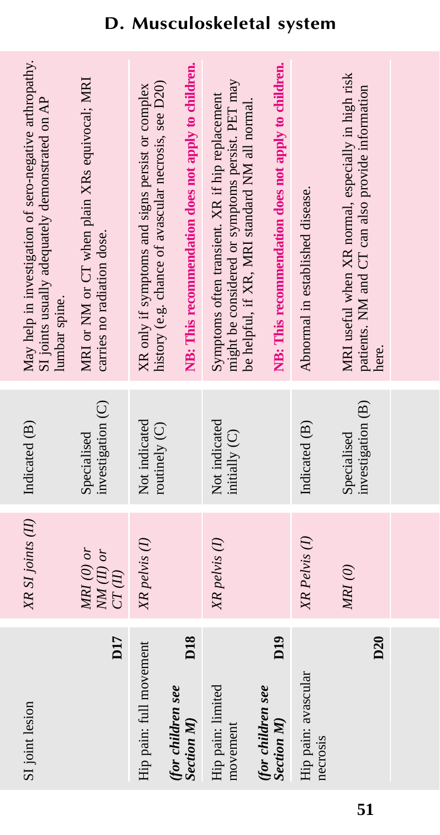| SI joint lesion                                          | XR SI joints (II)                     | Indicated (B)                    | May help in investigation of sero-negative arthropathy.<br>SI joints usually adequately demonstrated on AP<br>lumbar spine.                           |
|----------------------------------------------------------|---------------------------------------|----------------------------------|-------------------------------------------------------------------------------------------------------------------------------------------------------|
| D <sub>17</sub>                                          | $MRI$ (0) or<br>$NM(II)$ or<br>CT(II) | investigation (C)<br>Specialised | MRI or NM or CT when plain XRs equivocal; MRI<br>carries no radiation dose.                                                                           |
| Hip pain: full movement                                  | XR pelvis (1)                         | Not indicated<br>routinely (C)   | history (e.g. chance of avascular necrosis, see D20)<br>XR only if symptoms and signs persist or complex                                              |
| D <sub>18</sub><br>(for children see<br><b>Section M</b> |                                       |                                  | NB: This recommendation does not apply to children.                                                                                                   |
| Hip pain: limited<br>movement                            | XR pelvis (1)                         | Not indicated<br>initially (C)   | might be considered or symptoms persist. PET may<br>Symptoms often transient. XR if hip replacement<br>be helpful, if XR, MRI standard NM all normal. |
| D <sub>19</sub><br>(for children see<br>Section M)       |                                       |                                  | NB: This recommendation does not apply to children.                                                                                                   |
| Hip pain: avascular<br>necrosis                          | XR Pelvis <sup>(I)</sup>              | Indicated (B)                    | Abnormal in established disease.                                                                                                                      |
| D <sub>20</sub>                                          | $MRI$ $\left( 0\right)$               | investigation (B)<br>Specialised | MRI useful when XR normal, especially in high risk<br>patients. NM and CT can also provide information<br>here.                                       |
|                                                          |                                       |                                  |                                                                                                                                                       |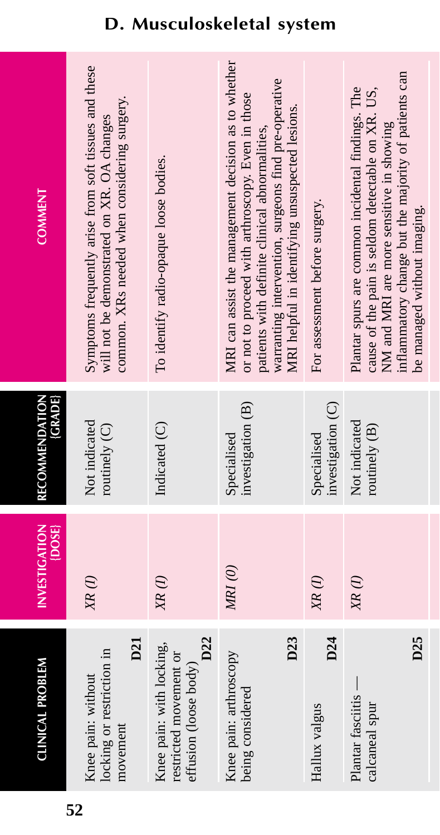| CLINICAL PROBLEM                                                                   | <b>INVESTIGATION</b><br>{DOSE} | RECOMMENDATION<br><b>GRADE</b>   | <b>COMMENT</b>                                                                                                                                                                                                                                                         |
|------------------------------------------------------------------------------------|--------------------------------|----------------------------------|------------------------------------------------------------------------------------------------------------------------------------------------------------------------------------------------------------------------------------------------------------------------|
| D21<br>locking or restriction in<br>Knee pain: without<br>movement                 | $XR$ $(I)$                     | Not indicated<br>routinely $(C)$ | Symptoms frequently arise from soft tissues and these<br>common. XRs needed when considering surgery.<br>will not be demonstrated on XR. OA changes                                                                                                                    |
| D22<br>Knee pain: with locking,<br>restricted movement or<br>effusion (loose body) | $XR$ (1)                       | Indicated (C)                    | To identify radio-opaque loose bodies.                                                                                                                                                                                                                                 |
| D23<br>Knee pain: arthroscopy<br>being considered                                  | MRI(0)                         | investigation (B)<br>Specialised | MRI can assist the management decision as to whether<br>warranting intervention, surgeons find pre-operative<br>or not to proceed with arthroscopy. Even in those<br>MRI helpful in identifying unsuspected lesions.<br>patients with definite clinical abnormalities, |
| D24<br>Hallux valgus                                                               | $XR$ $(I)$                     | investigation (C)<br>Specialised | For assessment before surgery.                                                                                                                                                                                                                                         |
| D <sub>25</sub><br>Plantar fasciitis —<br>calcaneal spur                           | XR(I)                          | Not indicated<br>routinely $(B)$ | inflammatory change but the majority of patients can<br>Plantar spurs are common incidental findings. The<br>cause of the pain is seldom detectable on XR. US,<br>NM and MRI are more sensitive in showing<br>be managed without imaging.                              |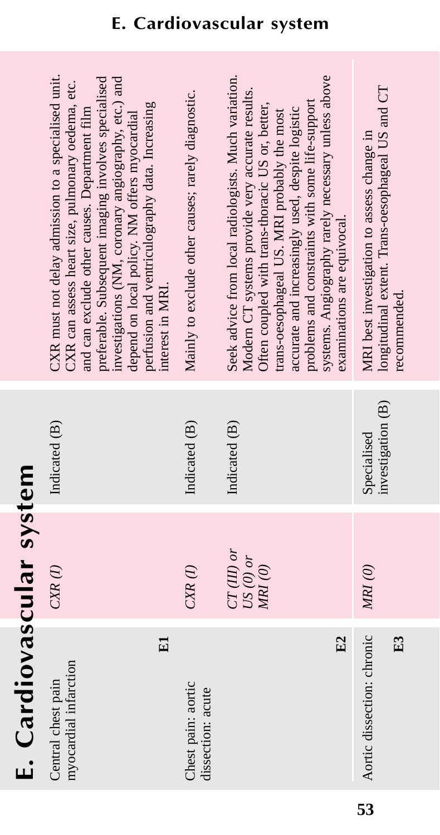# E. Cardiovascular system **E. Cardiovascular system**

| recommended. |
|--------------|
|              |
|              |
| E3           |
|              |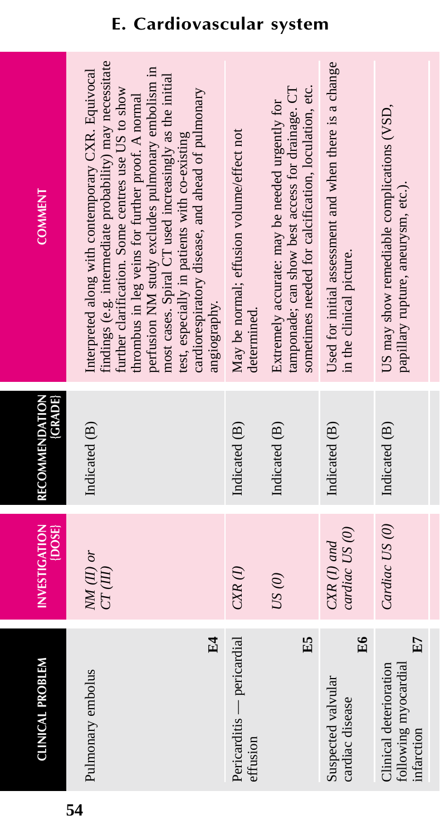| <b>COMMENT</b>                 | findings (e.g. intermediate probability) may necessitate<br>perfusion NM study excludes pulmonary embolism in<br>Interpreted along with contemporary CXR. Equivocal<br>most cases. Spiral CT used increasingly as the initial<br>further clarification. Some centres use US to show<br>cardiorespiratory disease, and ahead of pulmonary<br>thrombus in leg veins for further proof. A normal<br>test, especially in patients with co-existing<br>angiography. | May be normal; effusion volume/effect not<br>determined. | sometimes needed for calcification, loculation, etc.<br>tamponade; can show best access for drainage. CT<br>Extremely accurate: may be needed urgently for | Used for initial assessment and when there is a change<br>in the clinical picture. | US may show remediable complications (VSD,<br>papillary rupture, aneurysm, etc.). |
|--------------------------------|----------------------------------------------------------------------------------------------------------------------------------------------------------------------------------------------------------------------------------------------------------------------------------------------------------------------------------------------------------------------------------------------------------------------------------------------------------------|----------------------------------------------------------|------------------------------------------------------------------------------------------------------------------------------------------------------------|------------------------------------------------------------------------------------|-----------------------------------------------------------------------------------|
| (GRADE)<br>RECOMMENDATION      | Indicated (B)                                                                                                                                                                                                                                                                                                                                                                                                                                                  | Indicated (B)                                            | Indicated (B)                                                                                                                                              | Indicated (B)                                                                      | Indicated (B)                                                                     |
| <b>INVESTIGATION</b><br>[DOSE] | $NM(II)$ or<br>CT(III)                                                                                                                                                                                                                                                                                                                                                                                                                                         | $CXR$ $(I)$                                              | US(0)                                                                                                                                                      | cardiac US (0)<br>$C\!X\!R$ (I) and                                                | Cardiac US (0)                                                                    |
| <b>CLINICAL PROBLEM</b>        | $E_4$<br>Pulmonary embolus                                                                                                                                                                                                                                                                                                                                                                                                                                     | Pericarditis — pericardial<br>effusion                   | E5                                                                                                                                                         | E6<br>Suspected valvular<br>cardiac disease                                        | E7<br>Clinical deterioration<br>following myocardial<br>infarction                |

### **E. Cardiovascular system**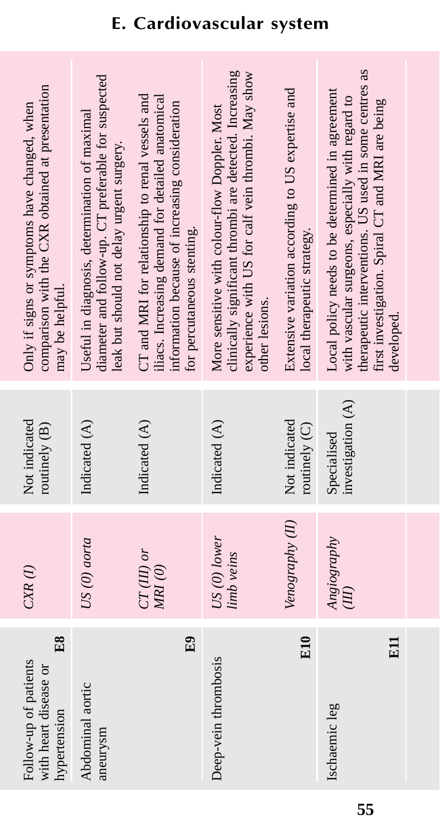| comparison with the CXR obtained at presentation<br>Only if signs or symptoms have changed, when<br>may be helpful. | diameter and follow-up. CT preferable for suspected<br>Useful in diagnosis, determination of maximal<br>leak but should not delay urgent surgery. | CT and MRI for relationship to renal vessels and<br>iliacs. Increasing demand for detailed anatomical<br>information because of increasing consideration<br>for percutaneous stenting. | clinically significant thrombi are detected. Increasing<br>experience with US for calf vein thrombi. May show<br>More sensitive with colour-flow Doppler. Most<br>other lesions. | Extensive variation according to US expertise and<br>local therapeutic strategy. | therapeutic interventions. US used in some centres as<br>Local policy needs to be determined in agreement<br>with vascular surgeons, especially with regard to<br>first investigation. Spiral CT and MRI are being<br>developed. |  |
|---------------------------------------------------------------------------------------------------------------------|---------------------------------------------------------------------------------------------------------------------------------------------------|----------------------------------------------------------------------------------------------------------------------------------------------------------------------------------------|----------------------------------------------------------------------------------------------------------------------------------------------------------------------------------|----------------------------------------------------------------------------------|----------------------------------------------------------------------------------------------------------------------------------------------------------------------------------------------------------------------------------|--|
| Not indicated<br>routinely (B)                                                                                      | Indicated (A)                                                                                                                                     | Indicated (A)                                                                                                                                                                          | Indicated (A)                                                                                                                                                                    | Not indicated<br>routinely (C)                                                   | investigation (A)<br>Specialised                                                                                                                                                                                                 |  |
| $CXR$ (1)                                                                                                           | US (0) aorta                                                                                                                                      | $CT(III)$ or<br>MRI (0)                                                                                                                                                                | $US(0)$ lower<br>limb veins                                                                                                                                                      | Venography (II)                                                                  | Angiography<br>$\overline{H}$                                                                                                                                                                                                    |  |
| E8<br>Follow-up of patients<br>with heart disease or<br>hypertension                                                | Abdominal aortic<br>aneurysm                                                                                                                      | E <sub>9</sub>                                                                                                                                                                         | Deep-vein thrombosis                                                                                                                                                             | <b>E10</b>                                                                       | E <sub>11</sub><br>Ischaemic leg                                                                                                                                                                                                 |  |

# **E. Cardiovascular system**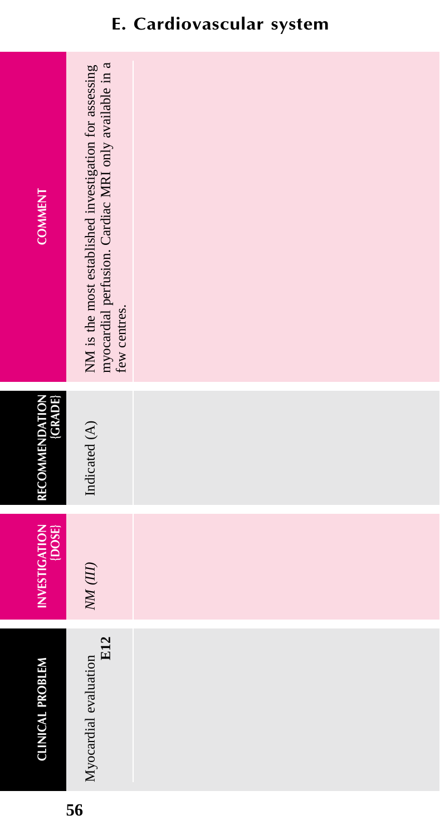| <b>COMMENT</b>            | NM is the most established investigation for assessing<br>myocardial perfusion. Cardiac MRI only available in a<br>few centres. |  |
|---------------------------|---------------------------------------------------------------------------------------------------------------------------------|--|
| RECOMMENDATION<br>{GRADE} | Indicated (A)                                                                                                                   |  |
| INVESTIGATION<br>{DOSE}   | $N\!M$ (III)                                                                                                                    |  |
| <b>CLINICAL PROBLEM</b>   | <b>E12</b><br>Myocardial evaluation                                                                                             |  |

### **E. Cardiovascular system**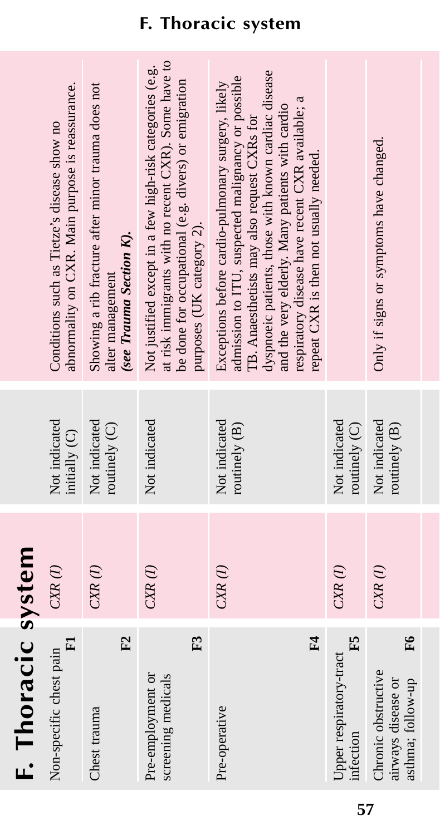|                    | abnormality on CXR. Main purpose is reassurance.<br>Conditions such as Tietze's disease show no | Showing a rib fracture after minor trauma does not<br>(see Trauma Section K).<br>alter management | at risk immigrants with no recent CXR). Some have to<br>Not justified except in a few high-risk categories (e.g.<br>be done for occupational (e.g. divers) or emigration<br>purposes (UK category 2). | dyspnoeic patients, those with known cardiac disease<br>admission to ITU, suspected malignancy or possible<br>Exceptions before cardio-pulmonary surgery, likely<br>respiratory disease have recent CXR available; a<br>and the very elderly. Many patients with cardio<br>TB. Anaesthetists may also request CXRs for<br>repeat CXR is then not usually needed. |                                            | Only if signs or symptoms have changed.                              |
|--------------------|-------------------------------------------------------------------------------------------------|---------------------------------------------------------------------------------------------------|-------------------------------------------------------------------------------------------------------------------------------------------------------------------------------------------------------|------------------------------------------------------------------------------------------------------------------------------------------------------------------------------------------------------------------------------------------------------------------------------------------------------------------------------------------------------------------|--------------------------------------------|----------------------------------------------------------------------|
|                    | Not indicated<br>initially (C)                                                                  | Not indicated<br>routinely (C)                                                                    | Not indicated                                                                                                                                                                                         | Not indicated<br>routinely (B)                                                                                                                                                                                                                                                                                                                                   | Not indicated<br>routinely (C)             | Not indicated<br>routinely (B)                                       |
|                    | $CXR$ $(I)$                                                                                     | $CXR$ $(I)$                                                                                       | $CXR$ (1)                                                                                                                                                                                             | $CXR$ $(I)$                                                                                                                                                                                                                                                                                                                                                      | $CXR$ (1)                                  | $CXR$ $(I)$                                                          |
| F. Thoracic system | $\mathbf{E}$<br>Non-specific chest pain                                                         | F <sub>2</sub><br>Chest trauma                                                                    | F3<br>Pre-employment or<br>screening medicals                                                                                                                                                         | F4<br>Pre-operative                                                                                                                                                                                                                                                                                                                                              | E5<br>Upper respiratory-tract<br>infection | F6<br>Chronic obstructive<br>airways disease or<br>asthma; follow-up |

### **F. Thoracic system**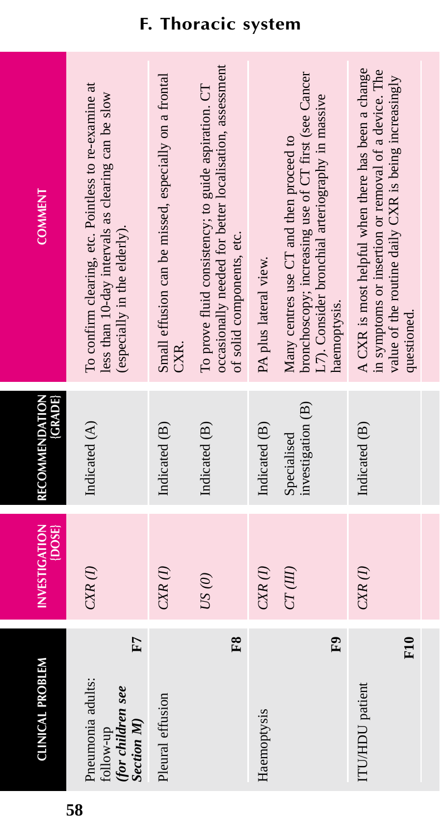| <b>COMMENT</b>                         | To confirm clearing, etc. Pointless to re-examine at<br>less than 10-day intervals as clearing can be slow<br>(especially in the elderly). | Small effusion can be missed, especially on a frontal<br>CXR. | occasionally needed for better localisation, assessment<br>To prove fluid consistency; to guide aspiration. CT<br>of solid components, etc. | PA plus lateral view. | bronchoscopy; increasing use of CT first (see Cancer<br>L7). Consider bronchial arteriography in massive<br>Many centres use CT and then proceed to<br>haemoptysis. | A CXR is most helpful when there has been a change<br>in symptoms or insertion or removal of a device. The<br>value of the routine daily CXR is being increasingly<br>questioned. |  |
|----------------------------------------|--------------------------------------------------------------------------------------------------------------------------------------------|---------------------------------------------------------------|---------------------------------------------------------------------------------------------------------------------------------------------|-----------------------|---------------------------------------------------------------------------------------------------------------------------------------------------------------------|-----------------------------------------------------------------------------------------------------------------------------------------------------------------------------------|--|
| <b>(GRADE)</b><br>RECOMMENDATION       | Indicated (A)                                                                                                                              | Indicated (B)                                                 | Indicated (B)                                                                                                                               | Indicated (B)         | investigation (B)<br>Specialised                                                                                                                                    | Indicated (B)                                                                                                                                                                     |  |
| <b>INVESTIGATION</b><br>$\{$ DOSE $\}$ | $C\!X\!R$ $(I)$                                                                                                                            | $CXR$ $(I)$                                                   | US(0)                                                                                                                                       | $CXR$ $(I)$           | CT(III)                                                                                                                                                             | $CXR$ $(I)$                                                                                                                                                                       |  |
| <b>CLINICAL PROBLEM</b>                | E<br>Pneumonia adults:<br>(for children see<br><b>Section M</b> )<br>tollow-up                                                             | Pleural effusion                                              | F8                                                                                                                                          | Haemoptysis           | $\mathbf{E}$                                                                                                                                                        | $_{\rm F10}$<br>ITU/HDU patient                                                                                                                                                   |  |

### **F. Thoracic system**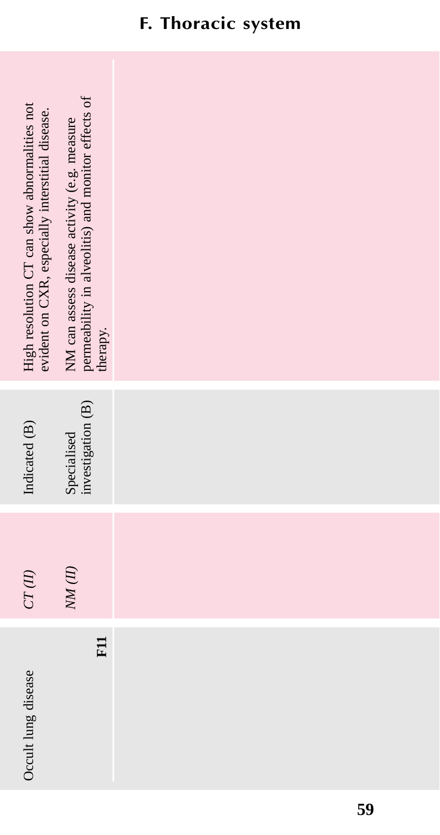| High resolution CT can show abnormalities not<br>evident on CXR, especially interstitial disease. | permeability in alveolitis) and monitor effects of<br>therapy.<br>NM can assess disease activity (e.g. measure |  |  |
|---------------------------------------------------------------------------------------------------|----------------------------------------------------------------------------------------------------------------|--|--|
| Indicated (B)                                                                                     | investigation (B)<br>Specialised                                                                               |  |  |
| $CT\left( H\right)$                                                                               | $N\!M$ $(II)$                                                                                                  |  |  |
| Occult lung disease                                                                               | E1                                                                                                             |  |  |

### **F. Thoracic system**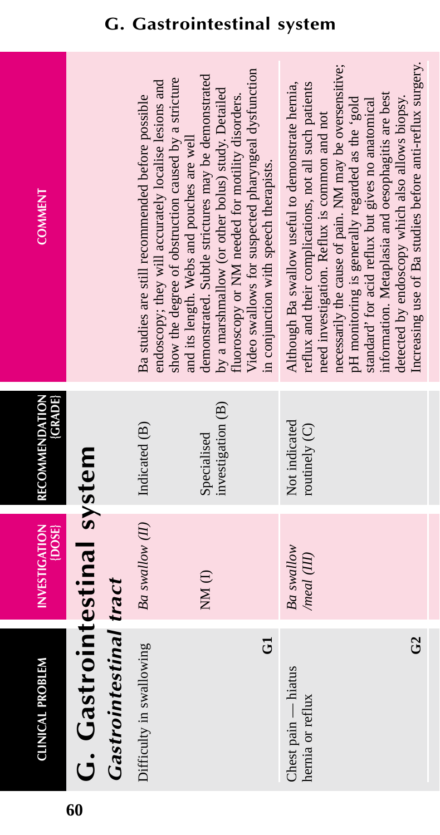| Z |   |  |
|---|---|--|
|   | I |  |
|   |   |  |
|   |   |  |
|   |   |  |
|   |   |  |
|   |   |  |
| Ò |   |  |
|   |   |  |
|   |   |  |
|   |   |  |
|   |   |  |
|   |   |  |
|   |   |  |
|   |   |  |
|   |   |  |
| ≙ |   |  |
|   |   |  |
|   |   |  |
|   |   |  |
|   |   |  |
|   |   |  |
|   |   |  |
|   |   |  |
|   |   |  |
|   |   |  |
|   |   |  |
|   |   |  |
|   |   |  |
|   |   |  |
|   |   |  |
|   |   |  |
|   |   |  |
|   |   |  |
|   |   |  |
|   |   |  |
|   |   |  |
|   |   |  |
| I |   |  |
|   |   |  |
|   |   |  |
|   |   |  |
|   |   |  |
|   |   |  |
|   |   |  |
|   |   |  |
| ľ |   |  |
|   |   |  |
|   |   |  |
|   |   |  |
|   |   |  |
|   |   |  |
|   |   |  |
|   |   |  |
|   |   |  |

**INVESTIGATION** 

**RECOMMENDATION** RECOMMENDATION<br>{GRADE

# **COMMENT COMMENT**

|                            |                               | show the degree of obstruction caused by a stricture<br>endoscopy; they will accurately localise lesions and<br>Ba studies are still recommended before possible<br>and its length. Webs and pouches are well | Video swallows for suspected pharyngeal dysfunction<br>demonstrated. Subtle strictures may be demonstrated<br>by a marshmallow (or other bolus) study. Detailed<br>fluoroscopy or NM needed for motility disorders.<br>in conjunction with speech therapists. | necessarily the cause of pain. NM may be oversensitive;<br>Increasing use of Ba studies before anti-reflux surgery.<br>reflux and their complications, not all such patients<br>Although Ba swallow useful to demonstrate hernia,<br>information. Metaplasia and oesophagitis are best<br>detected by endoscopy which also allows biopsy.<br>pH monitoring is generally regarded as the 'gold<br>standard' for acid reflux but gives no anatomical<br>need investigation. Reflux is common and not |
|----------------------------|-------------------------------|---------------------------------------------------------------------------------------------------------------------------------------------------------------------------------------------------------------|---------------------------------------------------------------------------------------------------------------------------------------------------------------------------------------------------------------------------------------------------------------|----------------------------------------------------------------------------------------------------------------------------------------------------------------------------------------------------------------------------------------------------------------------------------------------------------------------------------------------------------------------------------------------------------------------------------------------------------------------------------------------------|
|                            |                               | Indicated (B)                                                                                                                                                                                                 | investigation (B)<br>Specialised                                                                                                                                                                                                                              | Not indicated<br>routinely (C)                                                                                                                                                                                                                                                                                                                                                                                                                                                                     |
|                            |                               | Ba swallow (II)                                                                                                                                                                                               | NM(I)                                                                                                                                                                                                                                                         | Ba swallow<br>/meal (III)                                                                                                                                                                                                                                                                                                                                                                                                                                                                          |
| G. Gastrointestinal system | <b>Gastrointestinal tract</b> | Difficulty in swallowing                                                                                                                                                                                      | ರ                                                                                                                                                                                                                                                             | $\mathfrak{S}$<br>Chest pain — hiatus<br>hernia or reflux                                                                                                                                                                                                                                                                                                                                                                                                                                          |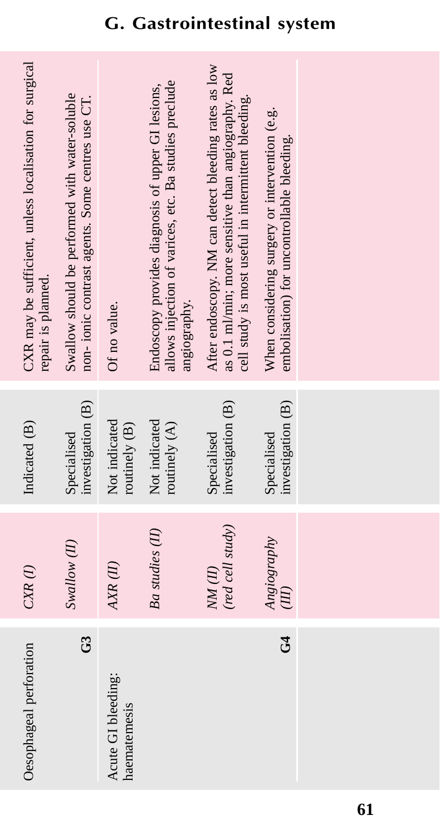| CXR may be sufficient, unless localisation for surgical<br>repair is planned. | Swallow should be performed with water-soluble<br>non- ionic contrast agents. Some centres use CT. | Of no value.                       | allows injection of varices, etc. Ba studies preclude<br>Endoscopy provides diagnosis of upper GI lesions,<br>angiography. | After endoscopy. NM can detect bleeding rates as low<br>as 0.1 ml/min; more sensitive than angiography. Red<br>cell study is most useful in intermittent bleeding. | When considering surgery or intervention (e.g.<br>embolisation) for uncontrollable bleeding. |  |
|-------------------------------------------------------------------------------|----------------------------------------------------------------------------------------------------|------------------------------------|----------------------------------------------------------------------------------------------------------------------------|--------------------------------------------------------------------------------------------------------------------------------------------------------------------|----------------------------------------------------------------------------------------------|--|
| Indicated (B)                                                                 | investigation (B)<br>Specialised                                                                   | Not indicated<br>routinely (B)     | Not indicated<br>routinely (A)                                                                                             | investigation (B)<br>Specialised                                                                                                                                   | investigation (B)<br>Specialised                                                             |  |
| $CXR$ (1)                                                                     | Swallow (II)                                                                                       | $AKR$ $(II)$                       | Ba studies (II)                                                                                                            | (red cell study)<br>$NM$ (II)                                                                                                                                      | Angiography<br>$\overline{\mathcal{H}}$                                                      |  |
| Oesophageal perforation                                                       | $\mathfrak{S}$                                                                                     | Acute GI bleeding:<br>haematemesis |                                                                                                                            |                                                                                                                                                                    | $\mathfrak{S}$                                                                               |  |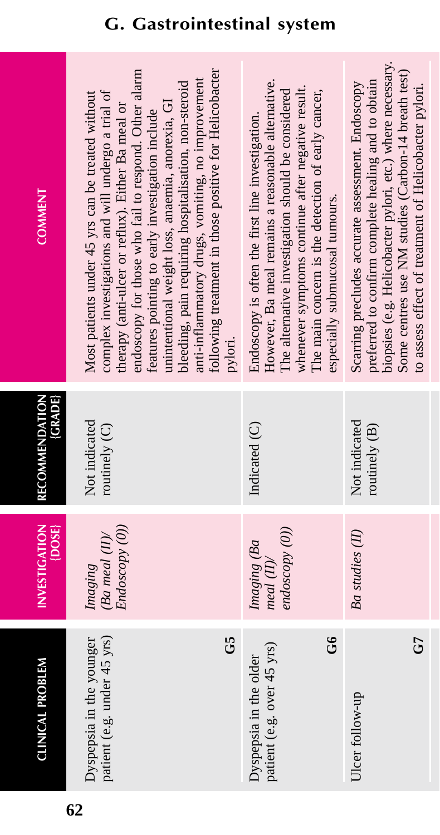| <b>COMMENT</b>                   | endoscopy for those who fail to respond. Other alare<br>bleeding, pain requiring hospitalisation, non-steroid<br>anti-inflammatory drugs, vomiting, no improvement<br>following treatment in those positive for Helicobact<br>complex investigations and will undergo a trial of<br>Most patients under 45 yrs can be treated without<br>unintentional weight loss, anaemia, anorexia, GI<br>therapy (anti-ulcer or reflux). Either Ba meal or<br>features pointing to early investigation include<br>pylori. | However, Ba meal remains a reasonable alternative.<br>whenever symptoms continue after negative result.<br>The alternative investigation should be considered<br>The main concern is the detection of early cancer,<br>Endoscopy is often the first line investigation.<br>especially submucosal tumours. | Scarring precludes accurate assessment. Endoscopy<br>preferred to confirm complete healing and to obtain<br>biopsies (e.g. Helicobacter pylori, etc.) where necessa<br>Some centres use NM studies (Carbon-14 breath tes<br>to assess effect of treatment of Helicobacter pylori. |
|----------------------------------|---------------------------------------------------------------------------------------------------------------------------------------------------------------------------------------------------------------------------------------------------------------------------------------------------------------------------------------------------------------------------------------------------------------------------------------------------------------------------------------------------------------|-----------------------------------------------------------------------------------------------------------------------------------------------------------------------------------------------------------------------------------------------------------------------------------------------------------|-----------------------------------------------------------------------------------------------------------------------------------------------------------------------------------------------------------------------------------------------------------------------------------|
| <b>(GRADE)</b><br>RECOMMENDATION | Not indicated<br>routinely (C)                                                                                                                                                                                                                                                                                                                                                                                                                                                                                | Indicated (C)                                                                                                                                                                                                                                                                                             | Not indicated<br>routinely (B)                                                                                                                                                                                                                                                    |
| <b>INVESTIGATION</b><br>{DOSE}   | Endoscopy (0))<br>$(Ba \; med \; (II)$<br>Imaging                                                                                                                                                                                                                                                                                                                                                                                                                                                             | endoscopy (0))<br>Imaging (Ba<br>$med$ (II)/                                                                                                                                                                                                                                                              | <b>Ba</b> studies (II)                                                                                                                                                                                                                                                            |
| <b>CLINICAL PROBLEM</b>          | patient (e.g. under 45 yrs)<br>යි<br>Dyspepsia in the younger                                                                                                                                                                                                                                                                                                                                                                                                                                                 | ತೆ<br>patient (e.g. over 45 yrs)<br>Dyspepsia in the older                                                                                                                                                                                                                                                | 5<br>Ulcer follow-up                                                                                                                                                                                                                                                              |

fail to respond. Other alarm se positive for Helicobacter following treatment in those positive for Helicobacter endoscopy for those who fail to respond. Other alarm vomiting, no improvement anti-inflammatory drugs, vomiting, no improvement ospitalisation, non-steroid bleeding, pain requiring hospitalisation, non-steroid d will undergo a trial of s can be treated without anaemia, anorexia, GI unintentional weight loss, anaemia, anorexia, GI 1x). Either Ba meal or investigation include features pointing to early investigation include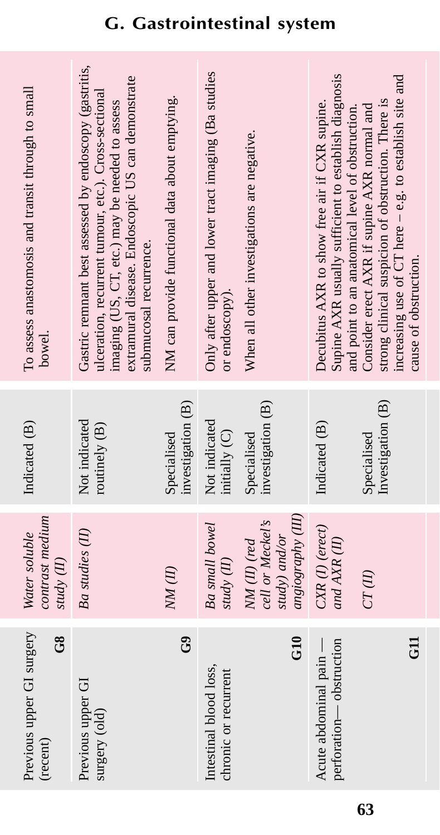| Previous upper GI surgery<br>$\frac{8}{5}$<br>(recent) | contrast medium<br>Water soluble<br>study (II)                        | Indicated (B)                    | To assess anastomosis and transit through to small<br>bowel.                                                                                                                                                                                    |
|--------------------------------------------------------|-----------------------------------------------------------------------|----------------------------------|-------------------------------------------------------------------------------------------------------------------------------------------------------------------------------------------------------------------------------------------------|
| Previous upper GI<br>surgery (old)                     | Ba studies (II)                                                       | Not indicated<br>routinely (B)   | Gastric remnant best assessed by endoscopy (gastritis,<br>extramural disease. Endoscopic US can demonstrate<br>ulceration, recurrent tumour, etc.). Cross-sectional<br>imaging (US, CT, etc.) may be needed to assess<br>submucosal recurrence. |
| ී                                                      | NM(II)                                                                | investigation (B)<br>Specialised | NM can provide functional data about emptying.                                                                                                                                                                                                  |
| Intestinal blood loss,<br>chronic or recurrent         | <b>Ba</b> small bowel<br>study (II)                                   | Not indicated<br>initially (C)   | Only after upper and lower tract imaging (Ba studies<br>or endoscopy).                                                                                                                                                                          |
| G10                                                    | angiography (III)<br>cell or Meckel's<br>study) and/or<br>NM(II) (red | investigation (B)<br>Specialised | When all other investigations are negative.                                                                                                                                                                                                     |
| perforation-obstruction<br>Acute abdominal pain -      | CXR(I) (erect)<br>and AXR (II)                                        | Indicated (B)                    | Supine AXR usually sufficient to establish diagnosis<br>Decubitus AXR to show free air if CXR supine.<br>and point to an anatomical level of obstruction.                                                                                       |
|                                                        | CT(II)                                                                | Investigation (B)<br>Specialised | increasing use of CT here - e.g. to establish site and<br>strong clinical suspicion of obstruction. There is<br>Consider erect AXR if supine AXR normal and                                                                                     |
| $\overline{5}$                                         |                                                                       |                                  | cause of obstruction.                                                                                                                                                                                                                           |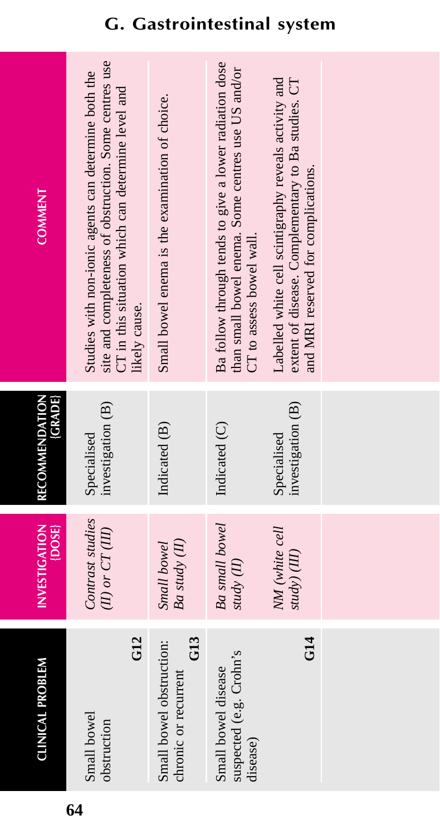| <b>CLINICAL PROBLEM</b>                                             | <b>INVESTIGATION</b><br>{DOSE}          | <b>(GRADE)</b><br>RECOMMENDATION | <b>COMMENT</b>                                                                                                                                                                        |
|---------------------------------------------------------------------|-----------------------------------------|----------------------------------|---------------------------------------------------------------------------------------------------------------------------------------------------------------------------------------|
| G <sub>12</sub><br>Small bowel<br>obstruction                       | Contrast studies<br>$(II)$ or $CT(III)$ | investigation (B)<br>Specialised | site and completeness of obstruction. Some centres use<br>Studies with non-ionic agents can determine both the<br>CT in this situation which can determine level and<br>likely cause. |
| G <sub>13</sub><br>Small bowel obstruction:<br>chronic or recurrent | Ba study (II)<br>Small bowel            | Indicated (B)                    | Small bowel enema is the examination of choice.                                                                                                                                       |
| suspected (e.g. Crohn's<br>Small bowel disease<br>disease)          | Ba small bowel<br>study (II)            | Indicated (C)                    | Ba follow through tends to give a lower radiation dose<br>than small bowel enema. Some centres use US and/or<br>CT to assess bowel wall.                                              |
| G14                                                                 | NM (white cell<br>study) (III)          | investigation (B)<br>Specialised | extent of disease. Complementary to Ba studies. CT<br>Labelled white cell scintigraphy reveals activity and<br>and MRI reserved for complications.                                    |
|                                                                     |                                         |                                  |                                                                                                                                                                                       |
|                                                                     |                                         |                                  |                                                                                                                                                                                       |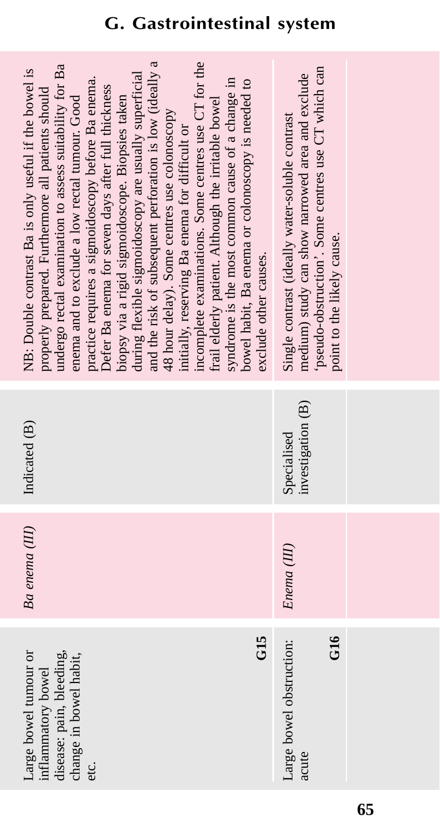| incomplete examinations. Some centres use CT for the<br>and the risk of subsequent perforation is low (ideally a<br>undergo rectal examination to assess suitability for Ba<br>NB: Double contrast Ba is only useful if the bowel is<br>during flexible sigmoidoscopy are usually superficial<br>practice requires a sigmoidoscopy before Ba enema.<br>syndrome is the most common cause of a change in<br>bowel habit, Ba enema or colonoscopy is needed to<br>Defer Ba enema for seven days after full thickness<br>properly prepared. Furthermore all patients should<br>enema and to exclude a low rectal tumour. Good<br>biopsy via a rigid sigmoidoscope. Biopsies taken<br>frail elderly patient. Although the irritable bowel<br>48 hour delay). Some centres use colonoscopy<br>initially, reserving Ba enema for difficult or<br>exclude other causes. | pseudo-obstruction'. Some centres use CT which can<br>medium) study can show narrowed area and exclude<br>Single contrast (ideally water-soluble contrast<br>point to the likely cause. |  |
|------------------------------------------------------------------------------------------------------------------------------------------------------------------------------------------------------------------------------------------------------------------------------------------------------------------------------------------------------------------------------------------------------------------------------------------------------------------------------------------------------------------------------------------------------------------------------------------------------------------------------------------------------------------------------------------------------------------------------------------------------------------------------------------------------------------------------------------------------------------|-----------------------------------------------------------------------------------------------------------------------------------------------------------------------------------------|--|
| Indicated (B)                                                                                                                                                                                                                                                                                                                                                                                                                                                                                                                                                                                                                                                                                                                                                                                                                                                    | investigation (B)<br>Specialised                                                                                                                                                        |  |
| Ba enema (III)                                                                                                                                                                                                                                                                                                                                                                                                                                                                                                                                                                                                                                                                                                                                                                                                                                                   | Enema <sub>(III)</sub>                                                                                                                                                                  |  |
| G15<br>Large bowel tumour or<br>disease: pain, bleeding,<br>change in bowel habit,<br>inflammatory bowel<br>etc.                                                                                                                                                                                                                                                                                                                                                                                                                                                                                                                                                                                                                                                                                                                                                 | G16<br>Large bowel obstruction:<br>acute                                                                                                                                                |  |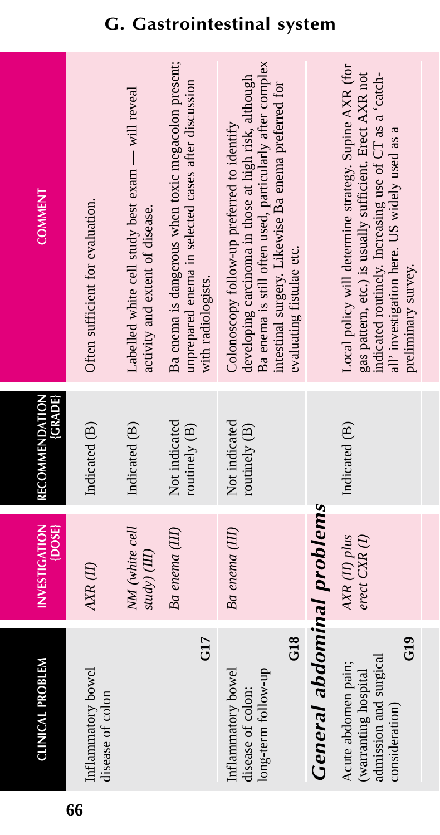| <b>CLINICAL PROBLEM</b>                                                                                    | <b>INVESTIGATION</b><br>{DOSE}   | RECOMMENDATION<br>(GRADE)        | <b>COMMENT</b>                                                                                                                                                                                                                                     |
|------------------------------------------------------------------------------------------------------------|----------------------------------|----------------------------------|----------------------------------------------------------------------------------------------------------------------------------------------------------------------------------------------------------------------------------------------------|
| Inflammatory bowel<br>disease of colon                                                                     | AXR(II)                          | Indicated (B)                    | Often sufficient for evaluation.                                                                                                                                                                                                                   |
|                                                                                                            | NM (white cell<br>study) (III)   | Indicated (B)                    | Labelled white cell study best exam - will reveal<br>activity and extent of disease.                                                                                                                                                               |
| G <sub>17</sub>                                                                                            | Ba enema (III)                   | Not indicated<br>routinely $(B)$ | Ba enema is dangerous when toxic megacolon present;<br>unprepared enema in selected cases after discussion<br>with radiologists.                                                                                                                   |
| G18<br>long-term follow-up<br>Inflammatory bowel<br>disease of colon:                                      | Ba enema (III)                   | Not indicated<br>routinely $(B)$ | Ba enema is still often used, particularly after complex<br>developing carcinoma in those at high risk, although<br>intestinal surgery. Likewise Ba enema preferred for<br>Colonoscopy follow-up preferred to identify<br>evaluating fistulae etc. |
| <b>General abdominal problems</b>                                                                          |                                  |                                  |                                                                                                                                                                                                                                                    |
| $\frac{619}{2}$<br>admission and surgical<br>Acute abdomen pain;<br>(warranting hospital<br>consideration) | AXR (II) plus<br>erect $CXR$ (I) | Indicated (B)                    | Local policy will determine strategy. Supine AXR (for<br>gas pattern, etc.) is usually sufficient. Erect AXR not<br>indicated routinely. Increasing use of CT as a 'catch-<br>all' investigation here. US widely used as a<br>preliminary survey.  |

**66**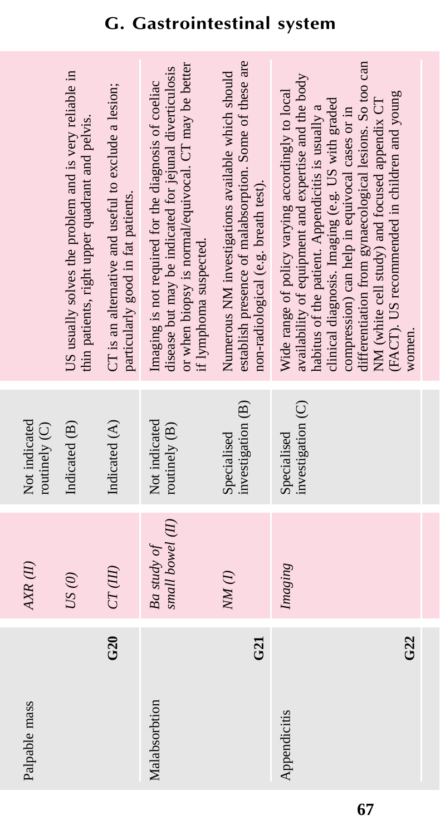| Palpable mass                   | AXR(II)                         | Not indicated<br>routinely (C)   |                                                                                                                                                                                                                                                                                                                                                                                                                                            |
|---------------------------------|---------------------------------|----------------------------------|--------------------------------------------------------------------------------------------------------------------------------------------------------------------------------------------------------------------------------------------------------------------------------------------------------------------------------------------------------------------------------------------------------------------------------------------|
|                                 | US(0)                           | Indicated (B)                    | US usually solves the problem and is very reliable in<br>thin patients, right upper quadrant and pelvis.                                                                                                                                                                                                                                                                                                                                   |
| G20                             | CT(III)                         | Indicated (A)                    | CT is an alternative and useful to exclude a lesion;<br>particularly good in fat patients.                                                                                                                                                                                                                                                                                                                                                 |
| Malabsorbtion                   | small bowel (II)<br>Ba study of | Not indicated<br>routinely (B)   | or when biopsy is normal/equivocal. CT may be better<br>disease but may be indicated for jejunal diverticulosis<br>Imaging is not required for the diagnosis of coeliac<br>if lymphoma suspected.                                                                                                                                                                                                                                          |
| G21                             | NM(1)                           | investigation (B)<br>Specialised | establish presence of malabsorption. Some of these are<br>Numerous NM investigations available which should<br>non-radiological (e.g. breath test).                                                                                                                                                                                                                                                                                        |
| G <sub>22</sub><br>Appendicitis | Imaging                         | investigation (C)<br>Specialised | differentiation from gynaecological lesions. So too can<br>availability of equipment and expertise and the body<br>Wide range of policy varying accordingly to local<br>(FACT). US recommended in children and young<br>NM (white cell study) and focused appendix CT<br>clinical diagnosis. Imaging (e.g. US with graded<br>habitus of the patient. Appendicitis is usually a<br>compression) can help in equivocal cases or in<br>women. |
|                                 |                                 |                                  |                                                                                                                                                                                                                                                                                                                                                                                                                                            |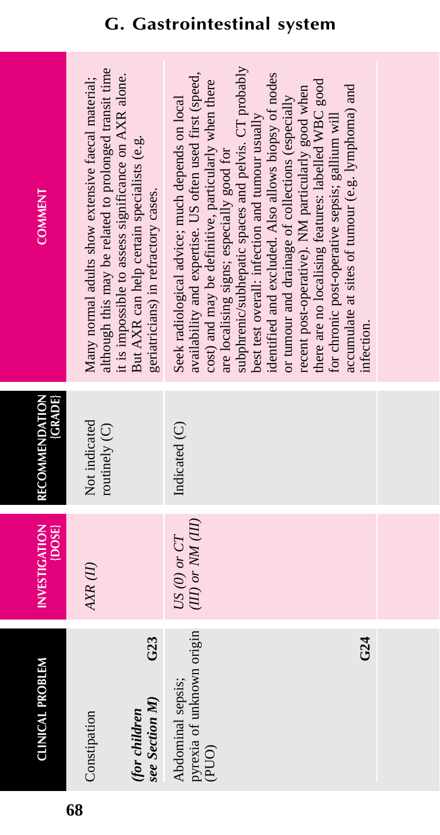| <b>COMMENT</b>              | although this may be related to prolonged transit time<br>it is impossible to assess significance on AXR alone.<br>Many normal adults show extensive faecal material;<br>But AXR can help certain specialists (e.g.<br>geriatricians) in refractory cases. | subphrenic/subhepatic spaces and pelvis. CT probably<br>identified and excluded. Also allows biopsy of nodes<br>availability and expertise. US often used first (speed,<br>cost) and may be definitive, particularly when there<br>there are no localising features: labelled WBC good<br>accumulate at sites of tumour (e.g. lymphoma) and<br>recent post-operative). NM particularly good when<br>or tumour and drainage of collections (especially<br>Seek radiological advice; much depends on local<br>for chronic post-operative sepsis; gallium will<br>best test overall: infection and tumour usually<br>are localising signs; especially good for<br>infection. |  |
|-----------------------------|------------------------------------------------------------------------------------------------------------------------------------------------------------------------------------------------------------------------------------------------------------|---------------------------------------------------------------------------------------------------------------------------------------------------------------------------------------------------------------------------------------------------------------------------------------------------------------------------------------------------------------------------------------------------------------------------------------------------------------------------------------------------------------------------------------------------------------------------------------------------------------------------------------------------------------------------|--|
| (GRADE)<br>RECOMMENDATION   | Not indicated<br>routinely (C)                                                                                                                                                                                                                             | Indicated (C)                                                                                                                                                                                                                                                                                                                                                                                                                                                                                                                                                                                                                                                             |  |
| INVESTIGATION<br>$\{DOSE\}$ | AXR(II)                                                                                                                                                                                                                                                    | $(III)$ or $NM$ $(III)$<br>$US(0)$ or $CT$                                                                                                                                                                                                                                                                                                                                                                                                                                                                                                                                                                                                                                |  |
| <b>CLINICAL PROBLEM</b>     | G23<br>see Section M)<br>(for children<br>Constipation                                                                                                                                                                                                     | pyrexia of unknown origin<br>G24<br>Abdominal sepsis;<br>(PUO)                                                                                                                                                                                                                                                                                                                                                                                                                                                                                                                                                                                                            |  |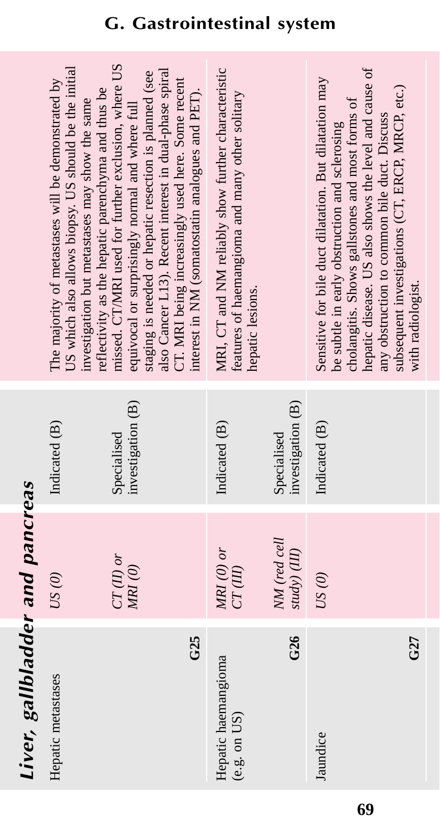# Liver, gallbladder and pancreas *Liver, gallbladder and pancreas*

|                | US which also allows biopsy. US should be the initial<br>The majority of metastases will be demonstrated by<br>reflectivity as the hepatic parenchyma and thus be<br>investigation but metastases may show the same | missed. CT/MRI used for further exclusion, where US<br>llso Cancer L13). Recent interest in dual-phase spiral<br>staging is needed or hepatic resection is planned (see<br>CT. MRI being increasingly used here. Some recent<br>interest in NM (somatostatin analogues and PET).<br>equivocal or surprisingly normal and where full | MRI, CT and NM reliably show further characteristic<br>features of haemangioma and many other solitary<br>hepatic lesions. |                                  | hepatic disease. US also shows the level and cause of<br>Sensitive for bile duct dilatation. But dilatation may<br>subsequent investigations (CT, ERCP, MRCP, etc.)<br>cholangitis. Shows gallstones and most forms of<br>any obstruction to common bile duct. Discuss<br>be subtle in early obstruction and sclerosing<br>with radiologist. |
|----------------|---------------------------------------------------------------------------------------------------------------------------------------------------------------------------------------------------------------------|-------------------------------------------------------------------------------------------------------------------------------------------------------------------------------------------------------------------------------------------------------------------------------------------------------------------------------------|----------------------------------------------------------------------------------------------------------------------------|----------------------------------|----------------------------------------------------------------------------------------------------------------------------------------------------------------------------------------------------------------------------------------------------------------------------------------------------------------------------------------------|
|                | Indicated (B)                                                                                                                                                                                                       | investigation (B)<br>Specialised                                                                                                                                                                                                                                                                                                    | Indicated (B)                                                                                                              | investigation (B)<br>Specialised | Indicated (B)                                                                                                                                                                                                                                                                                                                                |
|                | US(0)                                                                                                                                                                                                               | $CT(II)$ or<br>MRI(0)                                                                                                                                                                                                                                                                                                               | $MRI$ (0) or<br>CT(III)                                                                                                    | NM (red cell<br>study) (III)     | US(0)                                                                                                                                                                                                                                                                                                                                        |
| $\overline{a}$ | Hepatic metastases                                                                                                                                                                                                  | G25                                                                                                                                                                                                                                                                                                                                 | Hepatic haemangioma<br>(e.g. on US)                                                                                        | G26                              | G27<br>Jaundice                                                                                                                                                                                                                                                                                                                              |

### **G. Gastrointestinal system**

**69**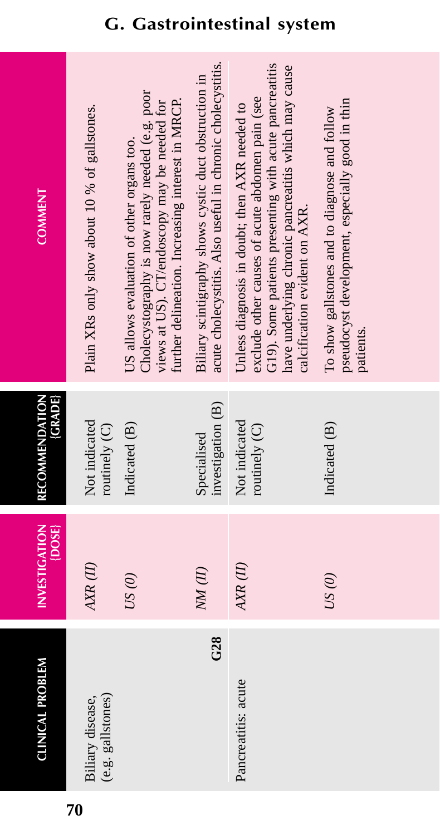| <b>COMMENT</b>                        | Plain XRs only show about 10 % of gallstones. | Cholecystography is now rarely needed (e.g. poor<br>further delineation. Increasing interest in MRCP.<br>views at US). CT/endoscopy may be needed for<br>US allows evaluation of other organs too. | acute cholecystitis. Also useful in chronic cholecystitis.<br>Biliary scintigraphy shows cystic duct obstruction in | G19). Some patients presenting with acute pancreatitis<br>have underlying chronic pancreatitis which may cause<br>exclude other causes of acute abdomen pain (see<br>Unless diagnosis in doubt; then AXR needed to<br>calcification evident on AXR. | pseudocyst development, especially good in thin<br>To show gallstones and to diagnose and follow<br>patients. |
|---------------------------------------|-----------------------------------------------|----------------------------------------------------------------------------------------------------------------------------------------------------------------------------------------------------|---------------------------------------------------------------------------------------------------------------------|-----------------------------------------------------------------------------------------------------------------------------------------------------------------------------------------------------------------------------------------------------|---------------------------------------------------------------------------------------------------------------|
| <b>RECOMMENDATION</b><br><b>GRADE</b> | Not indicated<br>routinely (C)                | Indicated (B)                                                                                                                                                                                      | investigation (B)<br>Specialised                                                                                    | Not indicated<br>routinely (C)                                                                                                                                                                                                                      | Indicated (B)                                                                                                 |
| <b>INVESTIGATION</b><br>$\{DOSE\}$    | $A X R (II)$                                  | US(0)                                                                                                                                                                                              | NM(H)                                                                                                               | AXR(II)                                                                                                                                                                                                                                             | US(0)                                                                                                         |
| <b>CLINICAL PROBLEM</b>               | (e.g. gallstones)<br>Biliary disease,         |                                                                                                                                                                                                    | G28                                                                                                                 | Pancreatitis: acute                                                                                                                                                                                                                                 |                                                                                                               |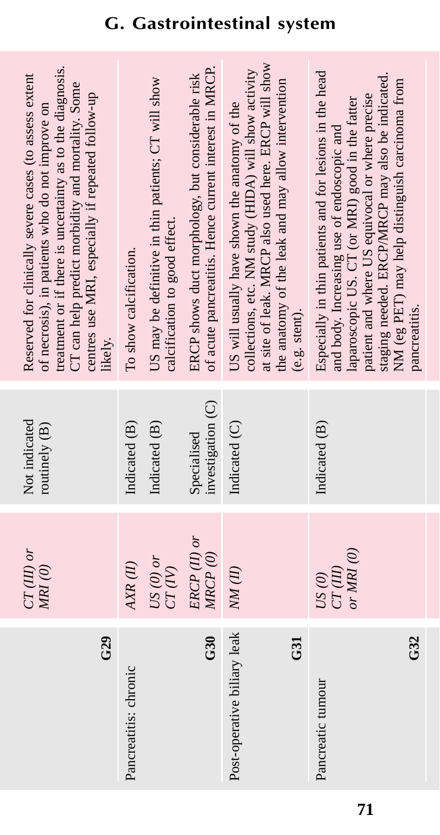| G29                                | $CT(III)$ or<br>MRI(0)             | Not indicated<br>routinely (B)   | treatment or if there is uncertainty as to the diagnosis.<br>Reserved for clinically severe cases (to assess extent<br>CT can help predict morbidity and mortality. Some<br>centres use MRI, especially if repeated follow-up<br>of necrosis), in patients who do not improve on<br>likely.                                         |
|------------------------------------|------------------------------------|----------------------------------|-------------------------------------------------------------------------------------------------------------------------------------------------------------------------------------------------------------------------------------------------------------------------------------------------------------------------------------|
| Pancreatitis: chronic              | AXR(II)                            | Indicated (B)                    | To show calcification.                                                                                                                                                                                                                                                                                                              |
|                                    | $US(0)$ or<br>CT(V)                | Indicated (B)                    | US may be definitive in thin patients; CT will show<br>calcification to good effect.                                                                                                                                                                                                                                                |
| G30                                | ERCP (II) or<br>MRCP(0)            | investigation (C)<br>Specialised | of acute pancreatitis. Hence current interest in MRCP.<br>ERCP shows duct morphology, but considerable risk                                                                                                                                                                                                                         |
| Post-operative biliary leak<br>G31 | NM(II)                             | Indicated (C)                    | at site of leak. MRCP also used here. ERCP will show<br>collections, etc. NM study (HIDA) will show activity<br>the anatomy of the leak and may allow intervention<br>US will usually have shown the anatomy of the<br>(e.g. stent).                                                                                                |
| G32<br>Pancreatic tumour           | or MRI $(0)$<br>CT(III)<br>$US(0)$ | Indicated (B)                    | Especially in thin patients and for lesions in the head<br>staging needed. ERCP/MRCP may also be indicated.<br>NM (eg PET) may help distinguish carcinoma from<br>patient and where US equivocal or where precise<br>laparoscopic US. CT (or MRI) good in the fatter<br>and body. Increasing use of endoscopic and<br>pancreatitis. |
|                                    |                                    |                                  |                                                                                                                                                                                                                                                                                                                                     |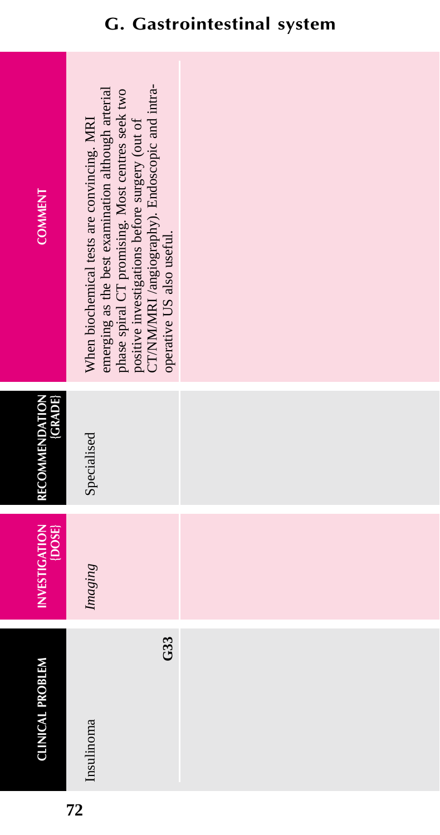| <b>COMMENT</b>                     | CT/NM/MRI /angiography). Endoscopic and intra-<br>emerging as the best examination although arterial<br>phase spiral CT promising. Most centres seek two<br>When biochemical tests are convincing. MRI<br>positive investigations before surgery (out of<br>operative US also useful. |  |
|------------------------------------|---------------------------------------------------------------------------------------------------------------------------------------------------------------------------------------------------------------------------------------------------------------------------------------|--|
| (GRADE)<br>RECOMMENDATION          | Specialised                                                                                                                                                                                                                                                                           |  |
| <b>INVESTIGATION</b><br>$\{DOSE\}$ | Imaging                                                                                                                                                                                                                                                                               |  |
| <b>CLINICAL PROBLEM</b>            | G33<br>Insulinoma                                                                                                                                                                                                                                                                     |  |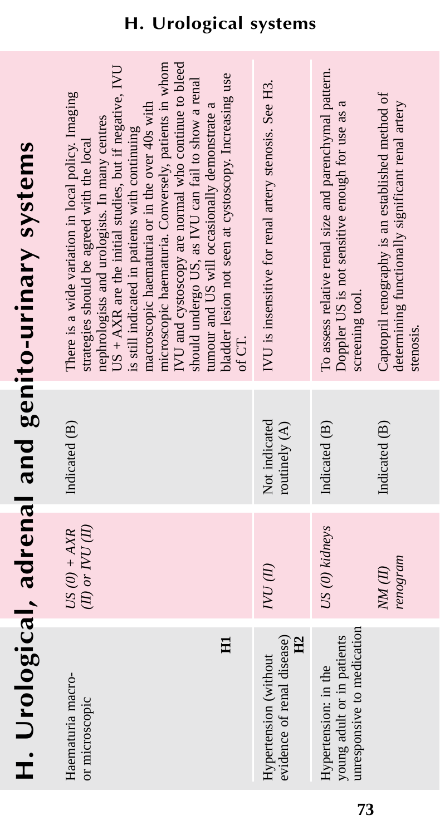# H. Urological, adrenal and genito-urinary systems **H. Urological, adrenal and genito-urinary systems**

| microscopic haematuria. Conversely, patients in whom<br>IVU and cystoscopy are normal who continue to bleed<br>$US + AXR$ are the initial studies, but if negative, IVU<br>should undergo US, as IVU can fail to show a renal<br>There is a wide variation in local policy. Imaging<br>macroscopic haematuria or in the over 40s with<br>tumour and US will occasionally demonstrate a<br>nephrologists and urologists. In many centres<br>is still indicated in patients with continuing<br>strategies should be agreed with the local | bladder lesion not seen at cystoscopy. Increasing use<br>of CT. | IVU is insensitive for renal artery stenosis. See H3.                 | To assess relative renal size and parenchymal pattern.<br>Doppler US is not sensitive enough for use as a<br>screening tool. | Captopril renography is an established method of<br>determining functionally significant renal artery<br>stenosis. |
|-----------------------------------------------------------------------------------------------------------------------------------------------------------------------------------------------------------------------------------------------------------------------------------------------------------------------------------------------------------------------------------------------------------------------------------------------------------------------------------------------------------------------------------------|-----------------------------------------------------------------|-----------------------------------------------------------------------|------------------------------------------------------------------------------------------------------------------------------|--------------------------------------------------------------------------------------------------------------------|
| Indicated (B)                                                                                                                                                                                                                                                                                                                                                                                                                                                                                                                           |                                                                 | Not indicated<br>routinely (A)                                        | Indicated (B)                                                                                                                | Indicated (B)                                                                                                      |
| $(II)$ or $NU$ $(II)$<br>$US(0) + AXR$                                                                                                                                                                                                                                                                                                                                                                                                                                                                                                  |                                                                 | IN DAI                                                                | US (0) kidneys                                                                                                               | renogram<br>NM(II)                                                                                                 |
| Haematuria macro-<br>or microscopic                                                                                                                                                                                                                                                                                                                                                                                                                                                                                                     | $H_1$                                                           | evidence of renal disease)<br>H <sub>2</sub><br>Hypertension (without | unresponsive to medication<br>young adult or in patients<br>Hypertension: in the                                             |                                                                                                                    |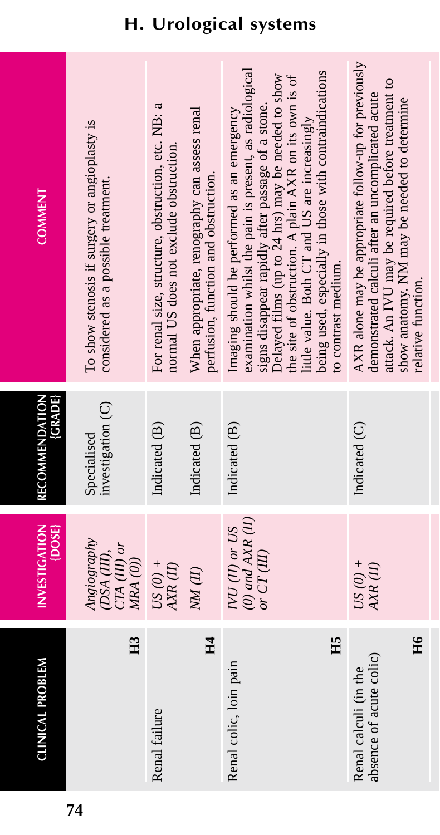| <b>COMMENT</b>                 | To show stenosis if surgery or angioplasty is<br>considered as a possible treatment. | For renal size, structure, obstruction, etc. NB: a<br>When appropriate, renography can assess renal<br>normal US does not exclude obstruction. | examination whilst the pain is present, as radiological<br>being used, especially in those with contraindications<br>Delayed films (up to 24 hrs) may be needed to show<br>the site of obstruction. A plain AXR on its own is of<br>signs disappear rapidly after passage of a stone.<br>Imaging should be performed as an emergency<br>little value. Both CT and US are increasingly<br>perfusion, function and obstruction.<br>to contrast medium. | AXR alone may be appropriate follow-up for previously<br>attack. An IVU may be required before treatment to<br>demonstrated calculi after an uncomplicated acute<br>show anatomy. NM may be needed to determine<br>relative function. |
|--------------------------------|--------------------------------------------------------------------------------------|------------------------------------------------------------------------------------------------------------------------------------------------|------------------------------------------------------------------------------------------------------------------------------------------------------------------------------------------------------------------------------------------------------------------------------------------------------------------------------------------------------------------------------------------------------------------------------------------------------|---------------------------------------------------------------------------------------------------------------------------------------------------------------------------------------------------------------------------------------|
| (GRADE)<br>RECOMMENDATION      | investigation (C)<br>Specialised                                                     | Indicated (B)<br>Indicated (B)                                                                                                                 | Indicated (B)                                                                                                                                                                                                                                                                                                                                                                                                                                        | Indicated (C)                                                                                                                                                                                                                         |
| <b>INVESTIGATION</b><br>{DOSE} | Angiography<br>$CTA(III)$ or<br>(DSA (III),<br>MRA (0))                              | $US(0) +$<br>AXR (II)<br>$NM$ (II)                                                                                                             | $(0)$ and $AXR$ $(II)$<br>$I\!V\!U$ (II) or $U\!S$<br>or $CT(III)$                                                                                                                                                                                                                                                                                                                                                                                   | $US(0) +$<br>AXR(II)                                                                                                                                                                                                                  |
| <b>CLINICAL PROBLEM</b>        | H <sub>3</sub>                                                                       | Renal failure                                                                                                                                  | H4<br>H5<br>Renal colic, loin pain                                                                                                                                                                                                                                                                                                                                                                                                                   | H6<br>absence of acute colic)<br>Renal calculi (in the                                                                                                                                                                                |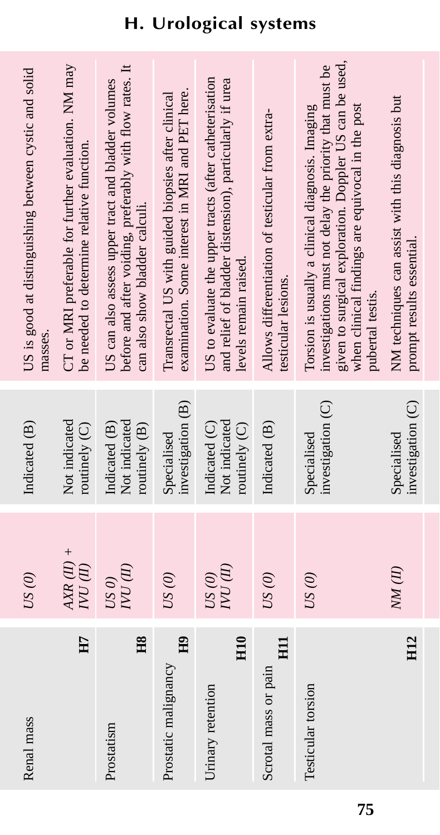| Renal mass                             | US(0)                 | Indicated (B)                                   | US is good at distinguishing between cystic and solid<br>masses.                                                                                                                                                                              |
|----------------------------------------|-----------------------|-------------------------------------------------|-----------------------------------------------------------------------------------------------------------------------------------------------------------------------------------------------------------------------------------------------|
| H7                                     | $AXR(II) +$<br>NU(II) | Not indicated<br>routinely $(C)$                | CT or MRI preferable for further evaluation. NM may<br>be needed to determine relative function.                                                                                                                                              |
| H8<br>Prostatism                       | IN NAI<br>USO         | Not indicated<br>routinely (B)<br>Indicated (B) | before and after voiding, preferably with flow rates. It<br>US can also assess upper tract and bladder volumes<br>can also show bladder calculi.                                                                                              |
| H <sub>9</sub><br>Prostatic malignancy | US(0)                 | investigation (B)<br>Specialised                | examination. Some interest in MRI and PET here.<br>Transrectal US with guided biopsies after clinical                                                                                                                                         |
| H <sub>10</sub><br>Urinary retention   | IVU (II)<br>US(0)     | Not indicated<br>Indicated (C)<br>routinely (C) | US to evaluate the upper tracts (after catheterisation<br>and relief of bladder distension), particularly if urea<br>levels remain raised.                                                                                                    |
| HII<br>Scrotal mass or pain            | US(0)                 | Indicated (B)                                   | Allows differentiation of testicular from extra-<br>testicular lesions.                                                                                                                                                                       |
| Testicular torsion                     | US(0)                 | investigation (C)<br>Specialised                | given to surgical exploration. Doppler US can be used,<br>investigations must not delay the priority that must be<br>Torsion is usually a clinical diagnosis. Imaging<br>when clinical findings are equivocal in the post<br>pubertal testis. |
| H <sub>12</sub>                        | NM(II)                | investigation (C)<br>Specialised                | NM techniques can assist with this diagnosis but<br>prompt results essential                                                                                                                                                                  |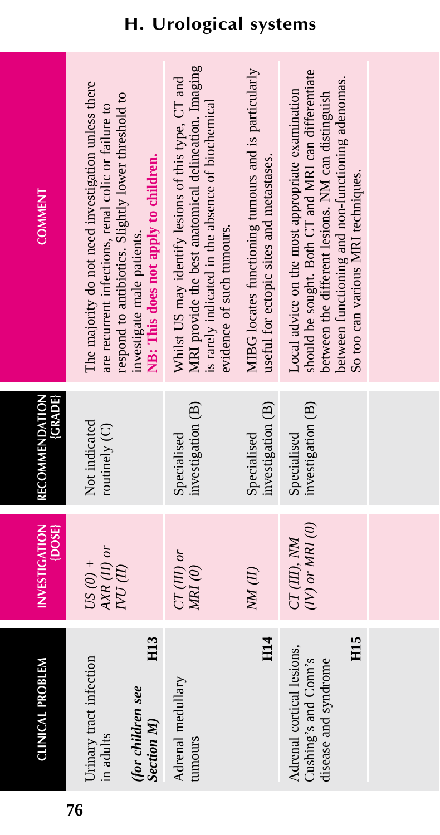| <b>CLINICAL PROBLEM</b>                                                                            | <b>INVESTIGATION</b><br>$\{$ DOSE $\}$ | <b>{GRADE}</b><br>RECOMMENDATION | <b>COMMENT</b>                                                                                                                                                                                                                                          |
|----------------------------------------------------------------------------------------------------|----------------------------------------|----------------------------------|---------------------------------------------------------------------------------------------------------------------------------------------------------------------------------------------------------------------------------------------------------|
| H <sub>13</sub><br>Urinary tract infection<br>(for children see<br><b>Section M</b> )<br>in adults | $AXR(II)$ or<br>US $(0) +$<br>IN NA    | Not indicated<br>routinely (C)   | The majority do not need investigation unless there<br>respond to antibiotics. Slightly lower threshold to<br>are recurrent infections, renal colic or failure to<br>NB: This does not apply to children.<br>investigate male patients.                 |
| Adrenal medullary<br>tumours                                                                       | $CT(III)$ or<br>$MRI$ (0)              | investigation (B)<br>Specialised | MRI provide the best anatomical delineation. Imaging<br>Whilst US may identify lesions of this type, CT and<br>s rarely indicated in the absence of biochemical<br>evidence of such tumours.                                                            |
| <b>H14</b>                                                                                         | NM(II)                                 | investigation (B)<br>Specialised | MIBG locates functioning tumours and is particularly<br>useful for ectopic sites and metastases.                                                                                                                                                        |
| H <sub>15</sub><br>Adrenal cortical lesions,<br>Cushing's and Conn's<br>disease and syndrome       | $(IV)$ or MRI $(0)$<br>CT(III), NM     | investigation (B)<br>Specialised | should be sought. Both CT and MRI can differentiate<br>between functioning and non-functioning adenomas.<br>Local advice on the most appropriate examination<br>between the different lesions. NM can distinguish<br>So too can various MRI techniques. |
|                                                                                                    |                                        |                                  |                                                                                                                                                                                                                                                         |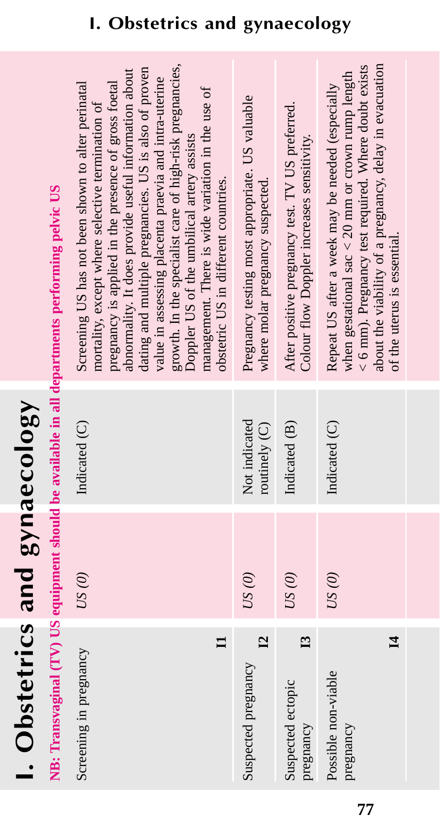# I. Obstetrics and gynaecology **I. Obstetrics and gynaecology**

# NB: Transvaginal (TV) US equipment should be available in all departments performing pelvic US **NB: Transvaginal (TV) US equipment should be available in all departments performing pelvic US**

| growth. In the specialist care of high-risk pregnancies,<br>dating and multiple pregnancies. US is also of proven<br>abnormality. It does provide useful information about<br>value in assessing placenta praevia and intra-uterine<br>pregnancy is applied in the presence of gross foetal<br>Screening US has not been shown to alter perinatal<br>management. There is wide variation in the use of<br>mortality, except where selective termination of<br>Doppler US of the umbilical artery assists<br>obstetric US in different countries. | Pregnancy testing most appropriate. US valuable<br>where molar pregnancy suspected. | After positive pregnancy test. TV US preferred.<br>Colour flow Doppler increases sensitivity. | about the viability of a pregnancy, delay in evacuation<br>$<$ 6 mm). Pregnancy test required. Where doubt exists<br>when gestational sac $<$ 20 mm or crown rump length<br>Repeat US after a week may be needed (especially<br>of the uterus is essential. |  |
|--------------------------------------------------------------------------------------------------------------------------------------------------------------------------------------------------------------------------------------------------------------------------------------------------------------------------------------------------------------------------------------------------------------------------------------------------------------------------------------------------------------------------------------------------|-------------------------------------------------------------------------------------|-----------------------------------------------------------------------------------------------|-------------------------------------------------------------------------------------------------------------------------------------------------------------------------------------------------------------------------------------------------------------|--|
| Indicated (C)                                                                                                                                                                                                                                                                                                                                                                                                                                                                                                                                    | Not indicated<br>routinely (C)                                                      | Indicated (B)                                                                                 | Indicated (C)                                                                                                                                                                                                                                               |  |
| US(0)                                                                                                                                                                                                                                                                                                                                                                                                                                                                                                                                            | US(0)                                                                               | US(0)                                                                                         | US(0)                                                                                                                                                                                                                                                       |  |
| Screening in pregnancy                                                                                                                                                                                                                                                                                                                                                                                                                                                                                                                           | $\overline{\mathbf{L}}$<br>Suspected pregnancy                                      | $\mathbf{E}$<br>Suspected ectopic<br>pregnancy                                                | $\mathbf{H}$<br>Possible non-viable<br>pregnancy                                                                                                                                                                                                            |  |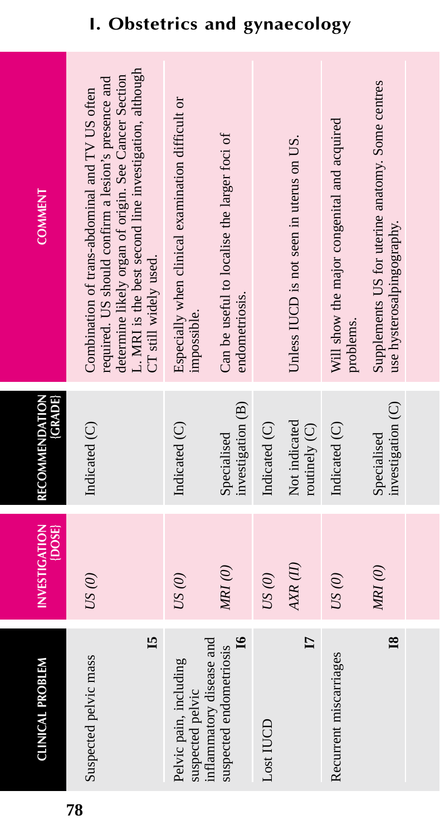| <b>CLINICAL PROBLEM</b>                                             | <b>INVESTIGATION</b><br>$\{$ DOSE $\}$ | RECOMMENDATION<br><b>CRADE</b>   | <b>COMMENT</b>                                                                                                                                                                                                                                   |
|---------------------------------------------------------------------|----------------------------------------|----------------------------------|--------------------------------------------------------------------------------------------------------------------------------------------------------------------------------------------------------------------------------------------------|
| 15<br>Suspected pelvic mass                                         | US(0)                                  | Indicated (C)                    | L. MRI is the best second line investigation, although<br>determine likely organ of origin. See Cancer Section<br>required. US should confirm a lesion's presence and<br>Combination of trans-abdominal and TV US often<br>CT still widely used. |
| Pelvic pain, including<br>suspected pelvic                          | US(0)                                  | Indicated (C)                    | Especially when clinical examination difficult or<br>impossible.                                                                                                                                                                                 |
| $\mathbf{g}$<br>inflammatory disease and<br>suspected endometriosis | MRI(0)                                 | investigation (B)<br>Specialised | Can be useful to localise the larger foci of<br>endometriosis.                                                                                                                                                                                   |
| Lost IUCD                                                           | US(0)                                  | Indicated (C)                    |                                                                                                                                                                                                                                                  |
| $\mathbf{I}$                                                        | AXR (II)                               | Not indicated<br>routinely (C)   | Unless IUCD is not seen in uterus on US.                                                                                                                                                                                                         |
| Recurrent miscarriages                                              | US(0)                                  | Indicated (C)                    | Will show the major congenital and acquired<br>problems.                                                                                                                                                                                         |
| $\overline{\mathbf{8}}$                                             | MRI(0)                                 | investigation (C)<br>Specialised | Supplements US for uterine anatomy. Some centres<br>use hysterosalpingography.                                                                                                                                                                   |
|                                                                     |                                        |                                  |                                                                                                                                                                                                                                                  |

# **I. Obstetrics and gynaecology**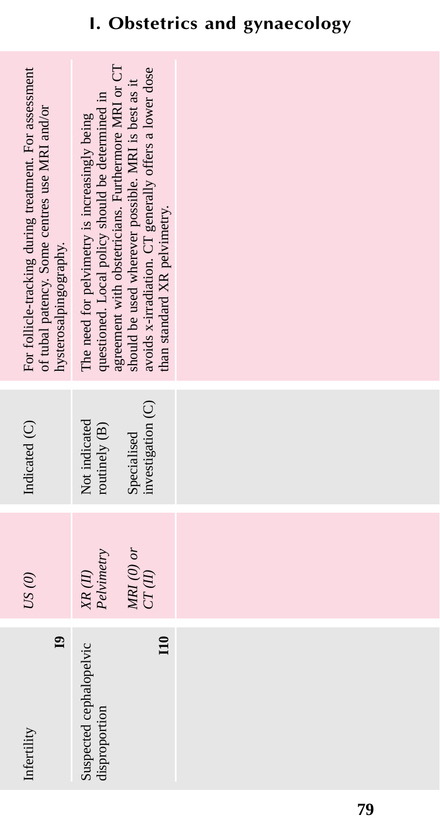| $\mathbf{a}$<br>Infertility              | US(0)                                                   | Indicated (C)                    | For follicle-tracking during treatment. For assessment<br>of tubal patency. Some centres use MRI and/or<br>hysterosalpingography.                                                                    |
|------------------------------------------|---------------------------------------------------------|----------------------------------|------------------------------------------------------------------------------------------------------------------------------------------------------------------------------------------------------|
| Suspected cephalopelvic<br>disproportion | $\begin{array}{c} X R \ (II) \\ Pelvimetry \end{array}$ | Not indicated<br>routinely (B)   | questioned. Local policy should be determined in<br>The need for pelvimetry is increasingly being                                                                                                    |
| $\overline{110}$                         | MRI $(0)$ or<br>CT(II)                                  | investigation (C)<br>Specialised | agreement with obstetricians. Furthermore MRI or CT<br>should be used wherever possible. MRI is best as it<br>avoids x-irradiation. CT generally offers a lower dose<br>than standard XR pelvimetry. |
|                                          |                                                         |                                  |                                                                                                                                                                                                      |
|                                          |                                                         |                                  |                                                                                                                                                                                                      |
|                                          |                                                         |                                  |                                                                                                                                                                                                      |

# **I. Obstetrics and gynaecology**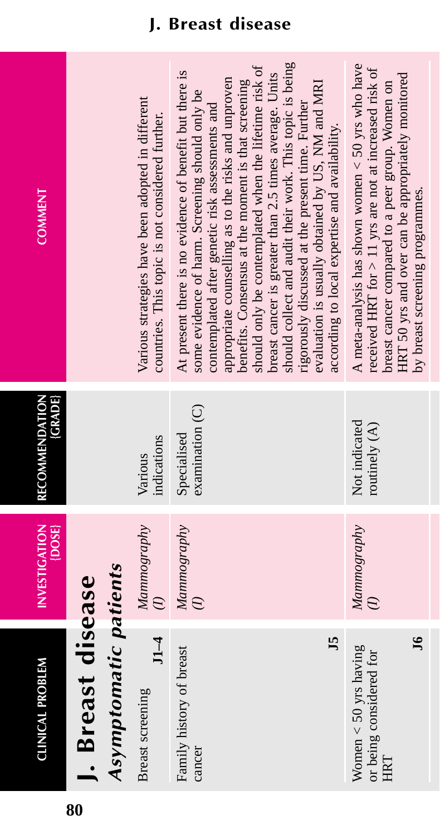| <b>COMMENT</b>                 |                                            | Various strategies have been adopted in different<br>countries. This topic is not considered further. | should collect and audit their work. This topic is being<br>should only be contemplated when the lifetime risk of<br>At present there is no evidence of benefit but there is<br>breast cancer is greater than 2.5 times average. Units<br>appropriate counselling as to the risks and unproven<br>benefits. Consensus at the moment is that screening<br>evaluation is usually obtained by US, NM and MRI<br>some evidence of harm. Screening should only be<br>rigorously discussed at the present time. Further<br>contemplated after genetic risk assessments and<br>according to local expertise and availability. | A meta-analysis has shown women $<$ 50 yrs who have<br>received HRT for $> 11$ yrs are not at increased risk of<br>HRT 50 yrs and over can be appropriately monitored<br>breast cancer compared to a peer group. Women on<br>by breast screening programmes. |
|--------------------------------|--------------------------------------------|-------------------------------------------------------------------------------------------------------|------------------------------------------------------------------------------------------------------------------------------------------------------------------------------------------------------------------------------------------------------------------------------------------------------------------------------------------------------------------------------------------------------------------------------------------------------------------------------------------------------------------------------------------------------------------------------------------------------------------------|--------------------------------------------------------------------------------------------------------------------------------------------------------------------------------------------------------------------------------------------------------------|
| <b>GRADE</b><br>RECOMMENDATION |                                            | indications<br>Various                                                                                | examination (C)<br>Specialised                                                                                                                                                                                                                                                                                                                                                                                                                                                                                                                                                                                         | Not indicated<br>routinely (A)                                                                                                                                                                                                                               |
| <b>INVESTIGATION</b><br>{DOSE} |                                            | Mammography<br>$\widehat{z}$                                                                          | Mammography                                                                                                                                                                                                                                                                                                                                                                                                                                                                                                                                                                                                            | Mammography                                                                                                                                                                                                                                                  |
| <b>CLINICAL PROBLEM</b>        | Asymptomatic patients<br>J. Breast disease | $11-4$<br>Breast screening                                                                            | J5<br>Family history of breast<br>cancer                                                                                                                                                                                                                                                                                                                                                                                                                                                                                                                                                                               | $\mathbf{J}$<br>Women $<$ 50 yrs having<br>or being considered for<br>HRT                                                                                                                                                                                    |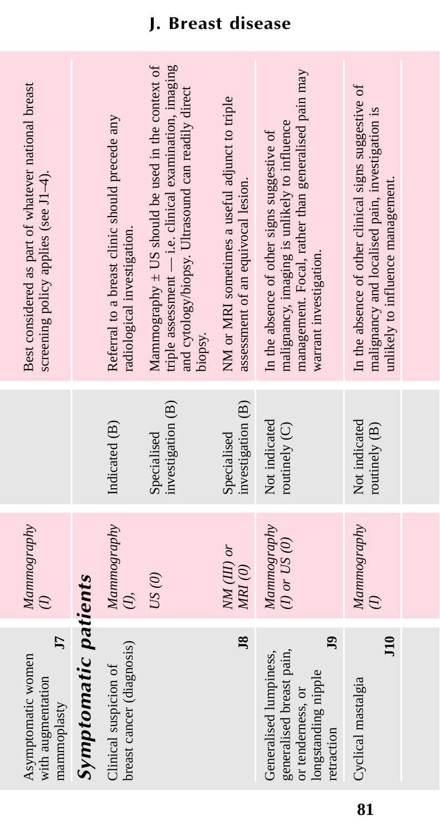| Best considered as part of whatever national breast<br>screening policy applies (see J1-4). |                      | Referral to a breast clinic should precede any<br>radiological investigation. | Mammography $\pm$ US should be used in the context of<br>triple assessment - i.e. clinical examination, imaging<br>and cytology/biopsy. Ultrasound can readily direct<br>biopsy. | NM or MRI sometimes a useful adjunct to triple<br>assessment of an equivocal lesion. | management. Focal, rather than generalised pain may<br>malignancy, imaging is unlikely to influence<br>In the absence of other signs suggestive of<br>warrant investigation. | In the absence of other clinical signs suggestive of<br>malignancy and localised pain, investigation is<br>unlikely to influence management. |  |
|---------------------------------------------------------------------------------------------|----------------------|-------------------------------------------------------------------------------|----------------------------------------------------------------------------------------------------------------------------------------------------------------------------------|--------------------------------------------------------------------------------------|------------------------------------------------------------------------------------------------------------------------------------------------------------------------------|----------------------------------------------------------------------------------------------------------------------------------------------|--|
|                                                                                             |                      | Indicated (B)                                                                 | investigation (B)<br>Specialised                                                                                                                                                 | investigation (B)<br>Specialised                                                     | Not indicated<br>routinely (C)                                                                                                                                               | Not indicated<br>routinely (B)                                                                                                               |  |
| Mammography                                                                                 |                      | Mammography                                                                   | US(0)                                                                                                                                                                            | $NM$ (III) or<br>$MRI$ $(0)$                                                         | Mammography<br>$(I)$ or $US(0)$                                                                                                                                              | Mammography                                                                                                                                  |  |
| J<br>Asymptomatic women<br>with augmentation<br>mammoplasty                                 | Symptomatic patients | breast cancer (diagnosis)<br>Clinical suspicion of                            |                                                                                                                                                                                  | $\overline{18}$                                                                      | 9<br>generalised breast pain,<br>Generalised lumpiness,<br>longstanding nipple<br>or tenderness, or<br>retraction                                                            | $\overline{110}$<br>Cyclical mastalgia                                                                                                       |  |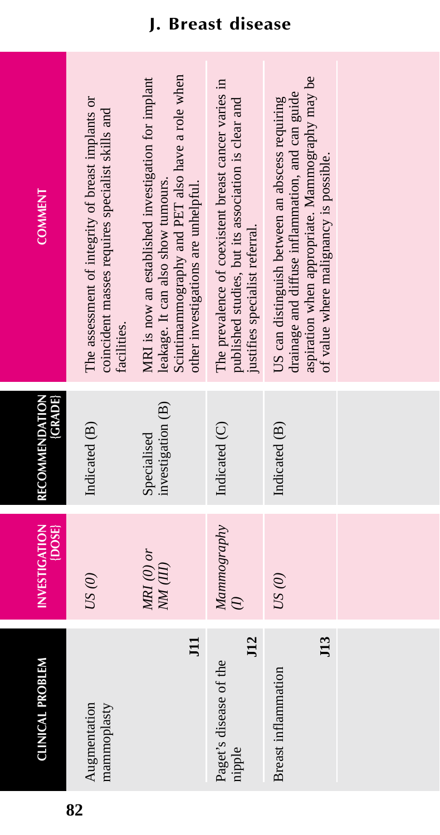| <b>COMMENT</b>                   | The assessment of integrity of breast implants or<br>coincident masses requires specialist skills and<br>facilities. | Scintimammography and PET also have a role when<br>MRI is now an established investigation for implant<br>leakage. It can also show tumours.<br>other investigations are unhelpful. | The prevalence of coexistent breast cancer varies in<br>published studies, but its association is clear and<br>justifies specialist referral. | aspiration when appropriate. Mammography may be<br>drainage and diffuse inflammation, and can guide<br>US can distinguish between an abscess requiring<br>of value where malignancy is possible. |  |
|----------------------------------|----------------------------------------------------------------------------------------------------------------------|-------------------------------------------------------------------------------------------------------------------------------------------------------------------------------------|-----------------------------------------------------------------------------------------------------------------------------------------------|--------------------------------------------------------------------------------------------------------------------------------------------------------------------------------------------------|--|
| <b>RECOMMENDATION</b><br>(GRADE) | Indicated (B)                                                                                                        | investigation (B)<br>Specialised                                                                                                                                                    | Indicated (C)                                                                                                                                 | Indicated (B)                                                                                                                                                                                    |  |
| INVESTIGATION<br>$\{DOSE\}$      | US(0)                                                                                                                | $MRI$ (0) or<br>NM (III)                                                                                                                                                            | Mamnography                                                                                                                                   | US(0)                                                                                                                                                                                            |  |
| <b>CLINICAL PROBLEM</b>          | mammoplasty<br>Augmentation                                                                                          | E                                                                                                                                                                                   | J12<br>Paget's disease of the<br>nipple                                                                                                       | $113$<br>Breast inflammation                                                                                                                                                                     |  |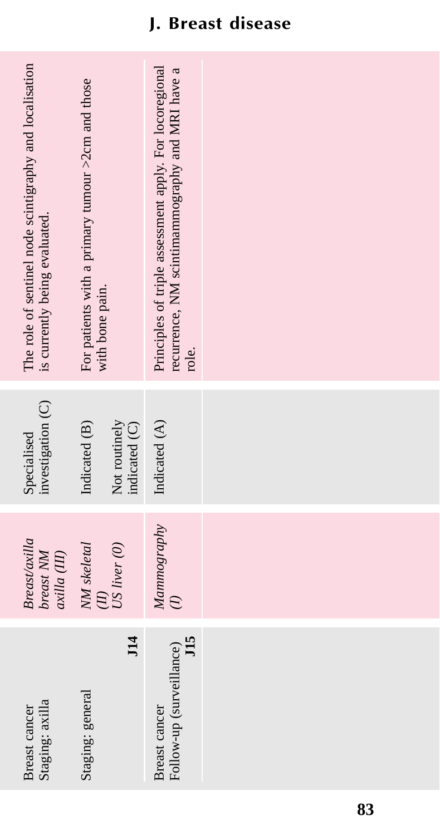| Staging: axilla<br>Breast cancer                 | <b>Breast</b> /axilla<br>breast NM<br>axilla (III) | investigation (C)<br>Specialised                | The role of sentinel node scintigraphy and localisation<br>is currently being evaluated.                            |
|--------------------------------------------------|----------------------------------------------------|-------------------------------------------------|---------------------------------------------------------------------------------------------------------------------|
| $\overline{114}$<br>Staging: general             | NM skeletal<br>US liver (0)                        | Not routinely<br>Indicated (B)<br>indicated (C) | For patients with a primary tumour >2cm and those<br>with bone pain.                                                |
| J15<br>Follow-up (surveillance)<br>Breast cancer | Mamnography<br>$\widehat{z}$                       | Indicated (A)                                   | Principles of triple assessment apply. For locoregional<br>recurrence, NM scintimammography and MRI have a<br>role. |
|                                                  |                                                    |                                                 |                                                                                                                     |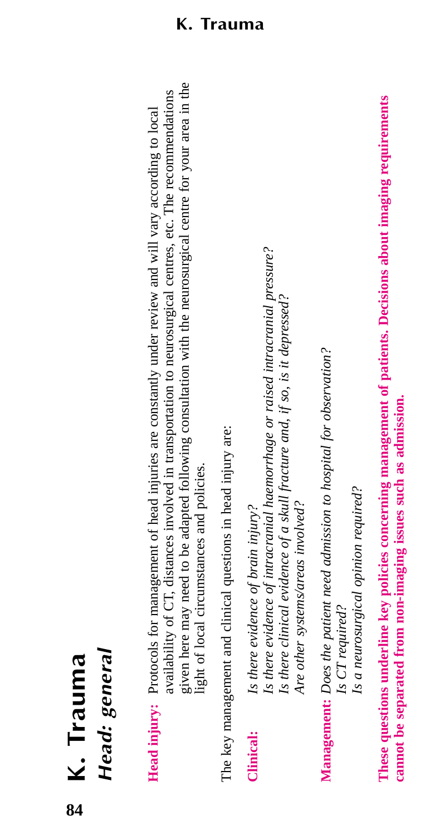Head: general *Head: general* **K. Trauma**

given here may need to be adapted following consultation with the neurosurgical centre for your area in the given here may need to be adapted following consultation with the neurosurgical centre for your area in the availability of CT, distances involved in transportation to neurosurgical centres, etc. The recommendations availability of CT, distances involved in transportation to neurosurgical centres, etc. The recommendations **Head injury:** Protocols for management of head injuries are constantly under review and will vary according to local **Head injury:** Protocols for management of head injuries are constantly under review and will vary according to local light of local circumstances and policies. light of local circumstances and policies.

The key management and clinical questions in head injury are: The key management and clinical questions in head injury are:

Is there evidence of intracranial haemorrhage or raised intracranial pressure? *Is there evidence of intracranial haemorrhage or raised intracranial pressure?* Is there clinical evidence of a skull fracture and, if so, is it depressed? *Is there clinical evidence of a skull fracture and, if so, is it depressed?* Is there evidence of brain injury? **Clinical:** *Is there evidence of brain injury?* Clinical:

Management: Does the patient need admission to hospital for observation? **Management:** *Does the patient need admission to hospital for observation?* Is CT required? *Is CT required?*

*Is a neurosurgical opinion required?*

Is a neurosurgical opinion required?

*Are other systems/areas involved?*

Are other systems/areas involved?

These questions underline key policies concerning management of patients. Decisions about imaging requirements **These questions underline key policies concerning management of patients. Decisions about imaging requirements** cannot be separated from non-imaging issues such as admission. **cannot be separated from non-imaging issues such as admission.**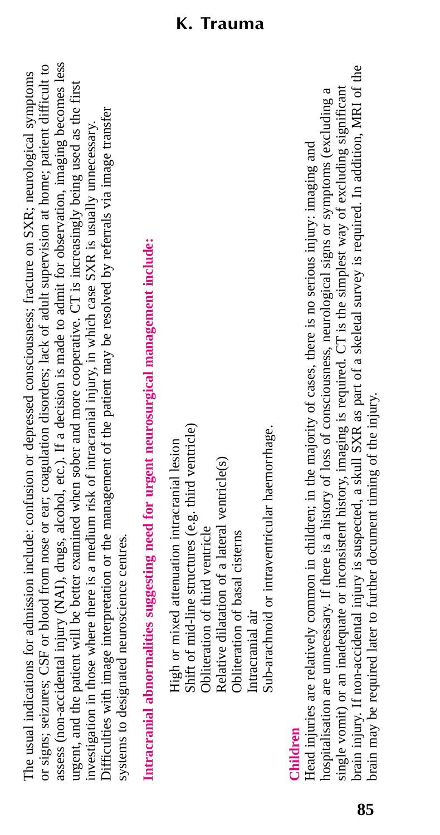assess (non-accidental injury (NAI), drugs, alcohol, etc.). If a decision is made to admit for observation, imaging becomes less or signs; seizures; CSF or blood from nose or ear; coagulation disorders; lack of adult supervision at home; patient difficult to assess (non-accidental injury (NAI), drugs, alcohol, etc.). If a decision is made to admit for observation, imaging becomes less or signs; seizures; CSF or blood from nose or ear; coagulation disorders; lack of adult supervision at home; patient difficult to The usual indications for admission include: confusion or depressed consciousness; fracture on SXR; neurological symptoms The usual indications for admission include: confusion or depressed consciousness; fracture on SXR; neurological symptoms urgent, and the patient will be better examined when sober and more cooperative. CT is increasingly being used as the first urgent, and the patient will be better examined when sober and more cooperative. CT is increasingly being used as the first Difficulties with image interpretation or the management of the patient may be resolved by referrals via image transfer Difficulties with image interpretation or the management of the patient may be resolved by referrals via image transfer investigation in those where there is a medium risk of intracranial injury, in which case SXR is usually unnecessary. investigation in those where there is a medium risk of intracranial injury, in which case SXR is usually unnecessary. systems to designated neuroscience centres. systems to designated neuroscience centres.

Intracranial abnormalities suggesting need for urgent neurosurgical management include: **Intracranial abnormalities suggesting need for urgent neurosurgical management include:**

Shift of mid-line structures (e.g. third ventricle) Shift of mid-line structures (e.g. third ventricle) Sub-arachnoid or intraventricular haemorrhage. Sub-arachnoid or intraventricular haemorrhage. High or mixed attenuation intracranial lesion High or mixed attenuation intracranial lesion Relative dilatation of a lateral ventricle(s) Relative dilatation of a lateral ventricle(s) Obliteration of third ventricle Obliteration of third ventricle Obliteration of basal cisterns Obliteration of basal cisterns Intracranial air Intracranial air

# **Children**

orain injury. If non-accidental injury is suspected, a skull SXR as part of a skeletal survey is required. In addition, MRI of the brain injury. If non-accidental injury is suspected, a skull SXR as part of a skeletal survey is required. In addition, MRI of the hospitalisation are unnecessary. If there is a history of loss of consciousness, neurological signs or symptoms (excluding a single vomit) or an inadequate or inconsistent history, imaging is required. CT is the simplest way of excluding significant single vomit) or an inadequate or inconsistent history, imaging is required. CT is the simplest way of excluding significant hospitalisation are unnecessary. If there is a history of loss of consciousness, neurological signs or symptoms (excluding a Head injuries are relatively common in children; in the majority of cases, there is no serious injury: imaging and Head injuries are relatively common in children; in the majority of cases, there is no serious injury: imaging and prain may be required later to further document timing of the injury. brain may be required later to further document timing of the injury.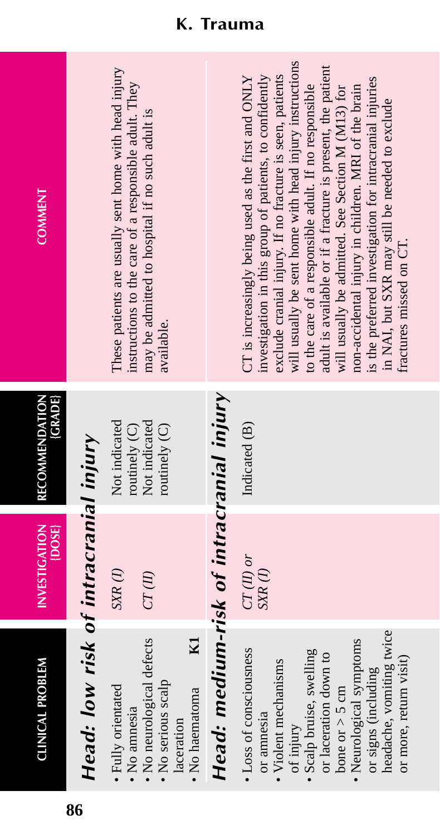| <b>COMMENT</b>                        |                                       | These patients are usually sent home with head injury<br>instructions to the care of a responsible adult. They<br>may be admitted to hospital if no such adult is<br>available. |                                          | will usually be sent home with head injury instructions<br>adult is available or if a fracture is present, the patient<br>exclude cranial injury. If no fracture is seen, patients<br>investigation in this group of patients, to confidently<br>CT is increasingly being used as the first and ONLY<br>is the preferred investigation for intracranial injuries<br>to the care of a responsible adult. If no responsible<br>will usually be admitted. See Section M (M13) for<br>non-accidental injury in children. MRI of the brain<br>in NAI, but SXR may still be needed to exclude<br>fractures missed on CT. |
|---------------------------------------|---------------------------------------|---------------------------------------------------------------------------------------------------------------------------------------------------------------------------------|------------------------------------------|--------------------------------------------------------------------------------------------------------------------------------------------------------------------------------------------------------------------------------------------------------------------------------------------------------------------------------------------------------------------------------------------------------------------------------------------------------------------------------------------------------------------------------------------------------------------------------------------------------------------|
| <b>RECOMMENDATION</b><br><b>GRADE</b> |                                       | Not indicated<br>Not indicated<br>routinely (C)<br>routinely $(C)$                                                                                                              |                                          | Indicated (B)                                                                                                                                                                                                                                                                                                                                                                                                                                                                                                                                                                                                      |
| <b>INVESTIGATION</b><br>{DOSE}        |                                       | $SXR$ (1)<br>CT(II)                                                                                                                                                             |                                          | $CT(II)$ or<br>$SXR$ $(1)$                                                                                                                                                                                                                                                                                                                                                                                                                                                                                                                                                                                         |
| <b>CLINICAL PROBLEM</b>               | Head: low risk of intracranial injury | No neurological defects<br>$\mathbf{z}$<br>No serious scalp<br>Fully orientated<br>No haematoma<br>No amnesia<br>laceration                                                     | Head: medium-risk of intracranial injury | headache, vomiting twice<br>Neurological symptoms<br>• Loss of consciousness<br>Scalp bruise, swelling<br>or laceration down to<br>or more, return visit)<br>Violent mechanisms<br>or signs (including<br>bone or $>$ 5 cm<br>or ammesia<br>of injury                                                                                                                                                                                                                                                                                                                                                              |

**86**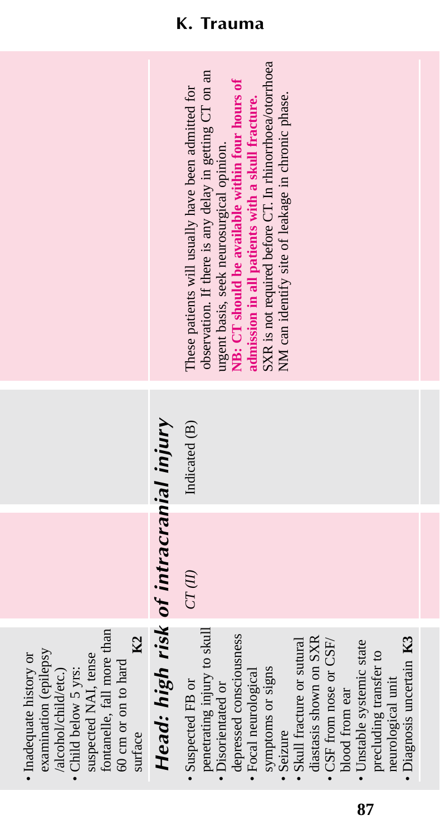fontanelle, fall more than fontanelle, fall more than K<sub>2</sub> surface **K2** examination (epilepsy<br>/alcohol/child/etc.) examination (epilepsy · Inadequate history or • Inadequate history or suspected NAI, tense suspected NAI, tense 60 cm or on to hard 60 cm or on to hard /alcohol/child/etc.) • Child below 5 yrs: • Child below 5 yrs: surface

# Head: high risk of intracranial injury *Head: high risk of intracranial injury*

- penetrating injury to skull depressed consciousness • Suspected FB or · Disorientated or
	- · Focal neurological
		- symptoms or signs
			- · Seizure
- diastasis shown on SXR diastasis shown on SXR • Skull fracture or sutural  $\bullet$  CSF from nose or CSF/ • Skull fracture or sutural • CSF from nose or CSF/
	- · Unstable systemic state • Unstable systemic state precluding transfer to precluding transfer to blood from ear blood from ear
- · Diagnosis uncertain K3 • Diagnosis uncertain **K3** neurological unit neurological unit

| • Suspected FB or           | $CT(\hat{H})$ | Indicated (B) | These patients will usually have been admitted for      |
|-----------------------------|---------------|---------------|---------------------------------------------------------|
| penetrating injury to skull |               |               | observation. If there is any delay in getting CT on an  |
| · Disorientated or          |               |               | rgent basis, seek neurosurgical opinion.                |
| depressed consciousness     |               |               | VB: CT should be available within four hours of         |
| · Focal neurological        |               |               | dmission in all patients with a skull fracture.         |
| symptoms or signs           |               |               | SXR is not required before CT. In rhinorrhoea/otorrhoea |
| · Seizure                   |               |               | NM can identify site of leakage in chronic phase.       |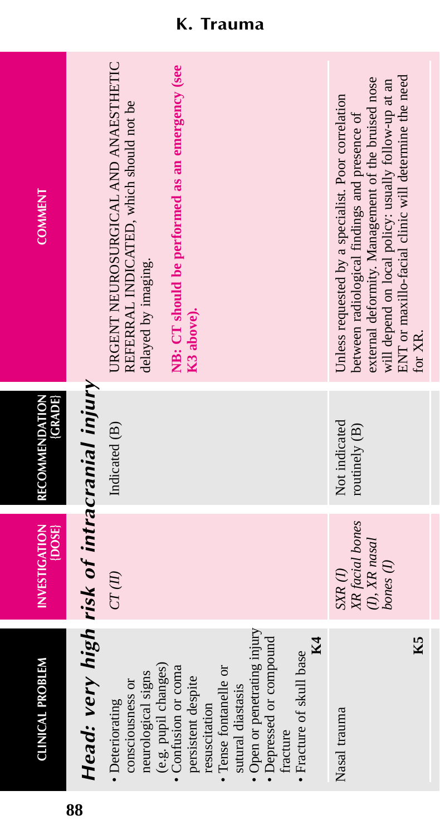| <b>COMMENT</b>                 |                                             | URGENT NEUROSURGICAL AND ANAESTHETIC<br>NB: CT should be performed as an emergency (see<br>REFERRAL INDICATED, which should not be<br>delayed by imaging.<br>K3 above).                                                                                                                                | ENT or maxillo-facial clinic will determine the need<br>external deformity. Management of the bruised nose<br>will depend on local policy: usually follow-up at an<br>Unless requested by a specialist. Poor correlation<br>between radiological findings and presence of<br>for XR. |
|--------------------------------|---------------------------------------------|--------------------------------------------------------------------------------------------------------------------------------------------------------------------------------------------------------------------------------------------------------------------------------------------------------|--------------------------------------------------------------------------------------------------------------------------------------------------------------------------------------------------------------------------------------------------------------------------------------|
| (GRADE)<br>RECOMMENDATION      |                                             | Indicated (B)                                                                                                                                                                                                                                                                                          | Not indicated<br>routinely (B)                                                                                                                                                                                                                                                       |
| <b>INVESTIGATION</b><br>{DOSE} |                                             | $CT(\mathcal{U})$                                                                                                                                                                                                                                                                                      | XR facial bones<br>(I), XR nasal<br>bones (1)<br>$SXR$ $(I)$                                                                                                                                                                                                                         |
| <b>CLINICAL PROBLEM</b>        | Head: very high risk of intracranial injury | · Open or penetrating injury<br>· Depressed or compound<br>K4<br>· Fracture of skull base<br>(e.g. pupil changes)<br>• Confusion or coma<br>· Tense fontanelle or<br>neurological signs<br>persistent despite<br>consciousness or<br>sutural diastasis<br>· Deteriorating<br>resuscitation<br>tracture | K5<br>Nasal trauma                                                                                                                                                                                                                                                                   |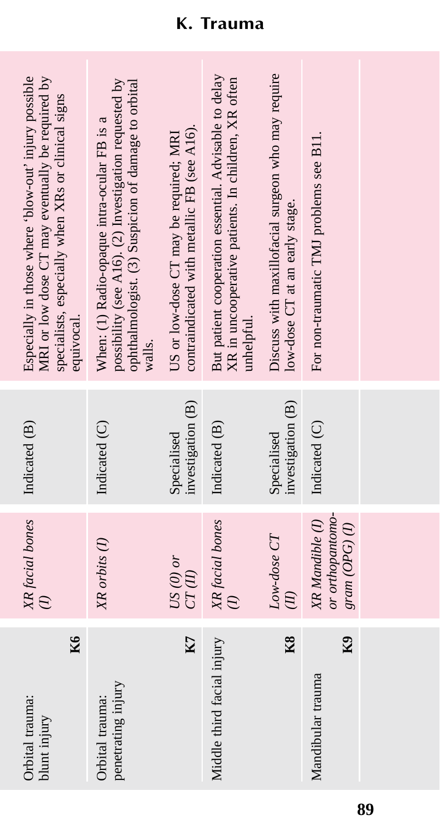| MRI or low dose CT may eventually be required by<br>Especially in those where 'blow-out' injury possible<br>specialists, especially when XRs or clinical signs<br>equivocal. | possibility (see A16). (2) Investigation requested by<br>ophthalmologist. (3) Suspicion of damage to orbital<br>When: (1) Radio-opaque intra-ocular FB is a<br>walls. | contraindicated with metallic FB (see A16).<br>US or low-dose CT may be required; MRI | But patient cooperation essential. Advisable to delay<br>XR in uncooperative patients. In children, XR often<br>unhelpful. | Discuss with maxillofacial surgeon who may require<br>low-dose CT at an early stage. | For non-traumatic TMJ problems see B11.                |  |
|------------------------------------------------------------------------------------------------------------------------------------------------------------------------------|-----------------------------------------------------------------------------------------------------------------------------------------------------------------------|---------------------------------------------------------------------------------------|----------------------------------------------------------------------------------------------------------------------------|--------------------------------------------------------------------------------------|--------------------------------------------------------|--|
| Indicated (B)                                                                                                                                                                | Indicated (C)                                                                                                                                                         | investigation (B)<br>Specialised                                                      | Indicated (B)                                                                                                              | investigation (B)<br>Specialised                                                     | Indicated (C)                                          |  |
| XR facial bones                                                                                                                                                              | XR orbits (1)                                                                                                                                                         | US $(0)$ or<br>CT(U)                                                                  | XR facial bones                                                                                                            | Low-dose CT<br>$\widetilde{E}$                                                       | or orthopantomo-<br>XR Mandible (1)<br>$gram(OPG)$ (I) |  |
| K6<br>Orbital trauma:<br>blunt injury                                                                                                                                        | penetrating injury<br>Orbital trauma:                                                                                                                                 | K7                                                                                    | Middle third facial injury                                                                                                 | K8                                                                                   | K9<br>Mandibular trauma                                |  |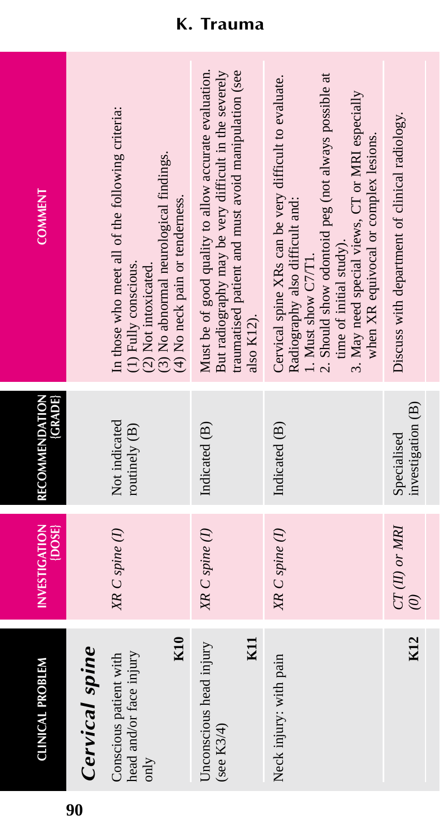| <b>CLINICAL PROBLEM</b>                                          | <b>INVESTIGATION</b><br>{DOSE} | <b>{GRADE}</b><br>RECOMMENDATION | <b>COMMENT</b>                                                                                                                                                                                                                                                                                |
|------------------------------------------------------------------|--------------------------------|----------------------------------|-----------------------------------------------------------------------------------------------------------------------------------------------------------------------------------------------------------------------------------------------------------------------------------------------|
| Cervical spine                                                   |                                |                                  |                                                                                                                                                                                                                                                                                               |
| K10<br>head and/or face injury<br>Conscious patient with<br>only | XR C spine (1)                 | Not indicated<br>routinely (B)   | In those who meet all of the following criteria:<br>(3) No abnormal neurological findings.<br>(4) No neck pain or tenderness.<br>(1) Fully conscious.<br>(2) Not intoxicated.                                                                                                                 |
| KII<br>Unconscious head injury<br>(see $K3/4$ )                  | XR C spine (1)                 | Indicated (B)                    | But radiography may be very difficult in the severely<br>traumatised patient and must avoid manipulation (see<br>Must be of good quality to allow accurate evaluation.<br>also K12).                                                                                                          |
| Neck injury: with pain                                           | XR C spine (1)                 | Indicated (B)                    | 2. Should show odontoid peg (not always possible at<br>Cervical spine XRs can be very difficult to evaluate.<br>3. May need special views, CT or MRI especially<br>when XR equivocal or complex lesions.<br>Radiography also difficult and:<br>time of initial study).<br>1. Must show C7/T1. |
| K12                                                              | $CT(II)$ or MRI<br>$\odot$     | investigation (B)<br>Specialised | Discuss with department of clinical radiology.                                                                                                                                                                                                                                                |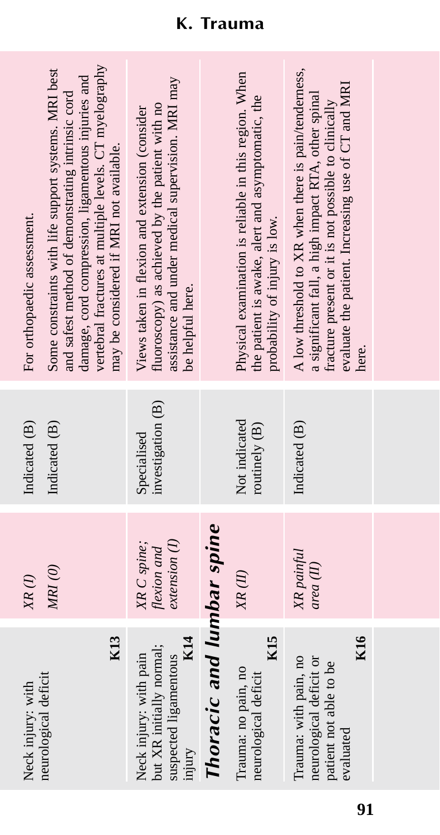| Neck injury: with                                                                              | $XR$ (1)                                   | Indicated (B)                    | For orthopaedic assessment.                                                                                                                                                                                                                                          |
|------------------------------------------------------------------------------------------------|--------------------------------------------|----------------------------------|----------------------------------------------------------------------------------------------------------------------------------------------------------------------------------------------------------------------------------------------------------------------|
| K13<br>neurological deficit                                                                    | MRI(0)                                     | Indicated (B)                    | vertebral fractures at multiple levels. CT myelography<br>Some constraints with life support systems. MRI best<br>damage, cord compression, ligamentous injuries and<br>and safest method of demonstrating intrinsic cord<br>may be considered if MRI not available. |
| K14<br>but XR initially normal;<br>suspected ligamentous<br>Neck injury: with pain<br>mjury    | extension(I)<br>XR C spine;<br>flexion and | investigation (B)<br>Specialised | assistance and under medical supervision. MRI may<br>fluoroscopy) as achieved by the patient with no<br>Views taken in flexion and extension (consider<br>be helpful here.                                                                                           |
| Thoracic and lumbar spine                                                                      |                                            |                                  |                                                                                                                                                                                                                                                                      |
| K <sub>15</sub><br>Trauma: no pain, no<br>neurological deficit                                 | XR(II)                                     | Not indicated<br>routinely (B)   | Physical examination is reliable in this region. When<br>the patient is awake, alert and asymptomatic, the<br>probability of injury is low.                                                                                                                          |
| K16<br>Trauma: with pain, no<br>neurological deficit or<br>patient not able to be<br>evaluated | XR painful<br>area (II)                    | Indicated (B)                    | A low threshold to XR when there is pain/tenderness,<br>evaluate the patient. Increasing use of CT and MRI<br>a significant fall, a high impact RTA, other spinal<br>fracture present or it is not possible to clinically<br>here.                                   |
|                                                                                                |                                            |                                  |                                                                                                                                                                                                                                                                      |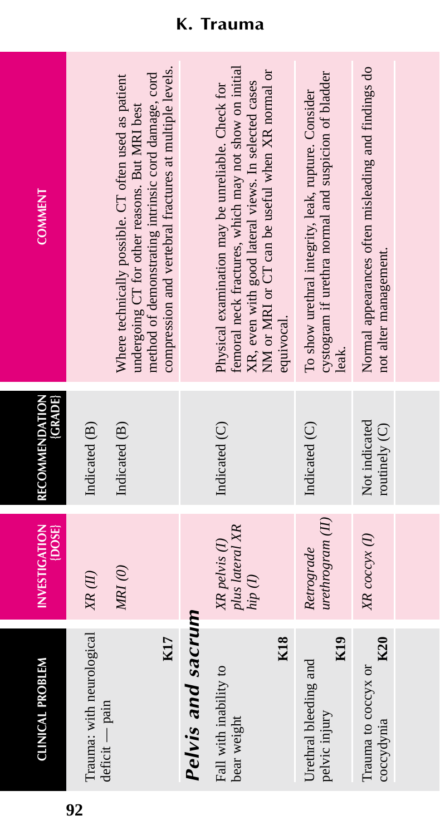| <b>CLINICAL PROBLEM</b>                                   | INVESTIGATION<br>{DOSE}                     | RECOMMENDATION<br><b>GRADE</b> | <b>COMMENT</b>                                                                                                                                                                                                          |
|-----------------------------------------------------------|---------------------------------------------|--------------------------------|-------------------------------------------------------------------------------------------------------------------------------------------------------------------------------------------------------------------------|
| Trauma: with neurological                                 | XR(II)                                      | Indicated (B)                  |                                                                                                                                                                                                                         |
| K17<br>deficit — pain                                     | MRI(0)                                      | Indicated (B)                  | compression and vertebral fractures at multiple levels.<br>method of demonstrating intrinsic cord damage, cord<br>Where technically possible. CT often used as patient<br>undergoing CT for other reasons. But MRI best |
| Pelvis and sacrum                                         |                                             |                                |                                                                                                                                                                                                                         |
| Fall with inability to<br>bear weight                     | plus lateral XR<br>XR pelvis (1)<br>hip (I) | Indicated (C)                  | femoral neck fractures, which may not show on initial<br>NM or MRI or CT can be useful when XR normal or<br>XR, even with good lateral views. In selected cases<br>Physical examination may be unreliable. Check for    |
| <b>K18</b>                                                |                                             |                                | equivocal.                                                                                                                                                                                                              |
| K <sub>19</sub><br>Urethral bleeding and<br>pelvic injury | $u$ rethrogram $(H)$<br>Retrograde          | Indicated (C)                  | cystogram if urethra normal and suspicion of bladder<br>To show urethral integrity, leak, rupture. Consider                                                                                                             |
| K20<br>Trauma to coccyx or<br>coccydynia                  | XR coccyx (1)                               | Not indicated<br>routinely (C) | Normal appearances often misleading and findings do<br>not alter management.                                                                                                                                            |
|                                                           |                                             |                                |                                                                                                                                                                                                                         |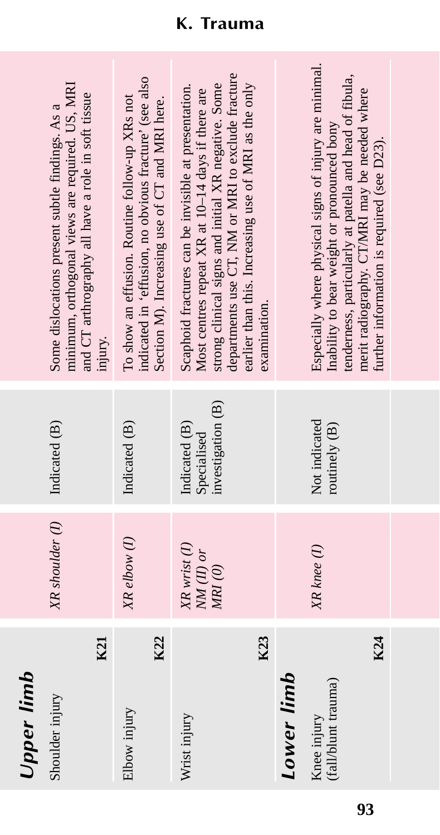$\ddot{\cdot}$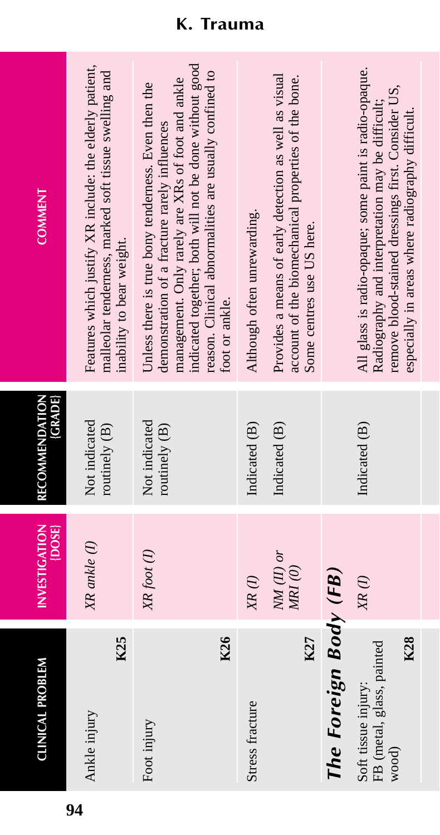| <b>CLINICAL PROBLEM</b>                                          | <b>INVESTIGATION</b><br>$\{$ DOSE $\}$           | RECOMMENDATION<br><b>(GRADE)</b> | <b>COMMENT</b>                                                                                                                                                                                                                                                                                  |
|------------------------------------------------------------------|--------------------------------------------------|----------------------------------|-------------------------------------------------------------------------------------------------------------------------------------------------------------------------------------------------------------------------------------------------------------------------------------------------|
| K25<br>Ankle injury                                              | XR ankle (1)                                     | Not indicated<br>routinely (B)   | Features which justify XR include: the elderly patient,<br>malleolar tenderness, marked soft tissue swelling and<br>inability to bear weight.                                                                                                                                                   |
| K26<br>Foot injury                                               | XR foot (I)                                      | Not indicated<br>routinely (B)   | indicated together; both will not be done without good<br>reason. Clinical abnormalities are usually confined to<br>management. Only rarely are XRs of foot and ankle<br>Unless there is true bony tenderness. Even then the<br>demonstration of a fracture rarely influences<br>foot or ankle. |
| Stress fracture                                                  | $NM(II)$ or<br>$X\hspace{-.1cm}R\left( I\right)$ | Indicated (B)<br>Indicated (B)   | Provides a means of early detection as well as visual<br>Although often unrewarding.                                                                                                                                                                                                            |
| K27                                                              | $M\!Rl$ (0)                                      |                                  | account of the biomechanical properties of the bone.<br>Some centres use US here.                                                                                                                                                                                                               |
| The Foreign Body (FB)                                            |                                                  |                                  |                                                                                                                                                                                                                                                                                                 |
| K28<br>FB (metal, glass, painted<br>Soft tissue injury:<br>wood) | $XR$ (I)                                         | Indicated (B)                    | All glass is radio-opaque; some paint is radio-opaque.<br>remove blood-stained dressings first. Consider US,<br>Radiography and interpretation may be difficult;<br>especially in areas where radiography difficult.                                                                            |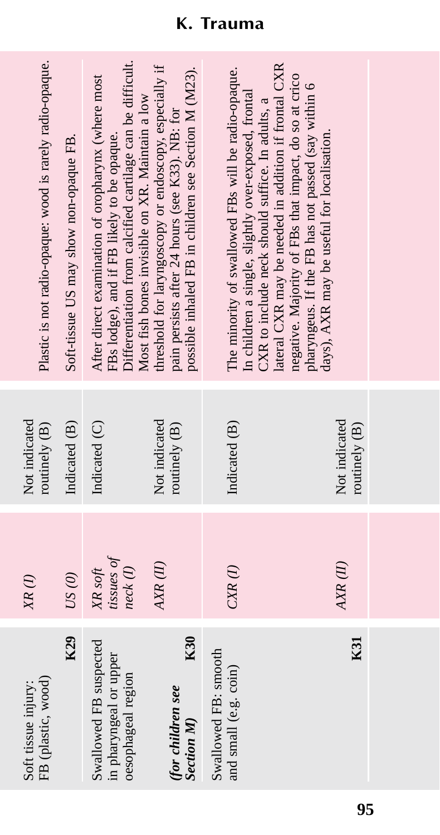| FB (plastic, wood)<br>Soft tissue injury:                              | $XR$ $(I)$                       | Not indicated<br>routinely (B) | Plastic is not radio-opaque: wood is rarely radio-opaque.                                                                                                                                                         |
|------------------------------------------------------------------------|----------------------------------|--------------------------------|-------------------------------------------------------------------------------------------------------------------------------------------------------------------------------------------------------------------|
| K29                                                                    | US(0)                            | Indicated (B)                  | Soft-tissue US may show non-opaque FB.                                                                                                                                                                            |
| Swallowed FB suspected<br>in pharyngeal or upper<br>oesophageal region | tissues of<br>neck(I)<br>XR soft | Indicated (C)                  | Differentiation from calcified cartilage can be difficult.<br>After direct examination of oropharynx (where most<br>Most fish bones invisible on XR. Maintain a low<br>FBs lodge), and if FB likely to be opaque. |
| K30<br>(for children see<br><b>Section M</b>                           | AXR(II)                          | Not indicated<br>routinely (B) | threshold for laryngoscopy or endoscopy, especially if<br>possible inhaled FB in children see Section M (M23).<br>pain persists after 24 hours (see K33). NB: for                                                 |
| Swallowed FB: smooth<br>and small (e.g. coin)                          | $CXR$ (1)                        | Indicated (B)                  | The minority of swallowed FBs will be radio-opaque.<br>In children a single, slightly over-exposed, frontal<br>XXR to include neck should suffice. In adults, a                                                   |
| K31                                                                    | AXR(II)                          | Not indicated<br>routinely (B) | ateral CXR may be needed in addition if frontal CXR<br>negative. Majority of FBs that impact, do so at crico<br>pharyngeus. If the FB has not passed (say within 6<br>days), AXR may be useful for localisation.  |
|                                                                        |                                  |                                |                                                                                                                                                                                                                   |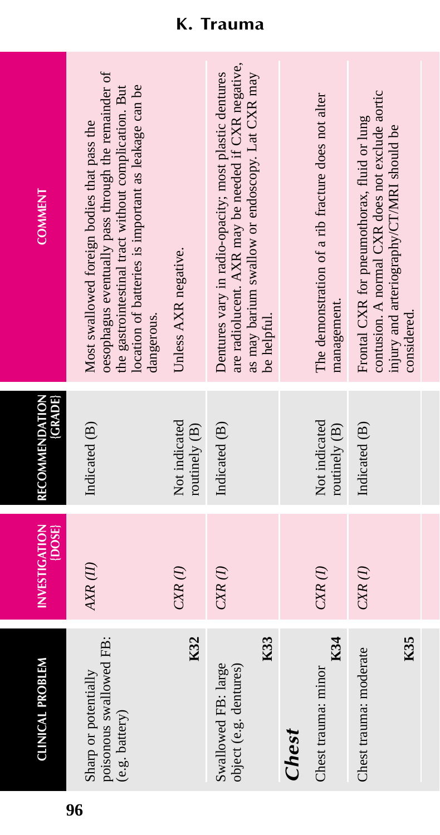| <b>CLINICAL PROBLEM</b>                                           | <b>INVESTIGATION</b><br>{DOSE} | (GRADE)<br>RECOMMENDATION      | <b>COMMENT</b>                                                                                                                                                                                                                   |
|-------------------------------------------------------------------|--------------------------------|--------------------------------|----------------------------------------------------------------------------------------------------------------------------------------------------------------------------------------------------------------------------------|
| poisonous swallowed FB:<br>Sharp or potentially<br>(e.g. battery) | AXR(II)                        | Indicated (B)                  | oesophagus eventually pass through the remainder of<br>the gastrointestinal tract without complication. But<br>location of batteries is important as leakage can be<br>Most swallowed foreign bodies that pass the<br>dangerous. |
| K32                                                               | $CXR$ $(I)$                    | Not indicated<br>routinely (B) | Unless AXR negative.                                                                                                                                                                                                             |
| K33<br>Swallowed FB: large<br>object (e.g. dentures)              | $CXR$ $(I)$                    | Indicated (B)                  | are radiolucent. AXR may be needed if CXR negative,<br>as may barium swallow or endoscopy. Lat CXR may<br>Dentures vary in radio-opacity; most plastic dentures<br>be helpful.                                                   |
| Chest                                                             |                                |                                |                                                                                                                                                                                                                                  |
| K34<br>Chest trauma: minor                                        | $CXR$ $(I)$                    | Not indicated<br>routinely (B) | The demonstration of a rib fracture does not alter<br>management.                                                                                                                                                                |
| K35<br>Chest trauma: moderate                                     | $CXR$ $(I)$                    | Indicated (B)                  | contusion. A normal CXR does not exclude aortic<br>Frontal CXR for pneumothorax, fluid or lung<br>injury and arteriography/CT/MRI should be<br>considered.                                                                       |
|                                                                   |                                |                                |                                                                                                                                                                                                                                  |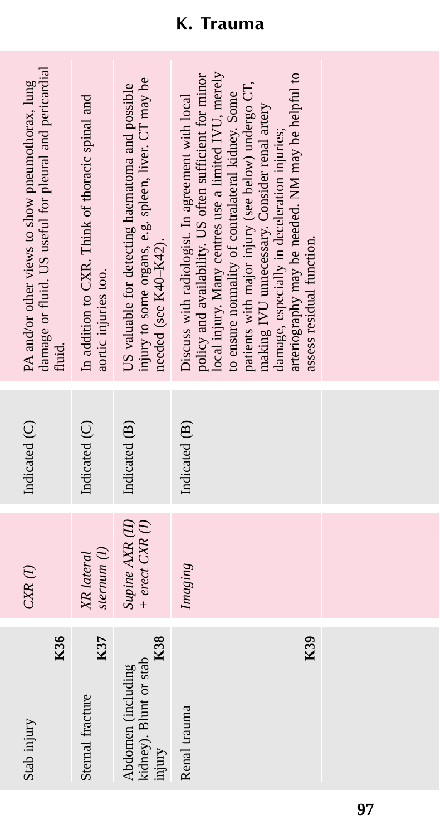| K36<br>Stab injury                                            | $CXR$ $(I)$                            | Indicated (C) | damage or fluid. US useful for pleural and pericardial<br>PA and/or other views to show pneumothorax, lung<br>fluid.                                                                                                                                                                                                                                                                                                                                              |
|---------------------------------------------------------------|----------------------------------------|---------------|-------------------------------------------------------------------------------------------------------------------------------------------------------------------------------------------------------------------------------------------------------------------------------------------------------------------------------------------------------------------------------------------------------------------------------------------------------------------|
| K37<br>Sternal fracture                                       | stemum(I)<br>XR lateral                | Indicated (C) | In addition to CXR. Think of thoracic spinal and<br>aortic injuries too.                                                                                                                                                                                                                                                                                                                                                                                          |
| K38<br>kidney). Blunt or stab<br>Abdomen (including<br>injury | Supine AXR (II)<br>$+$ erect $CXR$ (I) | Indicated (B) | injury to some organs, e.g. spleen, liver. CT may be<br>US valuable for detecting haematoma and possible<br>needed (see K40-K42).                                                                                                                                                                                                                                                                                                                                 |
| K39<br>Renal trauma                                           | Imaging                                | Indicated (B) | local injury. Many centres use a limited IVU, merely<br>arteriography may be needed. NM may be helpful to<br>policy and availability. US often sufficient for minor<br>patients with major injury (see below) undergo CT,<br>to ensure normality of contralateral kidney. Some<br>Discuss with radiologist. In agreement with local<br>making IVU unnecessary. Consider renal artery<br>damage, especially in deceleration injuries;<br>assess residual function. |
|                                                               |                                        |               |                                                                                                                                                                                                                                                                                                                                                                                                                                                                   |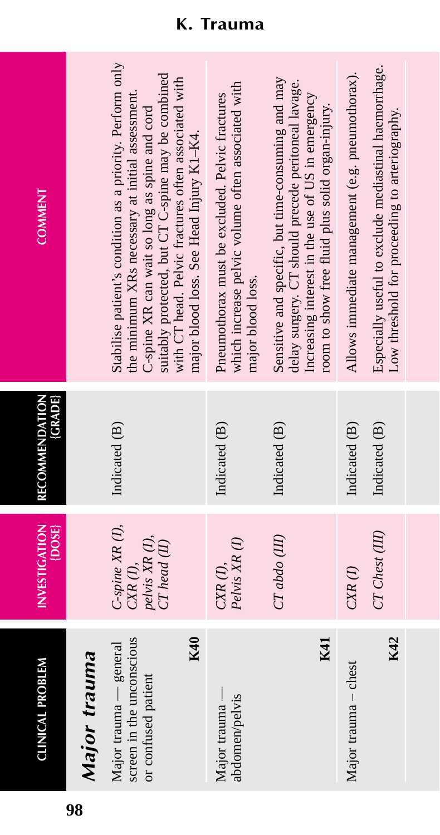| <b>CLINICAL PROBLEM</b>                                                           | <b>INVESTIGATION</b><br>$ DOSE\rangle$                                         | <b>RECOMMENDATION</b><br>(GRADE) | <b>COMMENT</b>                                                                                                                                                                                                                                                                                                           |
|-----------------------------------------------------------------------------------|--------------------------------------------------------------------------------|----------------------------------|--------------------------------------------------------------------------------------------------------------------------------------------------------------------------------------------------------------------------------------------------------------------------------------------------------------------------|
| Major trauma                                                                      |                                                                                |                                  |                                                                                                                                                                                                                                                                                                                          |
| screen in the unconscious<br>K40<br>Major trauma - general<br>or confused patient | $C$ -spine $XR$ $(I)$ ,<br>pelvis XR (I),<br>$CT$ head $(II)$<br>$CXR$ $(I)$ , | Indicated (B)                    | Stabilise patient's condition as a priority. Perform only<br>suitably protected, but CT C-spine may be combined<br>with CT head. Pelvic fractures often associated with<br>the minimum XRs necessary at initial assessment.<br>C-spine XR can wait so long as spine and cord<br>major blood loss. See Head Injury K1-K4. |
| Major trauma —<br>abdomen/pelvis                                                  | Pelvis XR(I)<br>$CXR$ $(I)$ ,                                                  | Indicated (B)                    | which increase pelvic volume often associated with<br>Pneumothorax must be excluded. Pelvic fractures<br>major blood loss.                                                                                                                                                                                               |
| K41                                                                               | $CTabdo$ (III)                                                                 | Indicated (B)                    | Sensitive and specific, but time-consuming and may<br>delay surgery. CT should precede peritoneal lavage.<br>Increasing interest in the use of US in emergency<br>room to show free fluid plus solid organ-injury.                                                                                                       |
| Major trauma - chest                                                              | $CXR$ $(I)$                                                                    | Indicated (B)                    | Allows immediate management (e.g. pneumothorax).                                                                                                                                                                                                                                                                         |
| K42                                                                               | CT Chest (III)                                                                 | Indicated (B)                    | Especially useful to exclude mediastinal haemorrhage.<br>Low threshold for proceeding to arteriography.                                                                                                                                                                                                                  |
|                                                                                   |                                                                                |                                  |                                                                                                                                                                                                                                                                                                                          |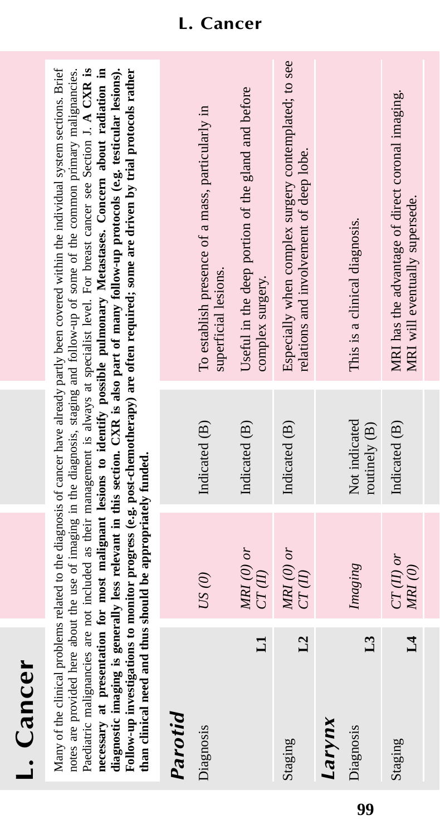| б  |  |
|----|--|
| C  |  |
|    |  |
| ಗಾ |  |
|    |  |
| í  |  |
|    |  |
|    |  |
|    |  |

Paediatric malignancies are not included as their management is always at specialist level. For breast cancer see Section J. A CXR is Many of the clinical problems related to the diagnosis of cancer have already partly been covered within the individual system sections. Brief Many of the clinical problems related to the diagnosis of cancer have already partly been covered within the individual system sections. Brief notes are provided here about the use of imaging in the diagnosis, staging and follow-up of some of the common primary malignancies. notes are provided here about the use of imaging in the diagnosis, staging and follow-up of some of the common primary malignancies. Paediatric malignancies are not included as their management is always at specialist level. For breast cancer see Section J. **A CXR is** necessary at presentation for most malignant lesions to identify possible pulmonary Metastases. Concern about radiation in **necessary at presentation for most malignant lesions to identify possible pulmonary Metastases. Concern about radiation in** diagnostic imaging is generally less relevant in this section. CXR is also part of many follow-up protocols (e.g. testicular lesions). **diagnostic imaging is generally less relevant in this section. CXR is also part of many follow-up protocols (e.g. testicular lesions).** Follow-up investigations to monitor progress (e.g. post-chemotherapy) are often required; some are driven by trial protocols rather **Follow-up investigations to monitor progress (e.g. post-chemotherapy) are often required; some are driven by trial protocols rather** than clinical need and thus should be appropriately funded. **than clinical need and thus should be appropriately funded.**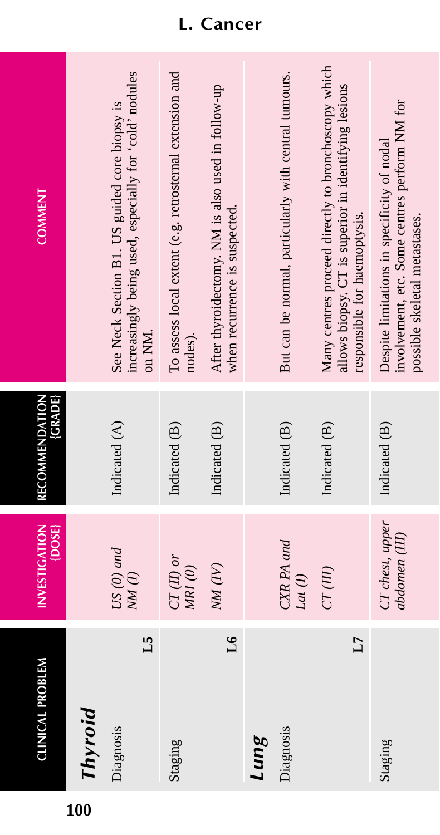| <b>CLINICAL PROBLEM</b> | <b>INVESTIGATION</b><br>$\{$ DOSE | RECOMMENDATION<br>{GRADE} | <b>COMMENT</b>                                                                                                                              |
|-------------------------|-----------------------------------|---------------------------|---------------------------------------------------------------------------------------------------------------------------------------------|
| Thyroid                 |                                   |                           |                                                                                                                                             |
| 51<br>Diagnosis         | $US(0)$ and<br>$NM$ (1)           | Indicated (A)             | increasingly being used, especially for 'cold' nodules<br>See Neck Section B1. US guided core biopsy is<br>on NM.                           |
| Staging                 | $CT(II)$ or<br>$M\!R\!I\,(0)$     | Indicated (B)             | To assess local extent (e.g. retrosternal extension and<br>nodes).                                                                          |
| $\overline{16}$         | NM(W)                             | Indicated (B)             | After thyroidectomy. NM is also used in follow-up<br>when recurrence is suspected.                                                          |
| Lung                    |                                   |                           |                                                                                                                                             |
| Diagnosis               | CXR PA and<br>Lat (1)             | Indicated (B)             | But can be normal, particularly with central tumours.                                                                                       |
| L7                      | CT(III)                           | Indicated (B)             | Many centres proceed directly to bronchoscopy which<br>allows biopsy. CT is superior in identifying lesions<br>responsible for haemoptysis. |
| Staging                 | CT chest, upper<br>abdomen (III)  | Indicated (B)             | involvement, etc. Some centres perform NM for<br>Despite limitations in specificity of nodal<br>possible skeletal metastases.               |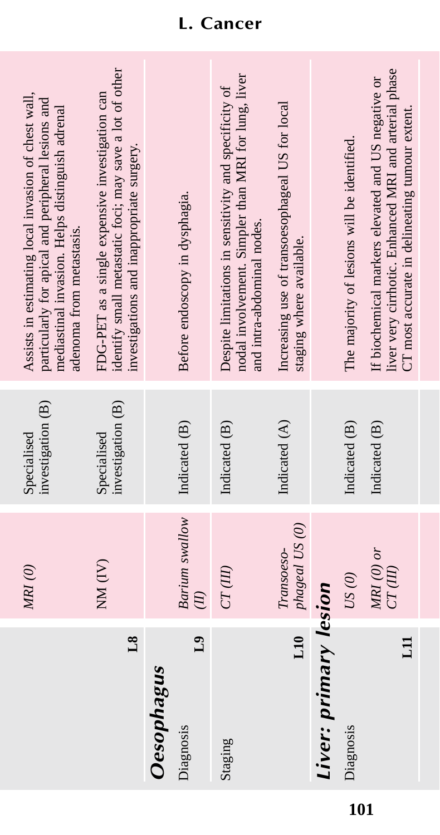| Assists in estimating local invasion of chest wall,<br>particularly for apical and peripheral lesions and<br>mediastinal invasion. Helps distinguish adrenal<br>adenoma from metastasis. | identify small metastatic foci; may save a lot of other<br>FDG-PET as a single expensive investigation can<br>investigations and inappropriate surgery. | Before endoscopy in dysphagia.            | nodal involvement. Simpler than MRI for lung, liver<br>Despite limitations in sensitivity and specificity of<br>and intra-abdominal nodes. | Increasing use of transoesophageal US for local<br>staging where available. |                       | The majority of lesions will be identified. | liver very cirrhotic. Enhanced MRI and arterial phase<br>If biochemical markers elevated and US negative or<br>CT most accurate in delineating tumour extent. |
|------------------------------------------------------------------------------------------------------------------------------------------------------------------------------------------|---------------------------------------------------------------------------------------------------------------------------------------------------------|-------------------------------------------|--------------------------------------------------------------------------------------------------------------------------------------------|-----------------------------------------------------------------------------|-----------------------|---------------------------------------------|---------------------------------------------------------------------------------------------------------------------------------------------------------------|
| investigation (B)<br>Specialised                                                                                                                                                         | investigation (B)<br>Specialised                                                                                                                        | Indicated (B)                             | Indicated (B)                                                                                                                              | Indicated (A)                                                               |                       | Indicated (B)                               | Indicated (B)                                                                                                                                                 |
| MRI(0)                                                                                                                                                                                   | NM (IV)                                                                                                                                                 | Barium swallow<br>$\overline{E}$          | CT(III)                                                                                                                                    | phageal US (0)<br>Transoeso-                                                |                       | US(0)                                       | $MRI$ (0) or<br>CT(III)                                                                                                                                       |
|                                                                                                                                                                                          | $^{8}$                                                                                                                                                  | L <sub>9</sub><br>Oesophagus<br>Diagnosis | Staging                                                                                                                                    | L10                                                                         | Liver: primary lesion | Diagnosis                                   | $\Xi$                                                                                                                                                         |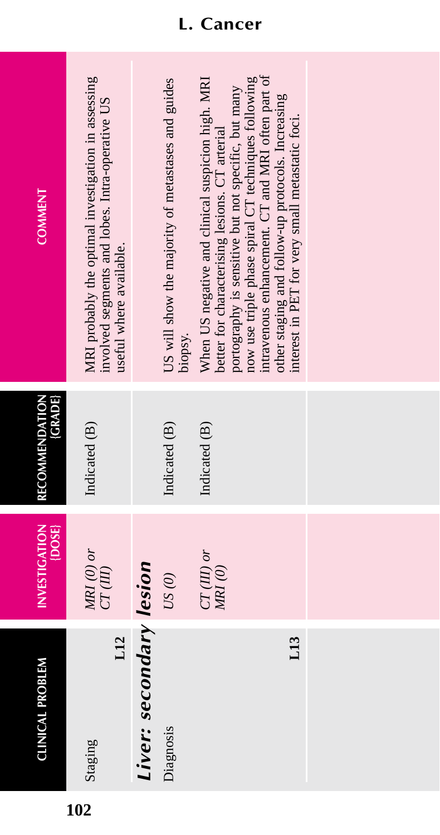| <b>COMMENT</b>                   | MRI probably the optimal investigation in assessing<br>involved segments and lobes. Intra-operative US<br>useful where available. |                         | US will show the majority of metastases and guides<br>biopsy. | intravenous enhancement. CT and MRI often part of<br>now use triple phase spiral CT techniques following<br>When US negative and clinical suspicion high. MRI<br>portography is sensitive but not specific, but many<br>other staging and follow-up protocols. Increasing<br>interest in PET for very small metastatic foci.<br>better for characterising lesions. CT arterial |  |
|----------------------------------|-----------------------------------------------------------------------------------------------------------------------------------|-------------------------|---------------------------------------------------------------|--------------------------------------------------------------------------------------------------------------------------------------------------------------------------------------------------------------------------------------------------------------------------------------------------------------------------------------------------------------------------------|--|
| RECOMMENDATION<br><b>(GRADE)</b> | Indicated (B)                                                                                                                     |                         | Indicated (B)                                                 | Indicated (B)                                                                                                                                                                                                                                                                                                                                                                  |  |
| INVESTIGATION<br>{DOSE}          | $MRI$ (0) or<br>$CT(III)$                                                                                                         |                         | $US(0)$                                                       | $CT(III)$ or<br>MRI(0)                                                                                                                                                                                                                                                                                                                                                         |  |
| <b>CLINICAL PROBLEM</b>          | L12<br>Staging                                                                                                                    | Liver: secondary lesion | Diagnosis                                                     | L13                                                                                                                                                                                                                                                                                                                                                                            |  |

# **L. Cancer**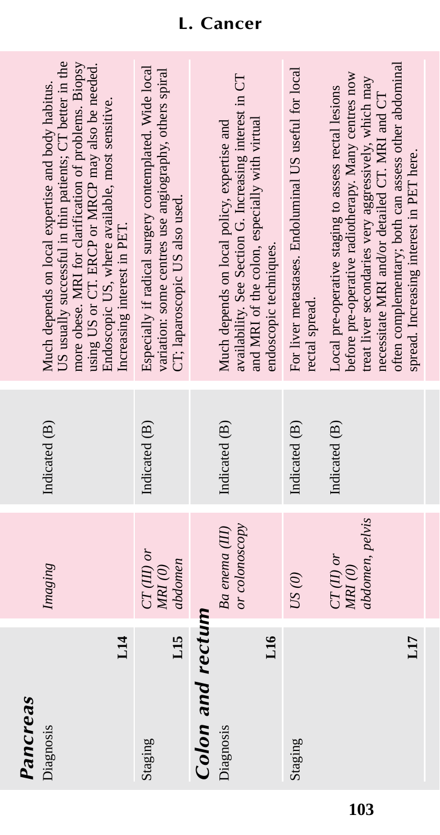| US usually successful in thin patients; CT better in the<br>more obese. MRI for clarification of problems. Biopsy<br>using US or CT. ERCP or MRCP may also be needed.<br>Especially if radical surgery contemplated. Wide local<br>variation: some centres use angiography, others spiral<br>For liver metastases. Endoluminal US useful for local<br>before pre-operative radiotherapy. Many centres now<br>availability. See Section G. Increasing interest in CT<br>Much depends on local expertise and body habitus.<br>Local pre-operative staging to assess rectal lesions<br>Endoscopic US, where available, most sensitive.<br>and MRI of the colon, especially with virtual<br>Much depends on local policy, expertise and<br>CT; laparoscopic US also used.<br>Increasing interest in PET.<br>endoscopic techniques.<br>rectal spread.<br>Indicated (B)<br>Indicated (B)<br>Indicated (B)<br>Indicated (B)<br>Indicated (B)<br>or colonoscopy<br>Ba enema (III)<br>$CT(III)$ or<br>$CT(II)$ or<br>abdomen<br>MRI(0)<br>MRI(0)<br>Imaging<br>US(0)<br>Colon and rectum |
|---------------------------------------------------------------------------------------------------------------------------------------------------------------------------------------------------------------------------------------------------------------------------------------------------------------------------------------------------------------------------------------------------------------------------------------------------------------------------------------------------------------------------------------------------------------------------------------------------------------------------------------------------------------------------------------------------------------------------------------------------------------------------------------------------------------------------------------------------------------------------------------------------------------------------------------------------------------------------------------------------------------------------------------------------------------------------------|
|---------------------------------------------------------------------------------------------------------------------------------------------------------------------------------------------------------------------------------------------------------------------------------------------------------------------------------------------------------------------------------------------------------------------------------------------------------------------------------------------------------------------------------------------------------------------------------------------------------------------------------------------------------------------------------------------------------------------------------------------------------------------------------------------------------------------------------------------------------------------------------------------------------------------------------------------------------------------------------------------------------------------------------------------------------------------------------|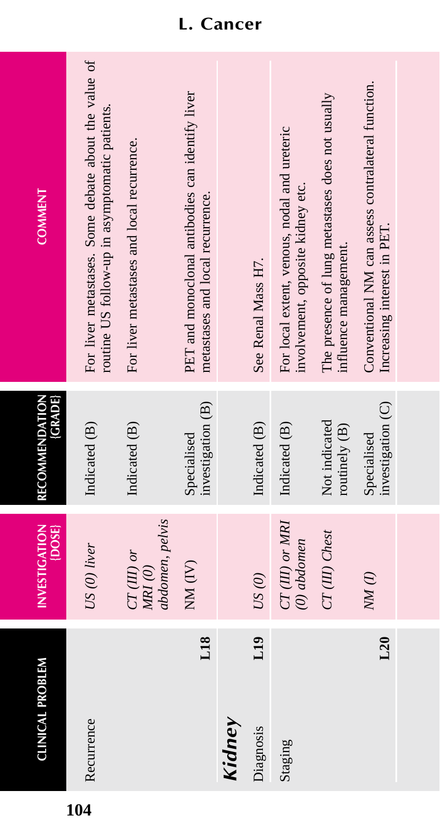| <b>CLINICAL PROBLEM</b> | <b>INVESTIGATION</b><br>{DOSE}            | (GRADE)<br>RECOMMENDATION        | <b>COMMENT</b>                                                                                         |
|-------------------------|-------------------------------------------|----------------------------------|--------------------------------------------------------------------------------------------------------|
| Recurrence              | US (0) liver                              | Indicated (B)                    | For liver metastases. Some debate about the value of<br>routine US follow-up in asymptomatic patients. |
|                         | abdomen, pelvis<br>$CT(III)$ or<br>MRI(0) | Indicated (B)                    | For liver metastases and local recurrence.                                                             |
| L18                     | NM(W)                                     | investigation (B)<br>Specialised | PET and monoclonal antibodies can identify liver<br>metastases and local recurrence.                   |
| Kidney                  |                                           |                                  |                                                                                                        |
| L19<br>Diagnosis        | $US(0)$                                   | Indicated (B)                    | See Renal Mass H7.                                                                                     |
| Staging                 | $CT(III)$ or $MRI$<br>$(0)$ abdomen       | Indicated (B)                    | For local extent, venous, nodal and ureteric<br>involvement, opposite kidney etc.                      |
|                         | CT(III) Chest                             | Not indicated<br>routinely (B)   | The presence of lung metastases does not usually<br>influence management.                              |
| L20                     | $NM$ (1)                                  | investigation (C)<br>Specialised | Conventional NM can assess contralateral function.<br>Increasing interest in PET.                      |
|                         |                                           |                                  |                                                                                                        |

## **L. Cancer**

**104**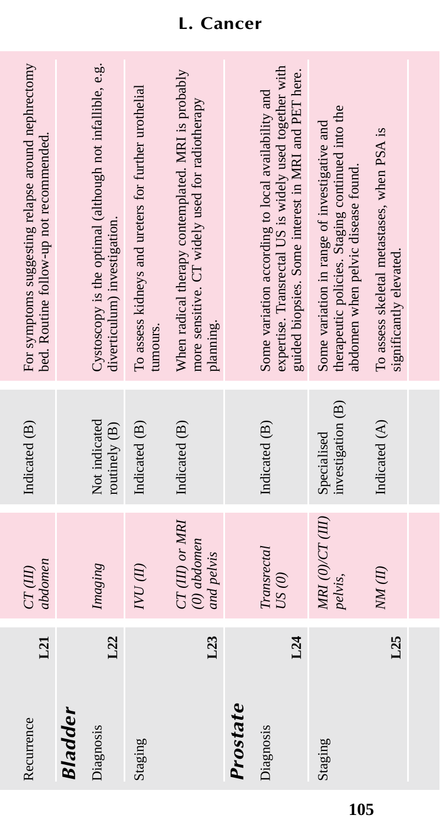| L21<br>Recurrence | abdomen<br>CT(III)                            | Indicated (B)                    | For symptoms suggesting relapse around nephrectomy<br>bed. Routine follow-up not recommended.                                                                       |
|-------------------|-----------------------------------------------|----------------------------------|---------------------------------------------------------------------------------------------------------------------------------------------------------------------|
| <b>Bladder</b>    |                                               |                                  |                                                                                                                                                                     |
| L22<br>Diagnosis  | Imaging                                       | Not indicated<br>routinely (B)   | Cystoscopy is the optimal (although not infallible, e.g.<br>diverticulum) investigation.                                                                            |
| Staging           | IND <sub>(II)</sub>                           | Indicated (B)                    | To assess kidneys and ureters for further urothelial<br>tumours.                                                                                                    |
| L23               | CT(III) or MRI<br>$(0)$ abdomen<br>and pelvis | Indicated (B)                    | When radical therapy contemplated. MRI is probably<br>more sensitive. CT widely used for radiotherapy<br>planning.                                                  |
| Prostate          |                                               |                                  |                                                                                                                                                                     |
| L24<br>Diagnosis  | Transrectal<br>$US(0)$                        | Indicated (B)                    | expertise. Transrectal US is widely used together with<br>guided biopsies. Some interest in MRI and PET here.<br>Some variation according to local availability and |
| Staging           | MRI (0)/CT (III)<br>pelvis,                   | investigation (B)<br>Specialised | therapeutic policies. Staging continued into the<br>Some variation in range of investigative and<br>abdomen when pelvic disease found.                              |
| L25               | NM(II)                                        | Indicated (A)                    | To assess skeletal metastases, when PSA is<br>significantly elevated.                                                                                               |
|                   |                                               |                                  |                                                                                                                                                                     |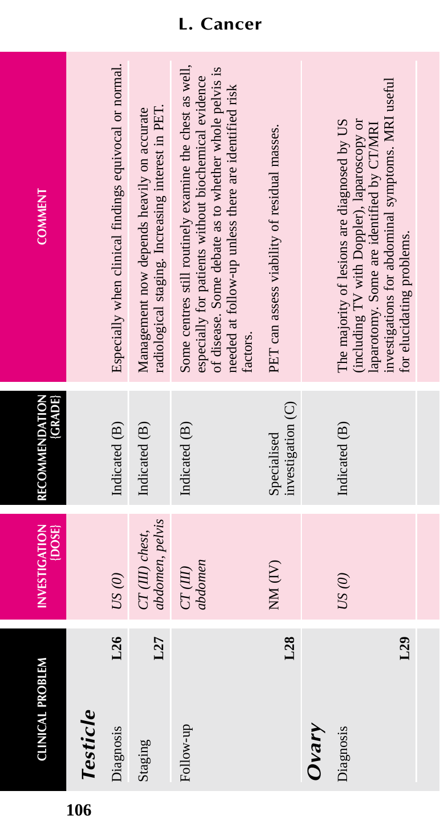| <b>CLINICAL PROBLEM</b> | <b>INVESTIGATION</b><br>{DOSE}     | {GRADE}<br>RECOMMENDATION        | <b>COMMENT</b>                                                                                                                                                                                                                               |
|-------------------------|------------------------------------|----------------------------------|----------------------------------------------------------------------------------------------------------------------------------------------------------------------------------------------------------------------------------------------|
| Testicle                |                                    |                                  |                                                                                                                                                                                                                                              |
| L26<br>Diagnosis        | $US(0)$                            | Indicated (B)                    | Especially when clinical findings equivocal or normal.                                                                                                                                                                                       |
| L27<br>Staging          | abdomen, pelvis<br>CT (III) chest, | Indicated (B)                    | radiological staging. Increasing interest in PET.<br>Management now depends heavily on accurate                                                                                                                                              |
| Follow-up               | abdomen<br>CT(III)                 | Indicated (B)                    | Some centres still routinely examine the chest as well,<br>of disease. Some debate as to whether whole pelvis is<br>especially for patients without biochemical evidence<br>needed at follow-up unless there are identified risk<br>factors. |
| L <sub>28</sub>         | $NM$ $(IV)$                        | investigation (C)<br>Specialised | PET can assess viability of residual masses.                                                                                                                                                                                                 |
| Ovary                   |                                    |                                  |                                                                                                                                                                                                                                              |
| L29<br>Diagnosis        | US(0)                              | Indicated (B)                    | investigations for abdominal symptoms. MRI useful<br>The majority of lesions are diagnosed by US<br>(including TV with Doppler), laparoscopy or<br>laparotomy. Some are identified by CT/MRI<br>for elucidating problems.                    |
|                         |                                    |                                  |                                                                                                                                                                                                                                              |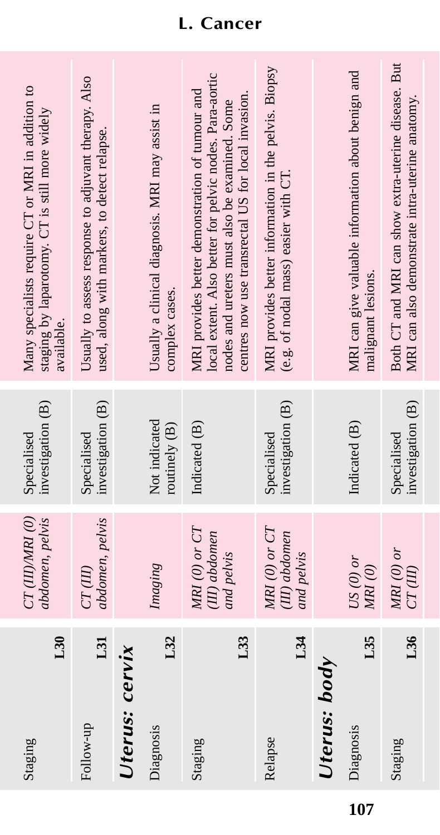| L30<br>Staging   | $CT$ (III)/MRI (0)<br>abdomen, pelvis            | investigation (B)<br>Specialised | Many specialists require CT or MRI in addition to<br>staging by laparotomy. CT is still more widely<br>available.                                                                                                |
|------------------|--------------------------------------------------|----------------------------------|------------------------------------------------------------------------------------------------------------------------------------------------------------------------------------------------------------------|
| L31<br>Follow-up | abdomen, pelvis<br>CT(III)                       | investigation (B)<br>Specialised | Usually to assess response to adjuvant therapy. Also<br>used, along with markers, to detect relapse.                                                                                                             |
| Uterus: cervix   |                                                  |                                  |                                                                                                                                                                                                                  |
| L32<br>Diagnosis | Imaging                                          | Not indicated<br>routinely (B)   | Usually a clinical diagnosis. MRI may assist in<br>complex cases.                                                                                                                                                |
| L33<br>Staging   | $MRI$ (0) or $CT$<br>(III) abdomen<br>and pelvis | Indicated (B)                    | local extent. Also better for pelvic nodes. Para-aortic<br>MRI provides better demonstration of tumour and<br>centres now use transrectal US for local invasion<br>nodes and ureters must also be examined. Some |
| L34<br>Relapse   | $MRI$ (0) or $CT$<br>(II) abdomen<br>and pelvis  | investigation (B)<br>Specialised | MRI provides better information in the pelvis. Biopsy<br>(e.g. of nodal mass) easier with CT.                                                                                                                    |
| Uterus: body     |                                                  |                                  |                                                                                                                                                                                                                  |
| L35<br>Diagnosis | $US(0)$ or<br>MRI(0)                             | Indicated (B)                    | MRI can give valuable information about benign and<br>malignant lesions.                                                                                                                                         |
| L36<br>Staging   | $MRI(0)$ or<br>CT(III)                           | investigation (B)<br>Specialised | Both CT and MRI can show extra-uterine disease. But<br>MRI can also demonstrate intra-uterine anatomy.                                                                                                           |

# **L. Cancer**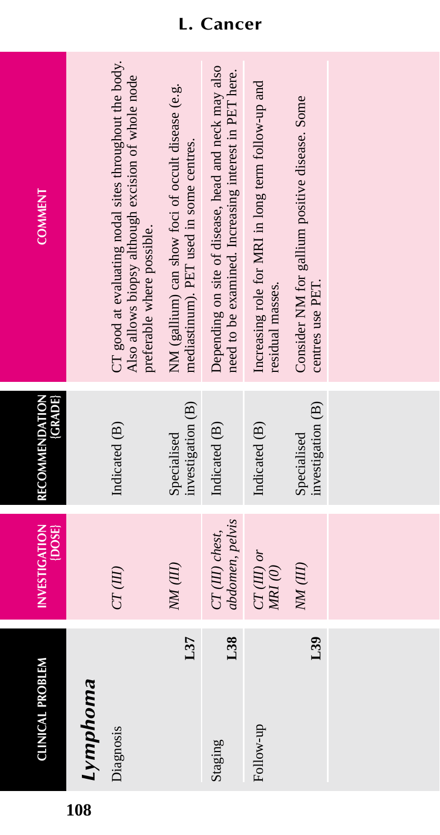| <b>CLINICAL PROBLEM</b> | <b>INVESTIGATION</b><br>$\{DOSE\}$ | RECOMMENDATION<br>(GRADE)        | <b>COMMENT</b>                                                                                                                             |
|-------------------------|------------------------------------|----------------------------------|--------------------------------------------------------------------------------------------------------------------------------------------|
| Lymphoma                |                                    |                                  |                                                                                                                                            |
| Diagnosis               | CT(III)                            | Indicated (B)                    | CT good at evaluating nodal sites throughout the body.<br>Also allows biopsy although excision of whole node<br>preferable where possible. |
| L37                     | NM (III)                           | investigation (B)<br>Specialised | NM (gallium) can show foci of occult disease (e.g.<br>mediastinum). PET used in some centres.                                              |
| L38<br>Staging          | abdomen, pelvis<br>CT (III) chest, | Indicated (B)                    | Depending on site of disease, head and neck may also<br>need to be examined. Increasing interest in PET here.                              |
| Follow-up               | $CT(III)$ or<br>$M\!N$ $\!O)$      | Indicated (B)                    | Increasing role for MRI in long term follow-up and<br>residual masses.                                                                     |
| L39                     | NM (III)                           | investigation (B)<br>Specialised | Consider NM for gallium positive disease. Some<br>centres use PET.                                                                         |
|                         |                                    |                                  |                                                                                                                                            |
|                         |                                    |                                  |                                                                                                                                            |
|                         |                                    |                                  |                                                                                                                                            |

#### **L. Cancer**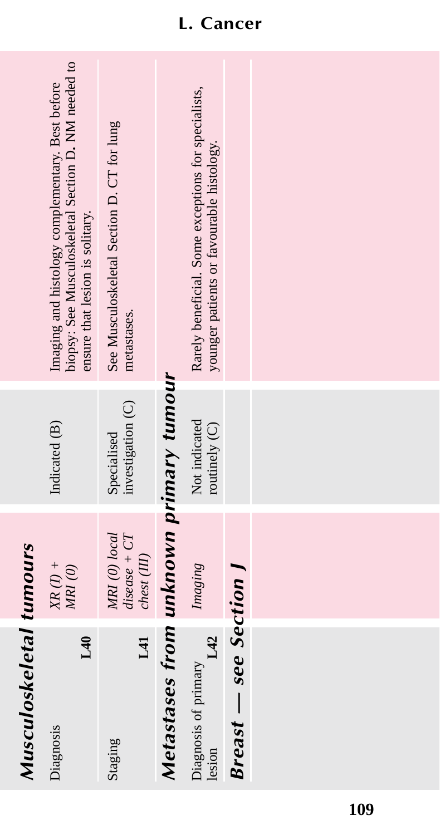| Musculoskeletal tumours                |                                                          |                                  |                                                                                                                                            |
|----------------------------------------|----------------------------------------------------------|----------------------------------|--------------------------------------------------------------------------------------------------------------------------------------------|
| 140<br>Diagnosis                       | $XR$ (I) +<br>$MRI$ $\left( 0\right)$                    | Indicated (B)                    | biopsy: See Musculoskeletal Section D. NM needed to<br>Imaging and histology complementary. Best before<br>ensure that lesion is solitary. |
| L41<br>Staging                         | MRI (0) local<br>$disease + CT$<br>$\mathit{chest(III)}$ | investigation (C)<br>Specialised | See Musculoskeletal Section D. CT for lung<br>metastases.                                                                                  |
| Metastases from unknown primary tumour |                                                          |                                  |                                                                                                                                            |
| Diagnosis of primary<br>L42            | Imaging                                                  | Not indicated<br>routinely (C)   | Rarely beneficial. Some exceptions for specialists,<br>younger patients or favourable histology.                                           |
| <b>Breast</b> – see Section            |                                                          |                                  |                                                                                                                                            |
|                                        |                                                          |                                  |                                                                                                                                            |
|                                        |                                                          |                                  |                                                                                                                                            |
|                                        |                                                          |                                  |                                                                                                                                            |
|                                        |                                                          |                                  |                                                                                                                                            |
|                                        |                                                          |                                  |                                                                                                                                            |

# **L. Cancer**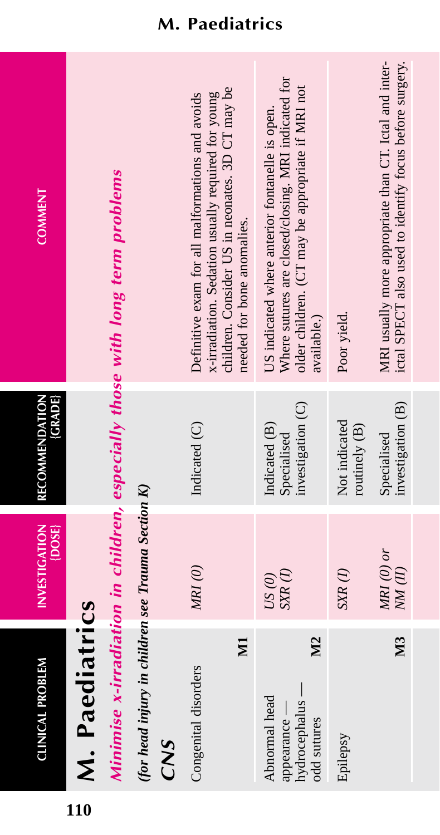| <b>COMMENT</b>                     |                | Minimise x-irradiation in children, especially those with long term problems |                                                       |     | children. Consider US in neonates. 3D CT may be<br>x-irradiation. Sedation usually required for young<br>Definitive exam for all malformations and avoids | needed for bone anomalies. | Where sutures are closed/closing. MRI indicated for<br>older children. (CT may be appropriate if MRI not<br>US indicated where anterior fontanelle is open.<br>available.) | Poor yield.                    | MRI usually more appropriate than CT. Ictal and inter-<br>ictal SPECT also used to identify focus before surgery. |
|------------------------------------|----------------|------------------------------------------------------------------------------|-------------------------------------------------------|-----|-----------------------------------------------------------------------------------------------------------------------------------------------------------|----------------------------|----------------------------------------------------------------------------------------------------------------------------------------------------------------------------|--------------------------------|-------------------------------------------------------------------------------------------------------------------|
| <b>GRADE</b><br>RECOMMENDATION     |                |                                                                              |                                                       |     | Indicated (C)                                                                                                                                             |                            | investigation (C)<br>Indicated (B)<br>Specialised                                                                                                                          | Not indicated<br>routinely (B) | investigation (B)<br>Specialised                                                                                  |
| <b>INVESTIGATION</b><br>$\{$ DOSE} |                |                                                                              |                                                       |     | MRI(0)                                                                                                                                                    |                            | $SXR$ (1)<br>US(0)                                                                                                                                                         | $SXR$ $(I)$                    | $MRI$ (0) or<br>NM(II)                                                                                            |
| <b>CLINICAL PROBLEM</b>            | M. Paediatrics |                                                                              | (for head injury in children see Trauma Section $K$ ) | CNS | Congenital disorders                                                                                                                                      | $\mathbb N$                | <b>N2</b><br>hydrocephalus —<br>Abnormal head<br>appearance -<br>odd sutures                                                                                               | Epilepsy                       | <b>N3</b>                                                                                                         |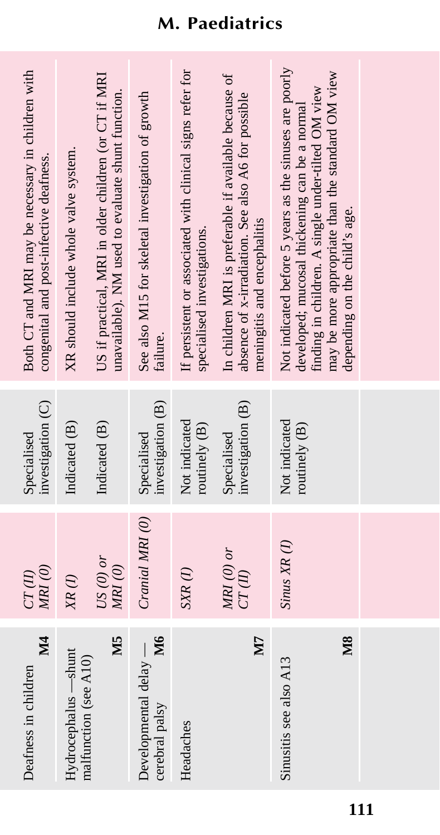| <b>M4</b><br>Deafness in children                      | MRI(0)<br>CT(II)       | investigation (C)<br>Specialised | Both CT and MRI may be necessary in children with<br>congenital and post-infective deafness.                                                                                                                                                        |
|--------------------------------------------------------|------------------------|----------------------------------|-----------------------------------------------------------------------------------------------------------------------------------------------------------------------------------------------------------------------------------------------------|
| Hydrocephalus —shunt<br>malfunction (see A10)          | $XR$ (1)               | Indicated (B)                    | XR should include whole valve system.                                                                                                                                                                                                               |
| M <sub>5</sub>                                         | $US(0)$ or<br>MRI (0)  | Indicated (B)                    | US if practical, MRI in older children (or CT if MRI<br>unavailable). NM used to evaluate shunt function.                                                                                                                                           |
| <b>M6</b><br>Developmental delay $-$<br>cerebral palsy | Cranial MRI (0)        | investigation (B)<br>Specialised | See also M15 for skeletal investigation of growth<br>failure.                                                                                                                                                                                       |
| Headaches                                              | $SXR$ $(I)$            | Not indicated<br>routinely (B)   | If persistent or associated with clinical signs refer for<br>specialised investigations.                                                                                                                                                            |
| ZN                                                     | $MRI$ (0) or<br>CT(II) | investigation (B)<br>Specialised | In children MRI is preferable if available because of<br>absence of x-irradiation. See also A6 for possible<br>meningitis and encephalitis                                                                                                          |
| M <sub>8</sub><br>Sinusitis see also A13               | Sinus XR(I)            | Not indicated<br>routinely (B)   | Not indicated before 5 years as the sinuses are poorly<br>may be more appropriate than the standard OM view<br>finding in children. A single under-tilted OM view<br>developed; mucosal thickening can be a normal<br>depending on the child's age. |
|                                                        |                        |                                  |                                                                                                                                                                                                                                                     |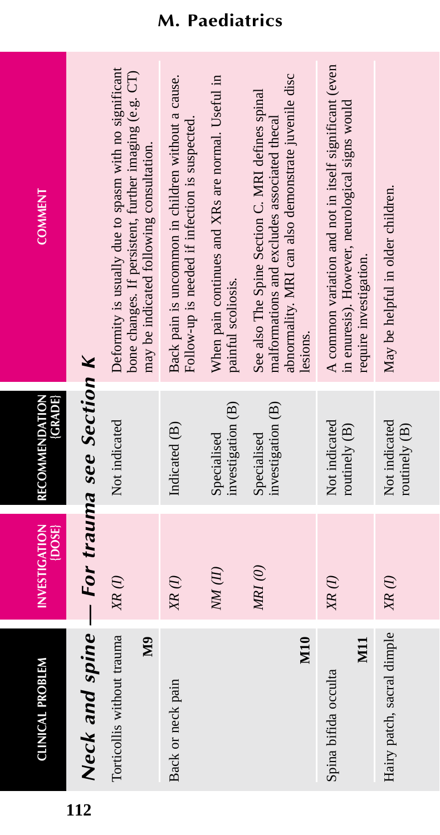| Neck and spine — For trauma see Section K<br>Torticollis without trauma<br>$\mathbb{S}$<br><b>CLINICAL PROBLEM</b> | <b>INVESTIGATION</b><br>[DOSE]<br>$XR$ (1) | RECOMMENDATION<br>(GRADE)<br>Not indicated            | Deformity is usually due to spasm with no significant<br>bone changes. If persistent, further imaging (e.g. CT)<br>may be indicated following consultation.<br><b>COMMENT</b>             |
|--------------------------------------------------------------------------------------------------------------------|--------------------------------------------|-------------------------------------------------------|-------------------------------------------------------------------------------------------------------------------------------------------------------------------------------------------|
| Back or neck pain                                                                                                  | NM(II)<br>${X\!\!R}\,(I)$                  | Indicated (B)<br>Specialised                          | When pain continues and XRs are normal. Useful in<br>Back pain is uncommon in children without a cause.<br>Follow-up is needed if infection is suspected.                                 |
| M <sub>10</sub>                                                                                                    | MRI(0)                                     | investigation (B)<br>investigation (B)<br>Specialised | abnormality. MRI can also demonstrate juvenile disc<br>See also The Spine Section C. MRI defines spinal<br>malformations and excludes associated thecal<br>paintul scoliosis.<br>lesions. |
| $\overline{\text{M}}$<br>Spina bifida occulta                                                                      | $X\hspace{-.05cm}R\left( I\right)$         | Not indicated<br>routinely $(B)$                      | A common variation and not in itself significant (even<br>in enuresis). However, neurological signs would<br>require investigation.                                                       |
| Hairy patch, sacral dimple                                                                                         | $XR$ (I)                                   | Not indicated<br>routinely (B)                        | May be helpful in older children.                                                                                                                                                         |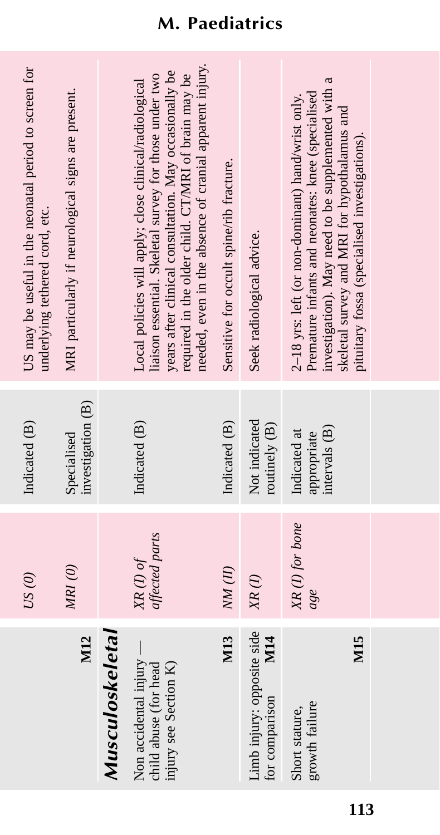|                                                                         | US(0)                         | Indicated (B)                                | US may be useful in the neonatal period to screen for<br>underlying tethered cord, etc.                                                                                                                                                                                                      |
|-------------------------------------------------------------------------|-------------------------------|----------------------------------------------|----------------------------------------------------------------------------------------------------------------------------------------------------------------------------------------------------------------------------------------------------------------------------------------------|
| M12                                                                     | MRI(0)                        | investigation (B)<br>Specialised             | MRI particularly if neurological signs are present.                                                                                                                                                                                                                                          |
| <b>Musculoskeletal</b>                                                  |                               |                                              |                                                                                                                                                                                                                                                                                              |
| Non accidental injury<br>injury see Section K)<br>child abuse (for head | $XR$ (I) of<br>affected parts | Indicated (B)                                | needed, even in the absence of cranial apparent injury.<br>years after clinical consultation. May occasionally be<br>liaison essential. Skeletal survey for those under two<br>required in the older child. CT/MRI of brain may be<br>Local policies will apply; close clinical/radiological |
| M13                                                                     | $NM$ (II)                     | Indicated (B)                                | Sensitive for occult spine/rib fracture.                                                                                                                                                                                                                                                     |
| Limb injury: opposite side<br><b>M14</b><br>for comparison              | $XR$ (I)                      | Not indicated<br>routinely (B)               | Seek radiological advice.                                                                                                                                                                                                                                                                    |
| M <sub>15</sub><br>growth failure<br>Short stature,                     | XR(I) for bone<br>age         | intervals (B)<br>Indicated at<br>appropriate | a<br>investigation). May need to be supplemented with<br>Premature infants and neonates: knee (specialised<br>2-18 yrs: left (or non-dominant) hand/wrist only.<br>skeletal survey and MRI for hypothalamus and<br>pituitary fossa (specialised investigations).                             |
|                                                                         |                               |                                              |                                                                                                                                                                                                                                                                                              |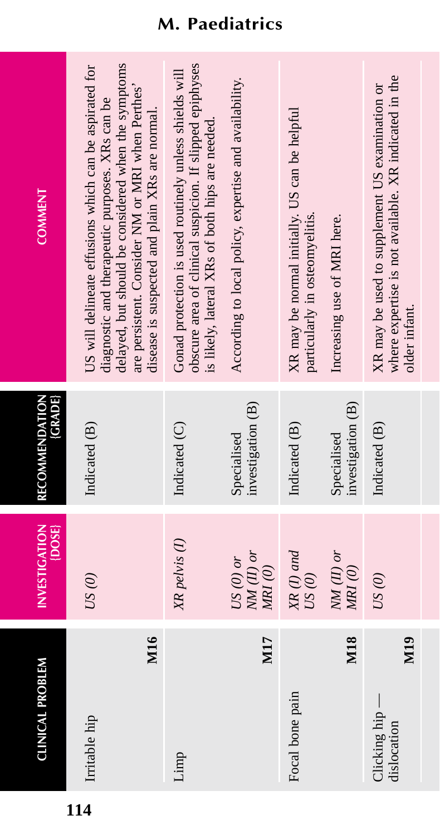| <b>CLINICAL PROBLEM</b>                              | <b>INVESTIGATION</b><br>$\{$ $\bf DOS\}$                         | <b>(GRADE)</b><br>RECOMMENDATION | <b>COMMENT</b>                                                                                                                                                                                                                                                         |
|------------------------------------------------------|------------------------------------------------------------------|----------------------------------|------------------------------------------------------------------------------------------------------------------------------------------------------------------------------------------------------------------------------------------------------------------------|
| M <sub>16</sub><br>Irritable hip                     | US(0)                                                            | Indicated (B)                    | delayed, but should be considered when the symptoms<br>US will delineate effusions which can be aspirated for<br>are persistent. Consider NM or MRI when Perthes'<br>diagnostic and therapeutic purposes. XRs can be<br>disease is suspected and plain XRs are normal. |
| Limp                                                 | XR pelvis (I)                                                    | Indicated (C)                    | obscure area of clinical suspicion. If slipped epiphyses<br>Gonad protection is used routinely unless shields will<br>is likely, lateral XRs of both hips are needed.                                                                                                  |
| M17                                                  | $\overline{M}$ (II) or<br>$US(0)$ or<br>$M\!R$ $\left( 0\right)$ | investigation (B)<br>Specialised | According to local policy, expertise and availability.                                                                                                                                                                                                                 |
| Focal bone pain                                      | $XR$ (I) and<br>$US(\theta)$                                     | Indicated (B)                    | XR may be normal initially. US can be helpful<br>particularly in osteomyelitis.                                                                                                                                                                                        |
| M18                                                  | $NM(H)$ or<br>MRI(0)                                             | investigation (B)<br>Specialised | Increasing use of MRI here.                                                                                                                                                                                                                                            |
| M <sub>19</sub><br>$Clicking$ hip $-$<br>dislocation | US(0)                                                            | Indicated (B)                    | where expertise is not available. XR indicated in the<br>XR may be used to supplement US examination or<br>older infant.                                                                                                                                               |

**114**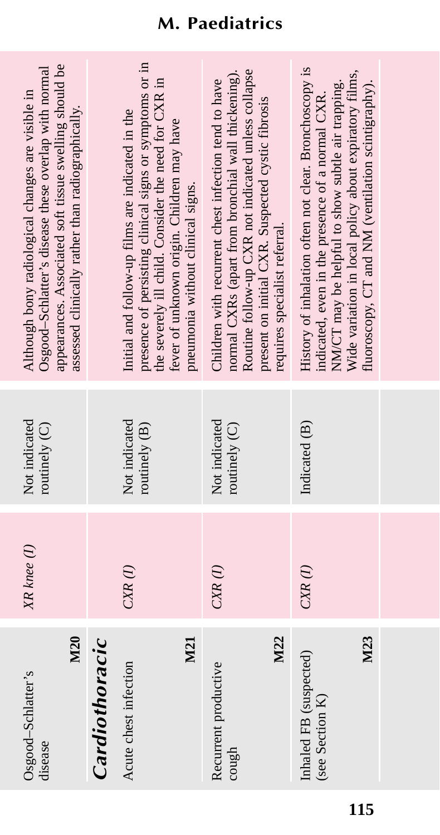| M20<br>Osgood-Schlatter's<br>disease             | XR knee (1) | Not indicated<br>routinely (C) | appearances. Associated soft tissue swelling should be<br>Osgood-Schlatter's disease these overlap with normal<br>Although bony radiological changes are visible in<br>assessed clinically rather than radiographically.                                                        |
|--------------------------------------------------|-------------|--------------------------------|---------------------------------------------------------------------------------------------------------------------------------------------------------------------------------------------------------------------------------------------------------------------------------|
| Cardiothoracic                                   |             |                                |                                                                                                                                                                                                                                                                                 |
| M21<br>Acute chest infection                     | $CXR$ $(I)$ | Not indicated<br>routinely (B) | presence of persisting clinical signs or symptoms or in<br>the severely ill child. Consider the need for CXR in<br>Initial and follow-up films are indicated in the<br>fever of unknown origin. Children may have<br>pneumonia without clinical signs.                          |
| M22<br>Recurrent productive<br>cough             | $CXR$ (1)   | Not indicated<br>routinely (C) | Routine follow-up CXR not indicated unless collapse<br>normal CXRs (apart from bronchial wall thickening).<br>Children with recurrent chest infection tend to have<br>present on initial CXR. Suspected cystic fibrosis<br>requires specialist referral.                        |
| M23<br>Inhaled FB (suspected)<br>(see Section K) | $CXR$ $(I)$ | Indicated (B)                  | History of inhalation often not clear. Bronchoscopy is<br>Wide variation in local policy about expiratory films,<br>NM/CT may be helpful to show subtle air trapping.<br>fluoroscopy, CT and NM (ventilation scintigraphy).<br>indicated, even in the presence of a normal CXR. |
|                                                  |             |                                |                                                                                                                                                                                                                                                                                 |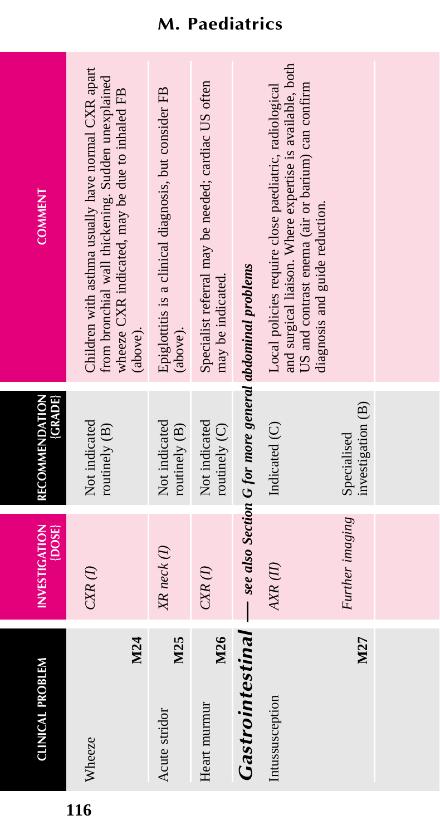| <b>CLINICAL PROBLEM</b> | <b>INVESTIGATION</b><br>$\{$ DOSE $\}$ | <b>CRADE</b><br>RECOMMENDATION                           | <b>COMMENT</b>                                                                                                                                                                                           |
|-------------------------|----------------------------------------|----------------------------------------------------------|----------------------------------------------------------------------------------------------------------------------------------------------------------------------------------------------------------|
| M24<br>Wheeze           | $CXR$ $(I)$                            | Not indicated<br>routinely (B)                           | Children with asthma usually have normal CXR apart<br>from bronchial wall thickening. Sudden unexplained<br>wheeze CXR indicated, may be due to inhaled FB<br>(above).                                   |
| M25<br>Acute stridor    | XR neck (1)                            | Not indicated<br>routinely (B)                           | Epiglottitis is a clinical diagnosis, but consider FB<br>(above).                                                                                                                                        |
| M26<br>Heart murmur     | $C\!X\!R$ $(I)$                        | Not indicated<br>routinely (C)                           | Specialist referral may be needed; cardiac US often<br>may be indicated.                                                                                                                                 |
| Gastrointestinal        |                                        | - see also Section G for more general abdominal problems |                                                                                                                                                                                                          |
| Intussusception         | AXR (II)                               | Indicated (C)                                            | and surgical liaison. Where expertise is available, both<br>Local policies require close paediatric, radiological<br>US and contrast enema (air or barium) can confirm<br>diagnosis and guide reduction. |
| M27                     | Further imaging                        | investigation (B)<br>Specialised                         |                                                                                                                                                                                                          |
|                         |                                        |                                                          |                                                                                                                                                                                                          |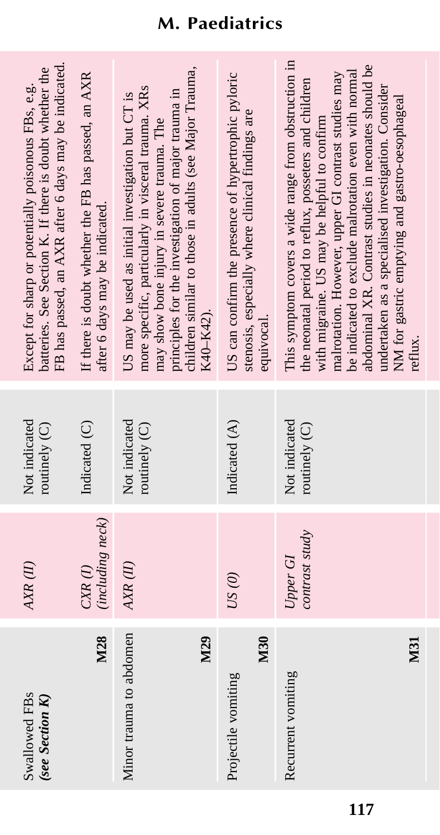| after 6 days may be indicated.<br>K40-K42).<br>equivocal.<br>Not indicated<br>Not indicated<br>Indicated (C)<br>Indicated (A)<br>routinely (C)<br>routinely (C)<br>(including neck)<br>contrast study<br>Upper GI<br>$AKR$ (II)<br>$CXR$ $(I)$<br>US(0)<br>Minor trauma to abdomen<br>M28<br>M30<br>M29<br>Recurrent vomiting<br>Projectile vomiting | Swallowed FBs<br>(see Section K) | AXR(II) | Not indicated<br>routinely (C) | FB has passed, an AXR after 6 days may be indicated.<br>batteries. See Section K. If there is doubt whether the<br>Except for sharp or potentially poisonous FBs, e.g.                                                                                                                                                                                                                                                                                  |
|------------------------------------------------------------------------------------------------------------------------------------------------------------------------------------------------------------------------------------------------------------------------------------------------------------------------------------------------------|----------------------------------|---------|--------------------------------|---------------------------------------------------------------------------------------------------------------------------------------------------------------------------------------------------------------------------------------------------------------------------------------------------------------------------------------------------------------------------------------------------------------------------------------------------------|
|                                                                                                                                                                                                                                                                                                                                                      |                                  |         |                                | If there is doubt whether the FB has passed, an AXR                                                                                                                                                                                                                                                                                                                                                                                                     |
|                                                                                                                                                                                                                                                                                                                                                      |                                  |         |                                | children similar to those in adults (see Major Trauma,<br>more specific, particularly in visceral trauma. XRs<br>principles for the investigation of major trauma in<br>US may be used as initial investigation but CT is<br>may show bone injury in severe trauma. The                                                                                                                                                                                 |
|                                                                                                                                                                                                                                                                                                                                                      |                                  |         |                                | US can confirm the presence of hypertrophic pyloric<br>stenosis, especially where clinical findings are                                                                                                                                                                                                                                                                                                                                                 |
|                                                                                                                                                                                                                                                                                                                                                      | M31                              |         |                                | This symptom covers a wide range from obstruction in<br>abdominal XR. Contrast studies in neonates should be<br>be indicated to exclude malrotation even with normal<br>malrotation. However, upper GI contrast studies may<br>the neonatal period to reflux, posseters and children<br>undertaken as a specialised investigation. Consider<br>NM for gastric emptying and gastro-oesophageal<br>with migraine. US may be helpful to confirm<br>reflux. |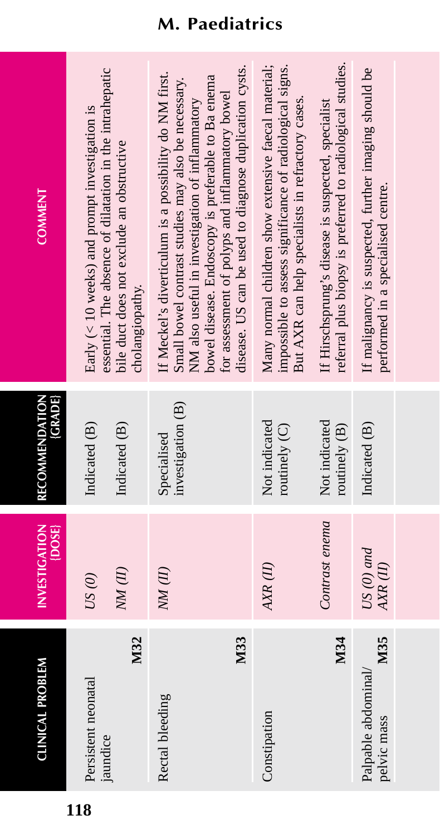| <b>CLINICAL PROBLEM</b>                   | <b>INVESTIGATION</b><br>$\{$ DOSE $\}$ | <b>GRADE</b><br>RECOMMENDATION   | <b>COMMENT</b>                                                                                                                                                                                                                                                                                                                      |
|-------------------------------------------|----------------------------------------|----------------------------------|-------------------------------------------------------------------------------------------------------------------------------------------------------------------------------------------------------------------------------------------------------------------------------------------------------------------------------------|
| M32<br>Persistent neonatal<br>jaundice    | NM(II)<br>US(0)                        | Indicated (B)<br>Indicated (B)   | essential. The absence of dilatation in the intrahepatic<br>Early $(< 10$ weeks) and prompt investigation is<br>bile duct does not exclude an obstructive<br>cholangiopathy.                                                                                                                                                        |
| M33<br>Rectal bleeding                    | $NM$ $(II)$                            | investigation (B)<br>Specialised | disease. US can be used to diagnose duplication cysts.<br>If Meckel's diverticulum is a possibility do NM first.<br>bowel disease. Endoscopy is preferable to Ba enema<br>Small bowel contrast studies may also be necessary.<br>for assessment of polyps and inflammatory bowel<br>NM also useful in investigation of inflammatory |
| Constipation                              | AXR(II)                                | Not indicated<br>routinely $(C)$ | Many normal children show extensive faecal material;<br>impossible to assess significance of radiological signs.<br>But AXR can help specialists in refractory cases                                                                                                                                                                |
| M34                                       | Contrast enema                         | Not indicated<br>routinely (B)   | referral plus biopsy is preferred to radiological studies.<br>If Hirschsprung's disease is suspected, specialist                                                                                                                                                                                                                    |
| M35<br>Palpable abdominal/<br>pelvic mass | $US(0)$ and<br>AXR(II)                 | Indicated (B)                    | If malignancy is suspected, further imaging should be<br>performed in a specialised centre.                                                                                                                                                                                                                                         |
|                                           |                                        |                                  |                                                                                                                                                                                                                                                                                                                                     |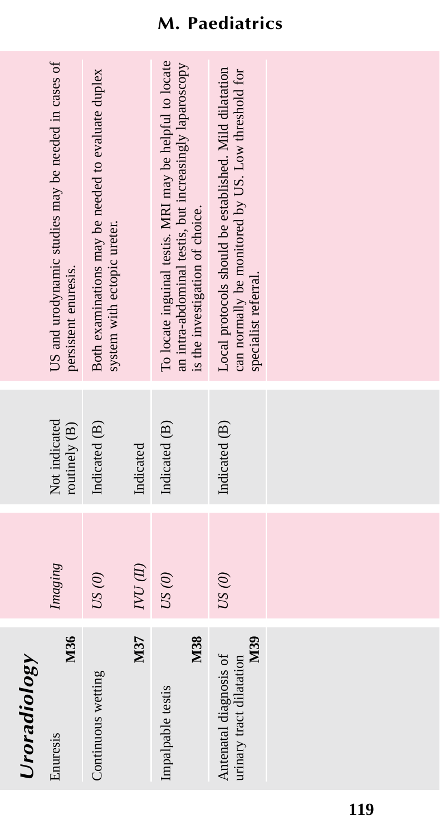| Uroradiology                                              |                                    |                                |                                                                                                                                                       |
|-----------------------------------------------------------|------------------------------------|--------------------------------|-------------------------------------------------------------------------------------------------------------------------------------------------------|
| M36<br>Enuresis                                           | Imaging                            | Not indicated<br>routinely (B) | US and urodynamic studies may be needed in cases of<br>persistent enuresis.                                                                           |
| Continuous wetting                                        | US(0)                              | Indicated (B)                  | Both examinations may be needed to evaluate duplex<br>system with ectopic ureter.                                                                     |
| M37                                                       | ${\cal WU}\left( {\cal U} \right)$ | Indicated                      |                                                                                                                                                       |
| M38<br>Impalpable testis                                  | $US(0)$                            | Indicated (B)                  | To locate inguinal testis. MRI may be helpful to locate<br>an intra-abdominal testis, but increasingly laparoscopy<br>is the investigation of choice. |
| M39<br>Antenatal diagnosis of<br>urinary tract dilatation | US(0)                              | Indicated (B)                  | Local protocols should be established. Mild dilatation<br>can normally be monitored by US. Low threshold for<br>specialist referral.                  |
|                                                           |                                    |                                |                                                                                                                                                       |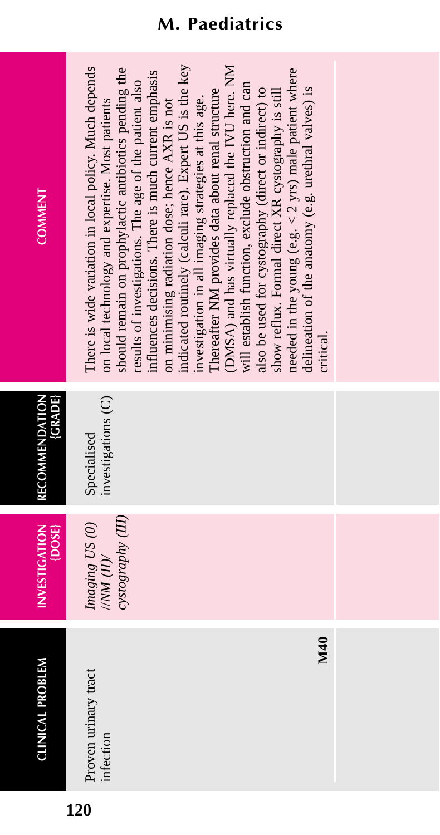**CLINICAL PROBLEM** 

| ۰, |  |
|----|--|
|    |  |

| Tac.<br>Ť,    |               |
|---------------|---------------|
| roven urinary | $\frac{1}{2}$ |
|               |               |

**CLINICAL PROBLEM INVESTIGATION INVESTIGATION** 

**RECOMMENDATION**

**RECOMMENDATION** 

**{GRADE}**

Imaging US (0)

cystography (III)  $N/M$  (II)

investigations (C) Specialised

**COMMENT COMMENT** There is wide variation in local policy. Much depends indicated routinely (calculi rare). Expert US is the key indicated routinely (calculi rare). Expert US is the key DMSA) and has virtually replaced the IVU here. NM (DMSA) and has virtually replaced the IVU here. NM Proven urinary tract *Imaging US (0)* Specialised There is wide variation in local policy. Much depends should remain on prophylactic antibiotics pending the needed in the young (e.g.  $<$  2 yrs) male patient where *cystography (III)* should remain on prophylactic antibiotics pending the needed in the young (e.g.  $<$  2 yrs) male patient where nfluences decisions. There is much current emphasis influences decisions. There is much current emphasis results of investigations. The age of the patient also results of investigations. The age of the patient also will establish function, exclude obstruction and can will establish function, exclude obstruction and can delineation of the anatomy (e.g. urethral valves) is Thereafter NM provides data about renal structure also be used for cystography (direct or indirect) to show reflux. Formal direct XR cystography is still Thereafter NM provides data about renal structure also be used for cystography (direct or indirect) to show reflux. Formal direct XR cystography is still delineation of the anatomy (e.g. urethral valves) is investigation in all imaging strategies at this age. investigation in all imaging strategies at this age. on local technology and expertise. Most patients on minimising radiation dose; hence AXR is not infection //*NM (II)/* investigations (C) on local technology and expertise. Most patients on minimising radiation dose; hence AXR is not critical.

**M40** critical. M40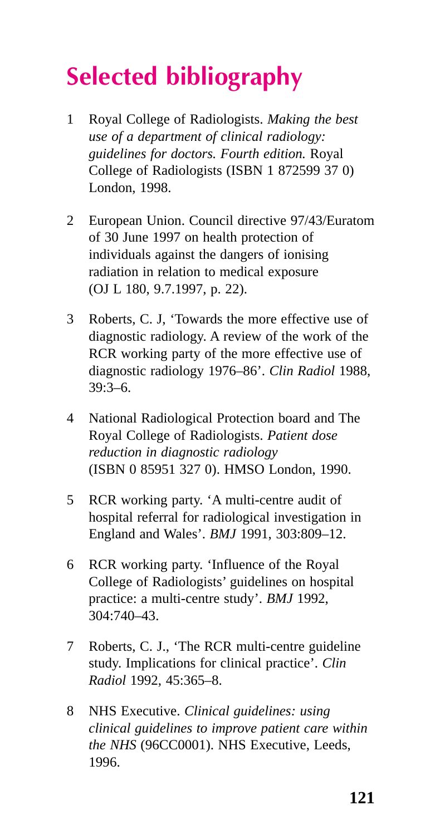# **Selected bibliography**

- 1 Royal College of Radiologists. *Making the best use of a department of clinical radiology: guidelines for doctors. Fourth edition.* Royal College of Radiologists (ISBN 1 872599 37 0) London, 1998.
- 2 European Union. Council directive 97/43/Euratom of 30 June 1997 on health protection of individuals against the dangers of ionising radiation in relation to medical exposure (OJ L 180, 9.7.1997, p. 22).
- 3 Roberts, C. J, 'Towards the more effective use of diagnostic radiology. A review of the work of the RCR working party of the more effective use of diagnostic radiology 1976–86'. *Clin Radiol* 1988,  $39.3 - 6$
- 4 National Radiological Protection board and The Royal College of Radiologists. *Patient dose reduction in diagnostic radiology* (ISBN 0 85951 327 0). HMSO London, 1990.
- 5 RCR working party. 'A multi-centre audit of hospital referral for radiological investigation in England and Wales'. *BMJ* 1991, 303:809–12.
- 6 RCR working party. 'Influence of the Royal College of Radiologists' guidelines on hospital practice: a multi-centre study'. *BMJ* 1992, 304:740–43.
- 7 Roberts, C. J., 'The RCR multi-centre guideline study. Implications for clinical practice'. *Clin Radiol* 1992, 45:365–8.
- 8 NHS Executive. *Clinical guidelines: using clinical guidelines to improve patient care within the NHS* (96CC0001). NHS Executive, Leeds, 1996.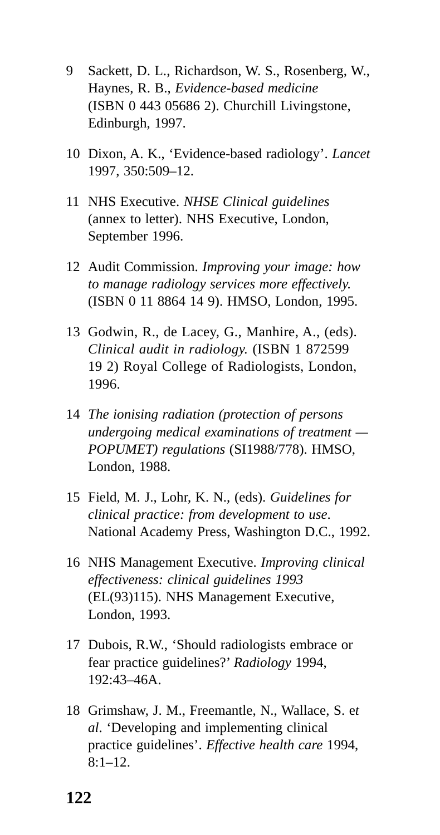- 9 Sackett, D. L., Richardson, W. S., Rosenberg, W., Haynes, R. B., *Evidence-based medicine* (ISBN 0 443 05686 2). Churchill Livingstone, Edinburgh, 1997.
- 10 Dixon, A. K., 'Evidence-based radiology'. *Lancet* 1997, 350:509–12.
- 11 NHS Executive. *NHSE Clinical guidelines* (annex to letter). NHS Executive, London, September 1996.
- 12 Audit Commission. *Improving your image: how to manage radiology services more effectively.* (ISBN 0 11 8864 14 9). HMSO, London, 1995.
- 13 Godwin, R., de Lacey, G., Manhire, A., (eds). *Clinical audit in radiology.* (ISBN 1 872599 19 2) Royal College of Radiologists, London, 1996.
- 14 *The ionising radiation (protection of persons undergoing medical examinations of treatment — POPUMET) regulations* (SI1988/778). HMSO, London, 1988.
- 15 Field, M. J., Lohr, K. N., (eds). *Guidelines for clinical practice: from development to use*. National Academy Press, Washington D.C., 1992.
- 16 NHS Management Executive. *Improving clinical effectiveness: clinical guidelines 1993* (EL(93)115). NHS Management Executive, London, 1993.
- 17 Dubois, R.W., 'Should radiologists embrace or fear practice guidelines?' *Radiology* 1994,  $192.43 - 46A$
- 18 Grimshaw, J. M., Freemantle, N., Wallace, S. e*t al*. 'Developing and implementing clinical practice guidelines'. *Effective health care* 1994,  $8:1-12.$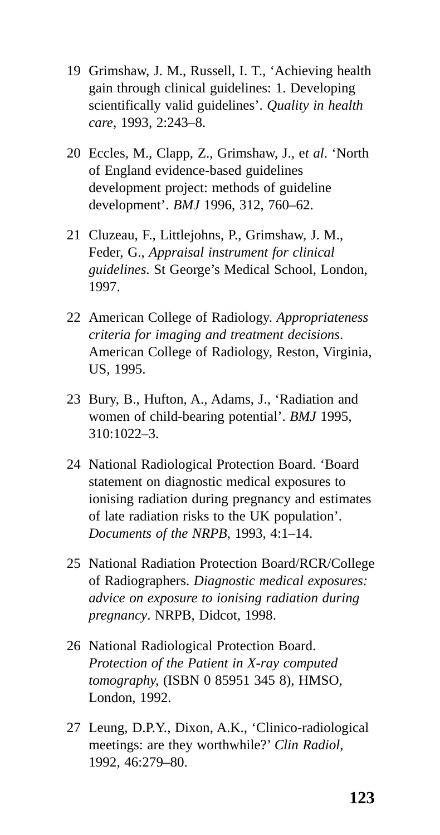- 19 Grimshaw, J. M., Russell, I. T., 'Achieving health gain through clinical guidelines: 1. Developing scientifically valid guidelines'. *Quality in health care,* 1993, 2:243–8.
- 20 Eccles, M., Clapp, Z., Grimshaw, J., e*t al*. 'North of England evidence-based guidelines development project: methods of guideline development'. *BMJ* 1996, 312, 760–62.
- 21 Cluzeau, F., Littlejohns, P., Grimshaw, J. M., Feder, G., *Appraisal instrument for clinical guidelines*. St George's Medical School, London, 1997.
- 22 American College of Radiology. *Appropriateness criteria for imaging and treatment decisions*. American College of Radiology, Reston, Virginia, US, 1995.
- 23 Bury, B., Hufton, A., Adams, J., 'Radiation and women of child-bearing potential'. *BMJ* 1995, 310:1022–3.
- 24 National Radiological Protection Board. 'Board statement on diagnostic medical exposures to ionising radiation during pregnancy and estimates of late radiation risks to the UK population'. *Documents of the NRPB,* 1993, 4:1–14.
- 25 National Radiation Protection Board/RCR/College of Radiographers. *Diagnostic medical exposures: advice on exposure to ionising radiation during pregnancy*. NRPB, Didcot, 1998.
- 26 National Radiological Protection Board. *Protection of the Patient in X-ray computed tomography,* (ISBN 0 85951 345 8), HMSO, London, 1992.
- 27 Leung, D.P.Y., Dixon, A.K., 'Clinico-radiological meetings: are they worthwhile?' *Clin Radiol,* 1992, 46:279–80.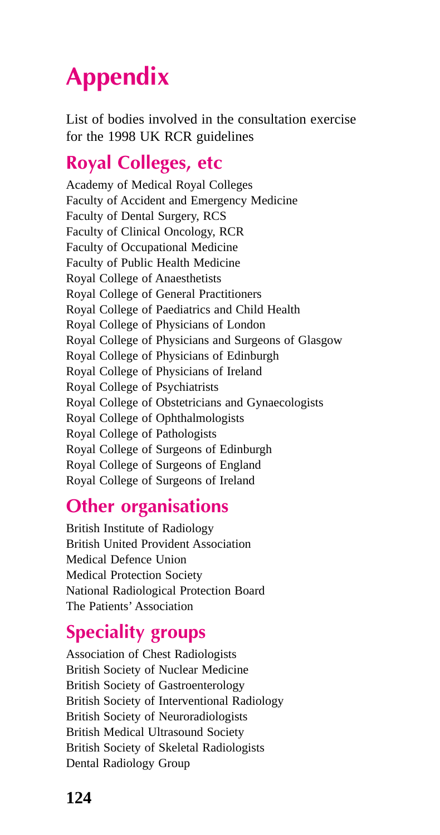# **Appendix**

List of bodies involved in the consultation exercise for the 1998 UK RCR guidelines

#### **Royal Colleges, etc**

Academy of Medical Royal Colleges Faculty of Accident and Emergency Medicine Faculty of Dental Surgery, RCS Faculty of Clinical Oncology, RCR Faculty of Occupational Medicine Faculty of Public Health Medicine Royal College of Anaesthetists Royal College of General Practitioners Royal College of Paediatrics and Child Health Royal College of Physicians of London Royal College of Physicians and Surgeons of Glasgow Royal College of Physicians of Edinburgh Royal College of Physicians of Ireland Royal College of Psychiatrists Royal College of Obstetricians and Gynaecologists Royal College of Ophthalmologists Royal College of Pathologists Royal College of Surgeons of Edinburgh Royal College of Surgeons of England Royal College of Surgeons of Ireland

#### **Other organisations**

British Institute of Radiology British United Provident Association Medical Defence Union Medical Protection Society National Radiological Protection Board The Patients' Association

#### **Speciality groups**

Association of Chest Radiologists British Society of Nuclear Medicine British Society of Gastroenterology British Society of Interventional Radiology British Society of Neuroradiologists British Medical Ultrasound Society British Society of Skeletal Radiologists Dental Radiology Group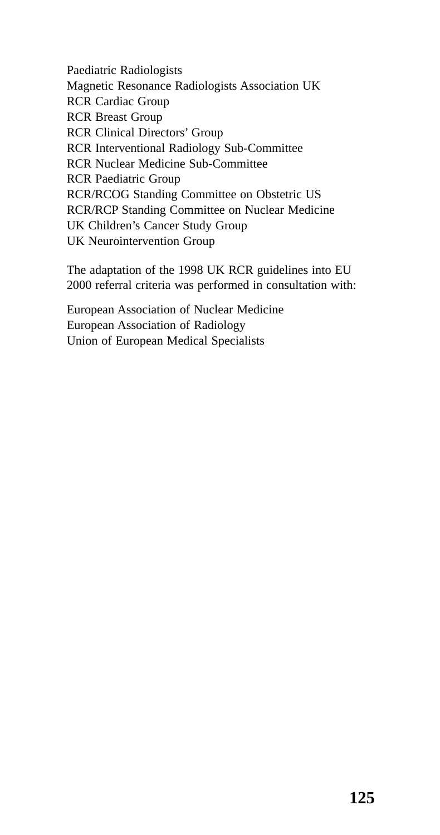Paediatric Radiologists Magnetic Resonance Radiologists Association UK RCR Cardiac Group RCR Breast Group RCR Clinical Directors' Group RCR Interventional Radiology Sub-Committee RCR Nuclear Medicine Sub-Committee RCR Paediatric Group RCR/RCOG Standing Committee on Obstetric US RCR/RCP Standing Committee on Nuclear Medicine UK Children's Cancer Study Group UK Neurointervention Group

The adaptation of the 1998 UK RCR guidelines into EU 2000 referral criteria was performed in consultation with:

European Association of Nuclear Medicine European Association of Radiology Union of European Medical Specialists